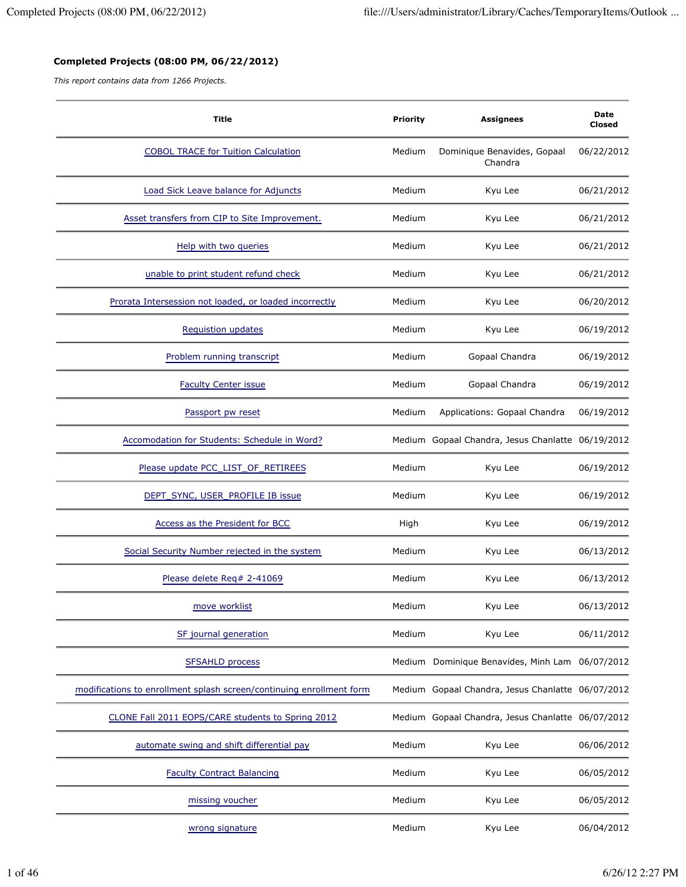## **Completed Projects (08:00 PM, 06/22/2012)**

*This report contains data from 1266 Projects.*

| <b>Title</b>                                                         | <b>Priority</b> | <b>Assignees</b>                                  | Date<br>Closed |
|----------------------------------------------------------------------|-----------------|---------------------------------------------------|----------------|
| <b>COBOL TRACE for Tuition Calculation</b>                           | Medium          | Dominique Benavides, Gopaal<br>Chandra            | 06/22/2012     |
| Load Sick Leave balance for Adjuncts                                 | Medium          | Kyu Lee                                           | 06/21/2012     |
| Asset transfers from CIP to Site Improvement.                        | Medium          | Kyu Lee                                           | 06/21/2012     |
| Help with two queries                                                | Medium          | Kyu Lee                                           | 06/21/2012     |
| unable to print student refund check                                 | Medium          | Kyu Lee                                           | 06/21/2012     |
| Prorata Intersession not loaded, or loaded incorrectly               | Medium          | Kyu Lee                                           | 06/20/2012     |
| Requistion updates                                                   | Medium          | Kyu Lee                                           | 06/19/2012     |
| Problem running transcript                                           | Medium          | Gopaal Chandra                                    | 06/19/2012     |
| <b>Faculty Center issue</b>                                          | Medium          | Gopaal Chandra                                    | 06/19/2012     |
| Passport pw reset                                                    | Medium          | Applications: Gopaal Chandra                      | 06/19/2012     |
| Accomodation for Students: Schedule in Word?                         |                 | Medium Gopaal Chandra, Jesus Chanlatte 06/19/2012 |                |
| Please update PCC_LIST_OF_RETIREES                                   | Medium          | Kyu Lee                                           | 06/19/2012     |
| DEPT_SYNC, USER_PROFILE IB issue                                     | Medium          | Kyu Lee                                           | 06/19/2012     |
| Access as the President for BCC                                      | High            | Kyu Lee                                           | 06/19/2012     |
| Social Security Number rejected in the system                        | Medium          | Kyu Lee                                           | 06/13/2012     |
| Please delete Req# 2-41069                                           | Medium          | Kyu Lee                                           | 06/13/2012     |
| move worklist                                                        | Medium          | Kyu Lee                                           | 06/13/2012     |
| SF journal generation                                                | Medium          | Kyu Lee                                           | 06/11/2012     |
| <b>SFSAHLD process</b>                                               |                 | Medium Dominique Benavides, Minh Lam 06/07/2012   |                |
| modifications to enrollment splash screen/continuing enrollment form |                 | Medium Gopaal Chandra, Jesus Chanlatte 06/07/2012 |                |
| CLONE Fall 2011 EOPS/CARE students to Spring 2012                    |                 | Medium Gopaal Chandra, Jesus Chanlatte 06/07/2012 |                |
| automate swing and shift differential pay                            | Medium          | Kyu Lee                                           | 06/06/2012     |
| <b>Faculty Contract Balancing</b>                                    | Medium          | Kyu Lee                                           | 06/05/2012     |
| missing voucher                                                      | Medium          | Kyu Lee                                           | 06/05/2012     |
| wrong signature                                                      | Medium          | Kyu Lee                                           | 06/04/2012     |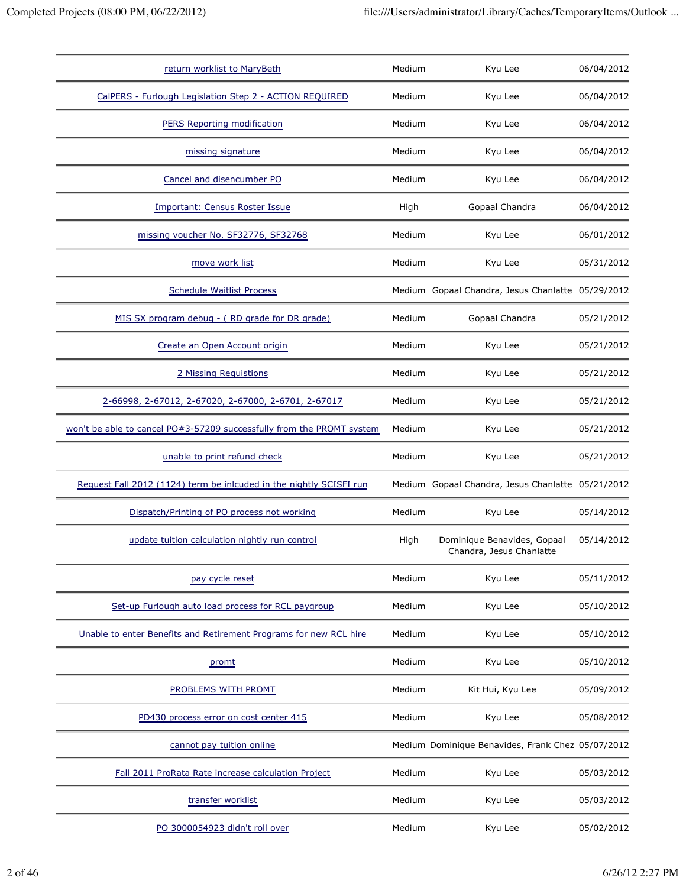| return worklist to MaryBeth                                           | Medium | Kyu Lee                                                 | 06/04/2012 |
|-----------------------------------------------------------------------|--------|---------------------------------------------------------|------------|
| CalPERS - Furlough Legislation Step 2 - ACTION REQUIRED               | Medium | Kyu Lee                                                 | 06/04/2012 |
| PERS Reporting modification                                           | Medium | Kyu Lee                                                 | 06/04/2012 |
| missing signature                                                     | Medium | Kyu Lee                                                 | 06/04/2012 |
| Cancel and disencumber PO                                             | Medium | Kyu Lee                                                 | 06/04/2012 |
| Important: Census Roster Issue                                        | High   | Gopaal Chandra                                          | 06/04/2012 |
| missing voucher No. SF32776, SF32768                                  | Medium | Kyu Lee                                                 | 06/01/2012 |
| move work list                                                        | Medium | Kyu Lee                                                 | 05/31/2012 |
| <b>Schedule Waitlist Process</b>                                      |        | Medium Gopaal Chandra, Jesus Chanlatte 05/29/2012       |            |
| MIS SX program debug - (RD grade for DR grade)                        | Medium | Gopaal Chandra                                          | 05/21/2012 |
| Create an Open Account origin                                         | Medium | Kyu Lee                                                 | 05/21/2012 |
| 2 Missing Requistions                                                 | Medium | Kyu Lee                                                 | 05/21/2012 |
| 2-66998, 2-67012, 2-67020, 2-67000, 2-6701, 2-67017                   | Medium | Kyu Lee                                                 | 05/21/2012 |
| won't be able to cancel PO#3-57209 successfully from the PROMT system | Medium | Kyu Lee                                                 | 05/21/2012 |
| unable to print refund check                                          | Medium | Kyu Lee                                                 | 05/21/2012 |
| Request Fall 2012 (1124) term be inlcuded in the nightly SCISFI run   |        | Medium Gopaal Chandra, Jesus Chanlatte 05/21/2012       |            |
| Dispatch/Printing of PO process not working                           | Medium | Kyu Lee                                                 | 05/14/2012 |
| update tuition calculation nightly run control                        | High   | Dominique Benavides, Gopaal<br>Chandra, Jesus Chanlatte | 05/14/2012 |
| pay cycle reset                                                       | Medium | Kyu Lee                                                 | 05/11/2012 |
| Set-up Furlough auto load process for RCL paygroup                    | Medium | Kyu Lee                                                 | 05/10/2012 |
| Unable to enter Benefits and Retirement Programs for new RCL hire     | Medium | Kyu Lee                                                 | 05/10/2012 |
| promt                                                                 | Medium | Kyu Lee                                                 | 05/10/2012 |
| PROBLEMS WITH PROMT                                                   | Medium | Kit Hui, Kyu Lee                                        | 05/09/2012 |
| PD430 process error on cost center 415                                | Medium | Kyu Lee                                                 | 05/08/2012 |
| cannot pay tuition online                                             |        | Medium Dominique Benavides, Frank Chez 05/07/2012       |            |
| Fall 2011 ProRata Rate increase calculation Project                   | Medium | Kyu Lee                                                 | 05/03/2012 |
|                                                                       |        |                                                         |            |
| transfer worklist                                                     | Medium | Kyu Lee                                                 | 05/03/2012 |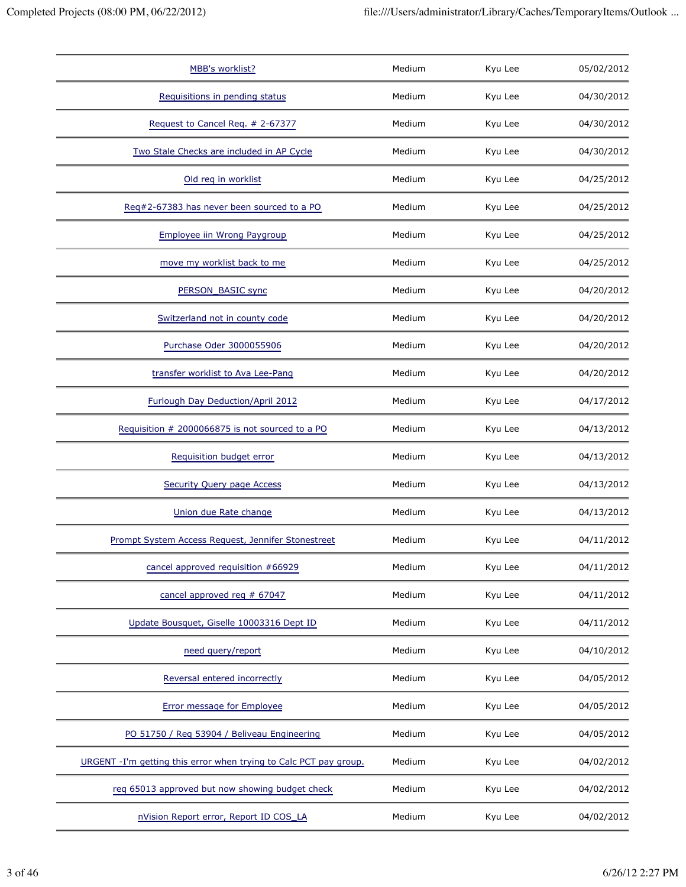| <b>MBB's worklist?</b>                                            | Medium | Kyu Lee | 05/02/2012 |
|-------------------------------------------------------------------|--------|---------|------------|
| Requisitions in pending status                                    | Medium | Kyu Lee | 04/30/2012 |
| Request to Cancel Req. # 2-67377                                  | Medium | Kyu Lee | 04/30/2012 |
| Two Stale Checks are included in AP Cycle                         | Medium | Kyu Lee | 04/30/2012 |
| Old req in worklist                                               | Medium | Kyu Lee | 04/25/2012 |
| Req#2-67383 has never been sourced to a PO                        | Medium | Kyu Lee | 04/25/2012 |
| Employee iin Wrong Paygroup                                       | Medium | Kyu Lee | 04/25/2012 |
| move my worklist back to me                                       | Medium | Kyu Lee | 04/25/2012 |
| <b>PERSON BASIC sync</b>                                          | Medium | Kyu Lee | 04/20/2012 |
| Switzerland not in county code                                    | Medium | Kyu Lee | 04/20/2012 |
| Purchase Oder 3000055906                                          | Medium | Kyu Lee | 04/20/2012 |
| transfer worklist to Ava Lee-Pang                                 | Medium | Kyu Lee | 04/20/2012 |
| Furlough Day Deduction/April 2012                                 | Medium | Kyu Lee | 04/17/2012 |
| Requisition # 2000066875 is not sourced to a PO                   | Medium | Kyu Lee | 04/13/2012 |
| Requisition budget error                                          | Medium | Kyu Lee | 04/13/2012 |
| <b>Security Query page Access</b>                                 | Medium | Kyu Lee | 04/13/2012 |
| Union due Rate change                                             | Medium | Kyu Lee | 04/13/2012 |
| Prompt System Access Request, Jennifer Stonestreet                | Medium | Kyu Lee | 04/11/2012 |
| cancel approved requisition #66929                                | Medium | Kyu Lee | 04/11/2012 |
| cancel approved req # 67047                                       | Medium | Kyu Lee | 04/11/2012 |
| Update Bousquet, Giselle 10003316 Dept ID                         | Medium | Kyu Lee | 04/11/2012 |
| need query/report                                                 | Medium | Kyu Lee | 04/10/2012 |
| Reversal entered incorrectly                                      | Medium | Kyu Lee | 04/05/2012 |
| <b>Error message for Employee</b>                                 | Medium | Kyu Lee | 04/05/2012 |
| PO 51750 / Req 53904 / Beliveau Engineering                       | Medium | Kyu Lee | 04/05/2012 |
| URGENT -I'm getting this error when trying to Calc PCT pay group. | Medium | Kyu Lee | 04/02/2012 |
| req 65013 approved but now showing budget check                   | Medium | Kyu Lee | 04/02/2012 |
| nVision Report error, Report ID COS LA                            | Medium | Kyu Lee | 04/02/2012 |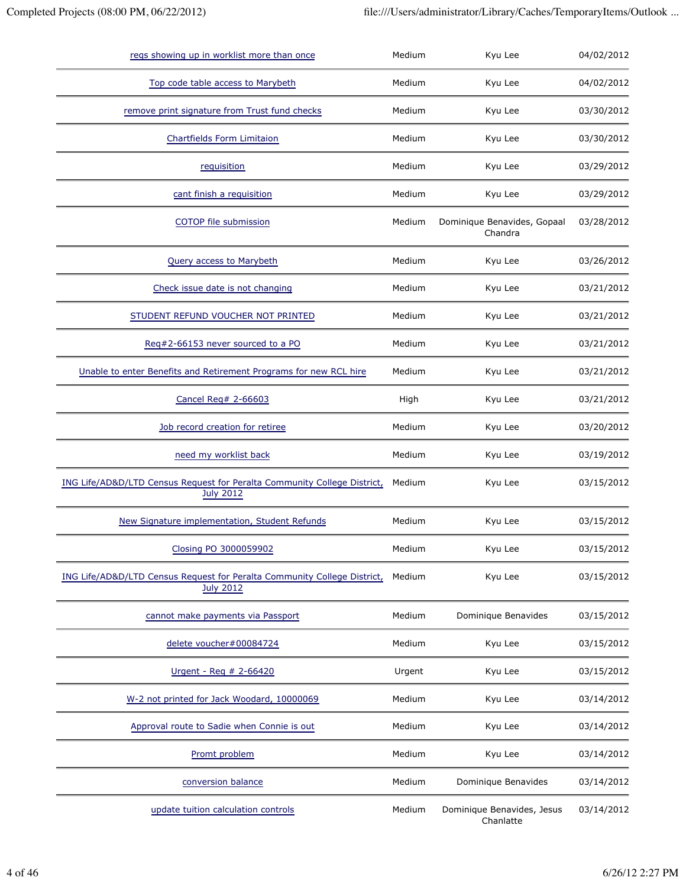| regs showing up in worklist more than once                                                   | Medium | Kyu Lee                                 | 04/02/2012 |
|----------------------------------------------------------------------------------------------|--------|-----------------------------------------|------------|
| Top code table access to Marybeth                                                            | Medium | Kyu Lee                                 | 04/02/2012 |
| remove print signature from Trust fund checks                                                | Medium | Kyu Lee                                 | 03/30/2012 |
| Chartfields Form Limitaion                                                                   | Medium | Kyu Lee                                 | 03/30/2012 |
| requisition                                                                                  | Medium | Kyu Lee                                 | 03/29/2012 |
| cant finish a requisition                                                                    | Medium | Kyu Lee                                 | 03/29/2012 |
| COTOP file submission                                                                        | Medium | Dominique Benavides, Gopaal<br>Chandra  | 03/28/2012 |
| Query access to Marybeth                                                                     | Medium | Kyu Lee                                 | 03/26/2012 |
| Check issue date is not changing                                                             | Medium | Kyu Lee                                 | 03/21/2012 |
| STUDENT REFUND VOUCHER NOT PRINTED                                                           | Medium | Kyu Lee                                 | 03/21/2012 |
| Req#2-66153 never sourced to a PO                                                            | Medium | Kyu Lee                                 | 03/21/2012 |
| Unable to enter Benefits and Retirement Programs for new RCL hire                            | Medium | Kyu Lee                                 | 03/21/2012 |
| Cancel Reg# 2-66603                                                                          | High   | Kyu Lee                                 | 03/21/2012 |
| Job record creation for retiree                                                              | Medium | Kyu Lee                                 | 03/20/2012 |
| need my worklist back                                                                        | Medium | Kyu Lee                                 | 03/19/2012 |
| ING Life/AD&D/LTD Census Request for Peralta Community College District,<br><b>July 2012</b> | Medium | Kyu Lee                                 | 03/15/2012 |
| New Signature implementation, Student Refunds                                                | Medium | Kyu Lee                                 | 03/15/2012 |
| Closing PO 3000059902                                                                        | Medium | Kyu Lee                                 | 03/15/2012 |
| ING Life/AD&D/LTD Census Request for Peralta Community College District,<br><b>July 2012</b> | Medium | Kyu Lee                                 | 03/15/2012 |
| cannot make payments via Passport                                                            | Medium | Dominique Benavides                     | 03/15/2012 |
| delete voucher#00084724                                                                      | Medium | Kyu Lee                                 | 03/15/2012 |
| Urgent - Req # 2-66420                                                                       | Urgent | Kyu Lee                                 | 03/15/2012 |
| W-2 not printed for Jack Woodard, 10000069                                                   | Medium | Kyu Lee                                 | 03/14/2012 |
| Approval route to Sadie when Connie is out                                                   | Medium | Kyu Lee                                 | 03/14/2012 |
| Promt problem                                                                                | Medium | Kyu Lee                                 | 03/14/2012 |
| conversion balance                                                                           | Medium | Dominique Benavides                     | 03/14/2012 |
| update tuition calculation controls                                                          | Medium | Dominique Benavides, Jesus<br>Chanlatte | 03/14/2012 |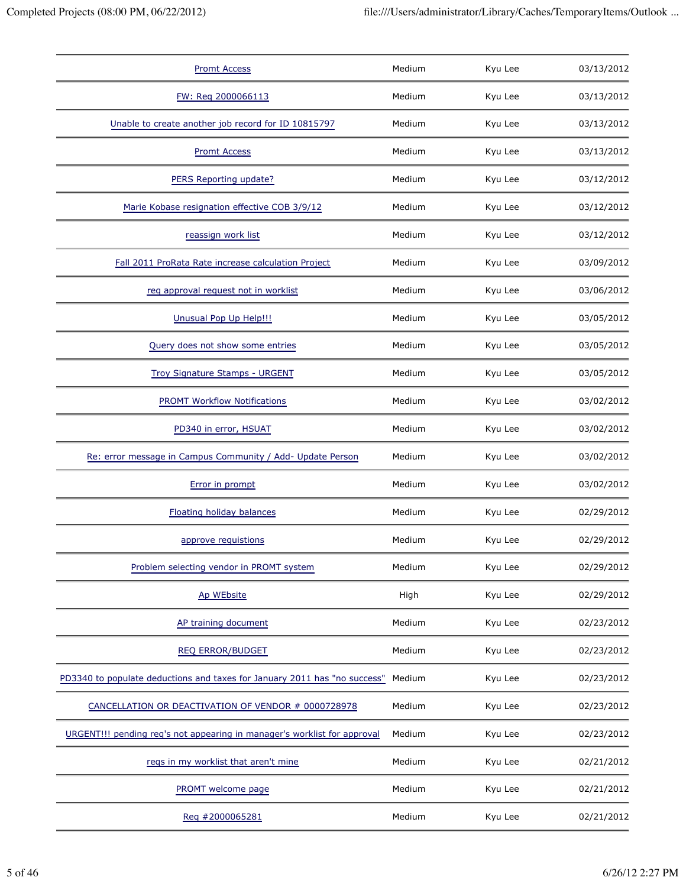| <b>Promt Access</b>                                                       | Medium | Kyu Lee | 03/13/2012 |
|---------------------------------------------------------------------------|--------|---------|------------|
| FW: Req 2000066113                                                        | Medium | Kyu Lee | 03/13/2012 |
| Unable to create another job record for ID 10815797                       | Medium | Kyu Lee | 03/13/2012 |
| <b>Promt Access</b>                                                       | Medium | Kyu Lee | 03/13/2012 |
| PERS Reporting update?                                                    | Medium | Kyu Lee | 03/12/2012 |
| Marie Kobase resignation effective COB 3/9/12                             | Medium | Kyu Lee | 03/12/2012 |
| reassign work list                                                        | Medium | Kyu Lee | 03/12/2012 |
| Fall 2011 ProRata Rate increase calculation Project                       | Medium | Kyu Lee | 03/09/2012 |
| reg approval request not in worklist                                      | Medium | Kyu Lee | 03/06/2012 |
| Unusual Pop Up Help!!!                                                    | Medium | Kyu Lee | 03/05/2012 |
| Query does not show some entries                                          | Medium | Kyu Lee | 03/05/2012 |
| <b>Troy Signature Stamps - URGENT</b>                                     | Medium | Kyu Lee | 03/05/2012 |
| <b>PROMT Workflow Notifications</b>                                       | Medium | Kyu Lee | 03/02/2012 |
| PD340 in error, HSUAT                                                     | Medium | Kyu Lee | 03/02/2012 |
| Re: error message in Campus Community / Add- Update Person                | Medium | Kyu Lee | 03/02/2012 |
| Error in prompt                                                           | Medium | Kyu Lee | 03/02/2012 |
| Floating holiday balances                                                 | Medium | Kyu Lee | 02/29/2012 |
| approve requistions                                                       | Medium | Kyu Lee | 02/29/2012 |
| Problem selecting vendor in PROMT system                                  | Medium | Kyu Lee | 02/29/2012 |
| Ap WEbsite                                                                | High   | Kyu Lee | 02/29/2012 |
| AP training document                                                      | Medium | Kyu Lee | 02/23/2012 |
| <b>REQ ERROR/BUDGET</b>                                                   | Medium | Kyu Lee | 02/23/2012 |
| PD3340 to populate deductions and taxes for January 2011 has "no success" | Medium | Kyu Lee | 02/23/2012 |
| CANCELLATION OR DEACTIVATION OF VENDOR # 0000728978                       | Medium | Kyu Lee | 02/23/2012 |
| URGENT!!! pending req's not appearing in manager's worklist for approval  | Medium | Kyu Lee | 02/23/2012 |
| regs in my worklist that aren't mine                                      | Medium | Kyu Lee | 02/21/2012 |
| PROMT welcome page                                                        | Medium | Kyu Lee | 02/21/2012 |
| Reg #2000065281                                                           | Medium | Kyu Lee | 02/21/2012 |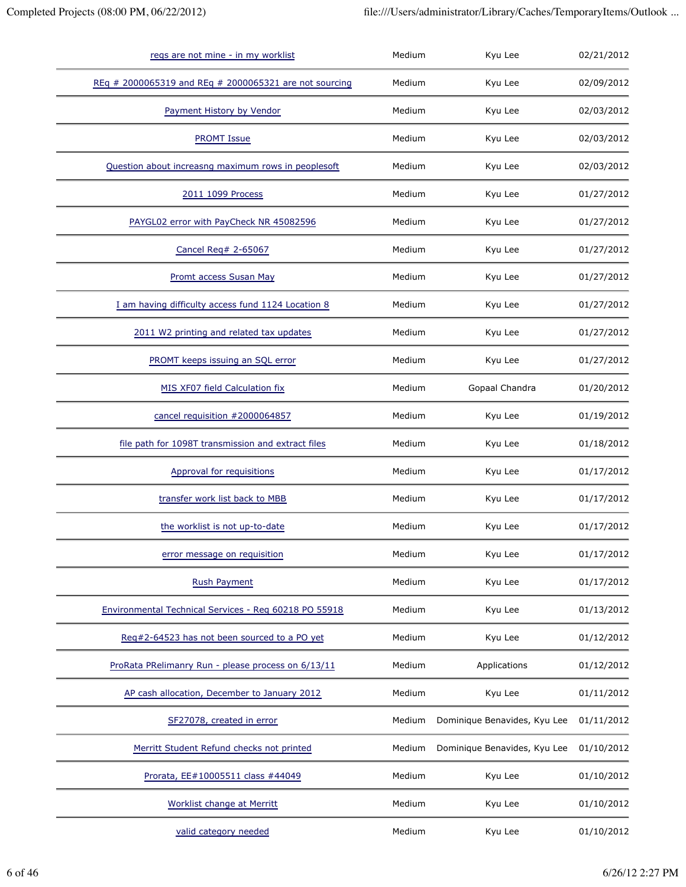| regs are not mine - in my worklist                     | Medium | Kyu Lee                      | 02/21/2012 |
|--------------------------------------------------------|--------|------------------------------|------------|
| REq # 2000065319 and REq # 2000065321 are not sourcing | Medium | Kyu Lee                      | 02/09/2012 |
| Payment History by Vendor                              | Medium | Kyu Lee                      | 02/03/2012 |
| <b>PROMT Issue</b>                                     | Medium | Kyu Lee                      | 02/03/2012 |
| Question about increasng maximum rows in peoplesoft    | Medium | Kyu Lee                      | 02/03/2012 |
| 2011 1099 Process                                      | Medium | Kyu Lee                      | 01/27/2012 |
| PAYGL02 error with PayCheck NR 45082596                | Medium | Kyu Lee                      | 01/27/2012 |
| Cancel Req# 2-65067                                    | Medium | Kyu Lee                      | 01/27/2012 |
| Promt access Susan May                                 | Medium | Kyu Lee                      | 01/27/2012 |
| I am having difficulty access fund 1124 Location 8     | Medium | Kyu Lee                      | 01/27/2012 |
| 2011 W2 printing and related tax updates               | Medium | Kyu Lee                      | 01/27/2012 |
| PROMT keeps issuing an SQL error                       | Medium | Kyu Lee                      | 01/27/2012 |
| MIS XF07 field Calculation fix                         | Medium | Gopaal Chandra               | 01/20/2012 |
| cancel requisition #2000064857                         | Medium | Kyu Lee                      | 01/19/2012 |
| file path for 1098T transmission and extract files     | Medium | Kyu Lee                      | 01/18/2012 |
| Approval for requisitions                              | Medium | Kyu Lee                      | 01/17/2012 |
| transfer work list back to MBB                         | Medium | Kyu Lee                      | 01/17/2012 |
| the worklist is not up-to-date                         | Medium | Kyu Lee                      | 01/17/2012 |
| error message on requisition                           | Medium | Kyu Lee                      | 01/17/2012 |
| <b>Rush Payment</b>                                    | Medium | Kyu Lee                      | 01/17/2012 |
| Environmental Technical Services - Reg 60218 PO 55918  | Medium | Kyu Lee                      | 01/13/2012 |
| Req#2-64523 has not been sourced to a PO yet           | Medium | Kyu Lee                      | 01/12/2012 |
| ProRata PRelimanry Run - please process on 6/13/11     | Medium | Applications                 | 01/12/2012 |
| AP cash allocation, December to January 2012           | Medium | Kyu Lee                      | 01/11/2012 |
| SF27078, created in error                              | Medium | Dominique Benavides, Kyu Lee | 01/11/2012 |
| Merritt Student Refund checks not printed              | Medium | Dominique Benavides, Kyu Lee | 01/10/2012 |
| Prorata, EE#10005511 class #44049                      | Medium | Kyu Lee                      | 01/10/2012 |
| <b>Worklist change at Merritt</b>                      | Medium | Kyu Lee                      | 01/10/2012 |
| valid category needed                                  | Medium | Kyu Lee                      | 01/10/2012 |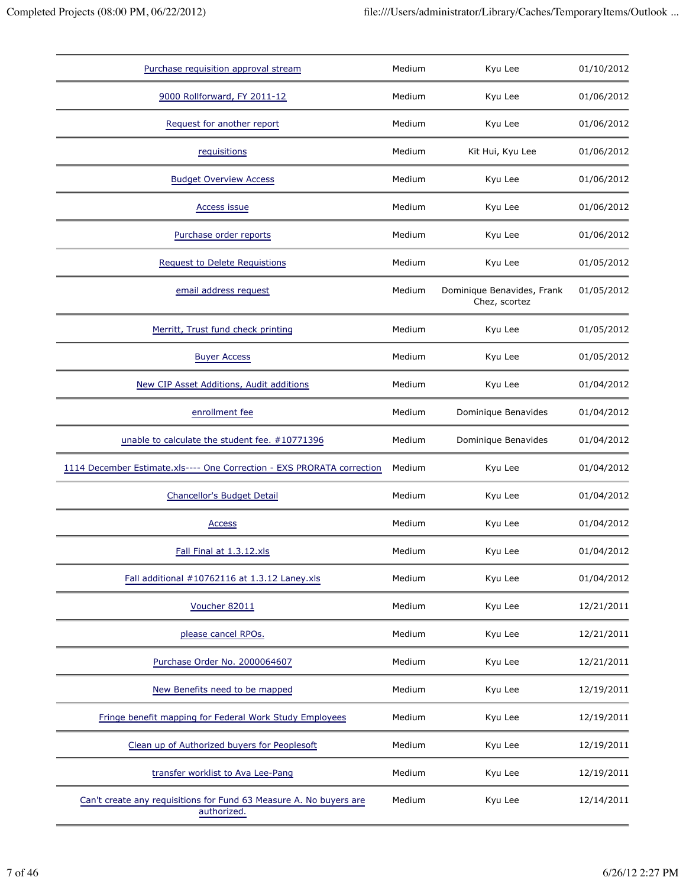| Purchase requisition approval stream                                              | Medium | Kyu Lee                                     | 01/10/2012 |
|-----------------------------------------------------------------------------------|--------|---------------------------------------------|------------|
| 9000 Rollforward, FY 2011-12                                                      | Medium | Kyu Lee                                     | 01/06/2012 |
| Request for another report                                                        | Medium | Kyu Lee                                     | 01/06/2012 |
| requisitions                                                                      | Medium | Kit Hui, Kyu Lee                            | 01/06/2012 |
| <b>Budget Overview Access</b>                                                     | Medium | Kyu Lee                                     | 01/06/2012 |
| Access issue                                                                      | Medium | Kyu Lee                                     | 01/06/2012 |
| Purchase order reports                                                            | Medium | Kyu Lee                                     | 01/06/2012 |
| <b>Request to Delete Requistions</b>                                              | Medium | Kyu Lee                                     | 01/05/2012 |
| email address request                                                             | Medium | Dominique Benavides, Frank<br>Chez, scortez | 01/05/2012 |
| Merritt, Trust fund check printing                                                | Medium | Kyu Lee                                     | 01/05/2012 |
| <b>Buyer Access</b>                                                               | Medium | Kyu Lee                                     | 01/05/2012 |
| New CIP Asset Additions, Audit additions                                          | Medium | Kyu Lee                                     | 01/04/2012 |
| enrollment fee                                                                    | Medium | Dominique Benavides                         | 01/04/2012 |
| unable to calculate the student fee. #10771396                                    | Medium | Dominique Benavides                         | 01/04/2012 |
| 1114 December Estimate.xls---- One Correction - EXS PRORATA correction            | Medium | Kyu Lee                                     | 01/04/2012 |
| Chancellor's Budget Detail                                                        | Medium | Kyu Lee                                     | 01/04/2012 |
| Access                                                                            | Medium | Kyu Lee                                     | 01/04/2012 |
| Fall Final at 1.3.12.xls                                                          | Medium | Kyu Lee                                     | 01/04/2012 |
| Fall additional #10762116 at 1.3.12 Laney.xls                                     | Medium | Kyu Lee                                     | 01/04/2012 |
| Voucher 82011                                                                     | Medium | Kyu Lee                                     | 12/21/2011 |
| please cancel RPOs.                                                               | Medium | Kyu Lee                                     | 12/21/2011 |
| Purchase Order No. 2000064607                                                     | Medium | Kyu Lee                                     | 12/21/2011 |
| New Benefits need to be mapped                                                    | Medium | Kyu Lee                                     | 12/19/2011 |
| Fringe benefit mapping for Federal Work Study Employees                           | Medium | Kyu Lee                                     | 12/19/2011 |
| Clean up of Authorized buyers for Peoplesoft                                      | Medium | Kyu Lee                                     | 12/19/2011 |
| transfer worklist to Ava Lee-Pang                                                 | Medium | Kyu Lee                                     | 12/19/2011 |
| Can't create any requisitions for Fund 63 Measure A. No buyers are<br>authorized. | Medium | Kyu Lee                                     | 12/14/2011 |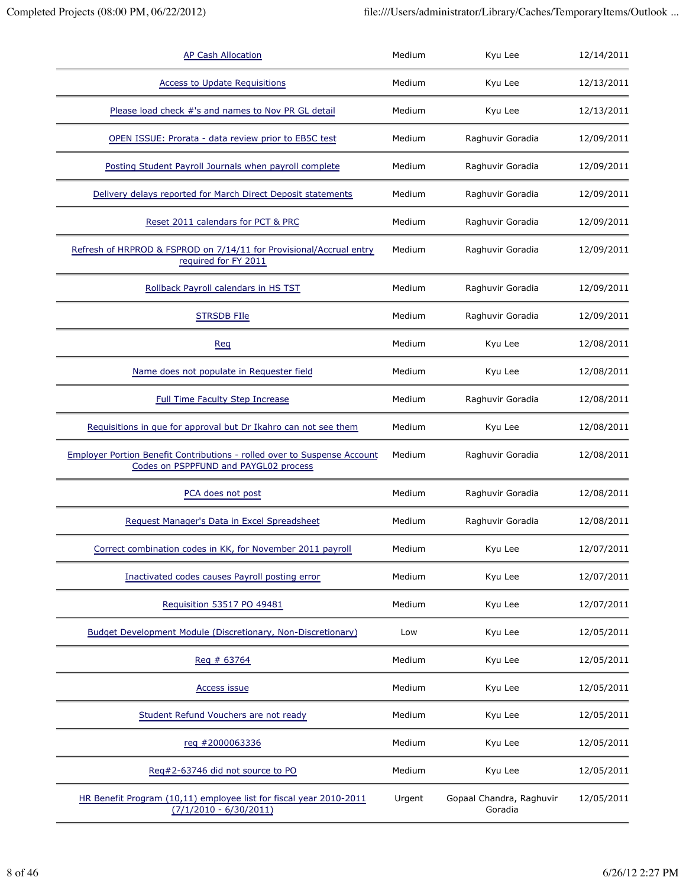| <b>AP Cash Allocation</b>                                                                                                | Medium | Kyu Lee                             | 12/14/2011 |
|--------------------------------------------------------------------------------------------------------------------------|--------|-------------------------------------|------------|
| <b>Access to Update Requisitions</b>                                                                                     | Medium | Kyu Lee                             | 12/13/2011 |
| Please load check #'s and names to Nov PR GL detail                                                                      | Medium | Kyu Lee                             | 12/13/2011 |
| OPEN ISSUE: Prorata - data review prior to EB5C test                                                                     | Medium | Raghuvir Goradia                    | 12/09/2011 |
| Posting Student Payroll Journals when payroll complete                                                                   | Medium | Raghuvir Goradia                    | 12/09/2011 |
| Delivery delays reported for March Direct Deposit statements                                                             | Medium | Raghuvir Goradia                    | 12/09/2011 |
| Reset 2011 calendars for PCT & PRC                                                                                       | Medium | Raghuvir Goradia                    | 12/09/2011 |
| Refresh of HRPROD & FSPROD on 7/14/11 for Provisional/Accrual entry<br>required for FY 2011                              | Medium | Raghuvir Goradia                    | 12/09/2011 |
| Rollback Payroll calendars in HS TST                                                                                     | Medium | Raghuvir Goradia                    | 12/09/2011 |
| <b>STRSDB FIIe</b>                                                                                                       | Medium | Raghuvir Goradia                    | 12/09/2011 |
| Req                                                                                                                      | Medium | Kyu Lee                             | 12/08/2011 |
| Name does not populate in Requester field                                                                                | Medium | Kyu Lee                             | 12/08/2011 |
| <b>Full Time Faculty Step Increase</b>                                                                                   | Medium | Raghuvir Goradia                    | 12/08/2011 |
| Requisitions in que for approval but Dr Ikahro can not see them                                                          | Medium | Kyu Lee                             | 12/08/2011 |
| <b>Employer Portion Benefit Contributions - rolled over to Suspense Account</b><br>Codes on PSPPFUND and PAYGL02 process | Medium | Raghuvir Goradia                    | 12/08/2011 |
| PCA does not post                                                                                                        | Medium | Raghuvir Goradia                    | 12/08/2011 |
| Request Manager's Data in Excel Spreadsheet                                                                              | Medium | Raghuvir Goradia                    | 12/08/2011 |
| Correct combination codes in KK, for November 2011 payroll                                                               | Medium | Kyu Lee                             | 12/07/2011 |
| Inactivated codes causes Payroll posting error                                                                           | Medium | Kyu Lee                             | 12/07/2011 |
| Requisition 53517 PO 49481                                                                                               | Medium | Kyu Lee                             | 12/07/2011 |
| Budget Development Module (Discretionary, Non-Discretionary)                                                             | Low    | Kyu Lee                             | 12/05/2011 |
| Reg # 63764                                                                                                              | Medium | Kyu Lee                             | 12/05/2011 |
| Access issue                                                                                                             | Medium | Kyu Lee                             | 12/05/2011 |
| Student Refund Vouchers are not ready                                                                                    | Medium | Kyu Lee                             | 12/05/2011 |
| reg #2000063336                                                                                                          | Medium | Kyu Lee                             | 12/05/2011 |
| Reg#2-63746 did not source to PO                                                                                         | Medium | Kyu Lee                             | 12/05/2011 |
| HR Benefit Program (10,11) employee list for fiscal year 2010-2011<br>$(7/1/2010 - 6/30/2011)$                           | Urgent | Gopaal Chandra, Raghuvir<br>Goradia | 12/05/2011 |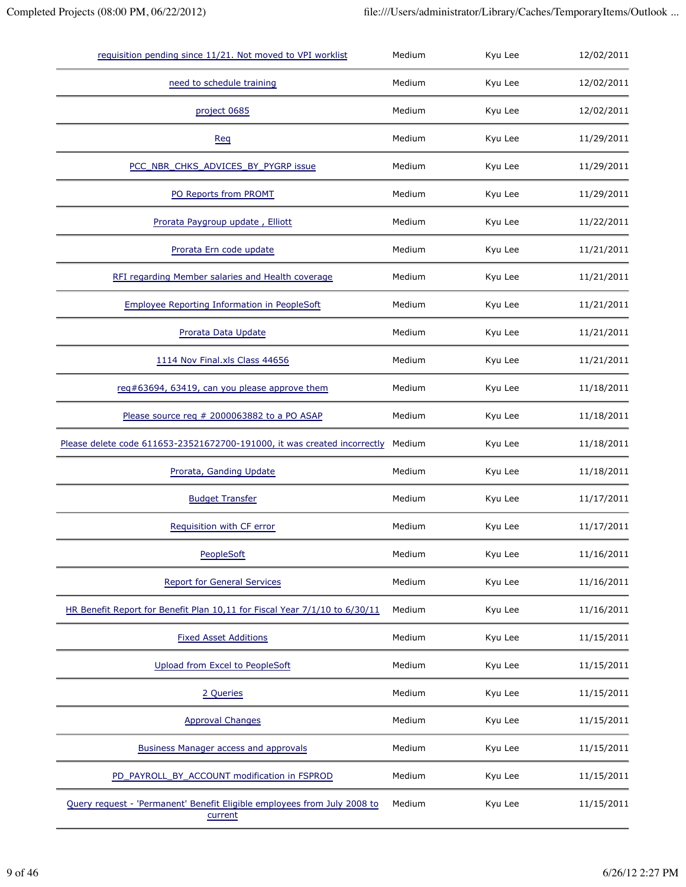| requisition pending since 11/21. Not moved to VPI worklist                          | Medium | Kyu Lee | 12/02/2011 |
|-------------------------------------------------------------------------------------|--------|---------|------------|
| need to schedule training                                                           | Medium | Kyu Lee | 12/02/2011 |
| project 0685                                                                        | Medium | Kyu Lee | 12/02/2011 |
| Req                                                                                 | Medium | Kyu Lee | 11/29/2011 |
| PCC_NBR_CHKS_ADVICES_BY_PYGRP issue                                                 | Medium | Kyu Lee | 11/29/2011 |
| PO Reports from PROMT                                                               | Medium | Kyu Lee | 11/29/2011 |
| Prorata Paygroup update, Elliott                                                    | Medium | Kyu Lee | 11/22/2011 |
| Prorata Ern code update                                                             | Medium | Kyu Lee | 11/21/2011 |
| RFI regarding Member salaries and Health coverage                                   | Medium | Kyu Lee | 11/21/2011 |
| <b>Employee Reporting Information in PeopleSoft</b>                                 | Medium | Kyu Lee | 11/21/2011 |
| Prorata Data Update                                                                 | Medium | Kyu Lee | 11/21/2011 |
| 1114 Nov Final.xls Class 44656                                                      | Medium | Kyu Lee | 11/21/2011 |
| req#63694, 63419, can you please approve them                                       | Medium | Kyu Lee | 11/18/2011 |
| Please source req # 2000063882 to a PO ASAP                                         | Medium | Kyu Lee | 11/18/2011 |
| Please delete code 611653-23521672700-191000, it was created incorrectly            | Medium | Kyu Lee | 11/18/2011 |
| Prorata, Ganding Update                                                             | Medium | Kyu Lee | 11/18/2011 |
| <b>Budget Transfer</b>                                                              | Medium | Kyu Lee | 11/17/2011 |
| Requisition with CF error                                                           | Medium | Kyu Lee | 11/17/2011 |
| PeopleSoft                                                                          | Medium | Kyu Lee | 11/16/2011 |
| <b>Report for General Services</b>                                                  | Medium | Kyu Lee | 11/16/2011 |
| HR Benefit Report for Benefit Plan 10,11 for Fiscal Year 7/1/10 to 6/30/11          | Medium | Kyu Lee | 11/16/2011 |
| <b>Fixed Asset Additions</b>                                                        | Medium | Kyu Lee | 11/15/2011 |
| Upload from Excel to PeopleSoft                                                     | Medium | Kyu Lee | 11/15/2011 |
| 2 Queries                                                                           | Medium | Kyu Lee | 11/15/2011 |
| <b>Approval Changes</b>                                                             | Medium | Kyu Lee | 11/15/2011 |
| Business Manager access and approvals                                               | Medium | Kyu Lee | 11/15/2011 |
| PD_PAYROLL_BY_ACCOUNT modification in FSPROD                                        | Medium | Kyu Lee | 11/15/2011 |
| Query request - 'Permanent' Benefit Eligible employees from July 2008 to<br>current | Medium | Kyu Lee | 11/15/2011 |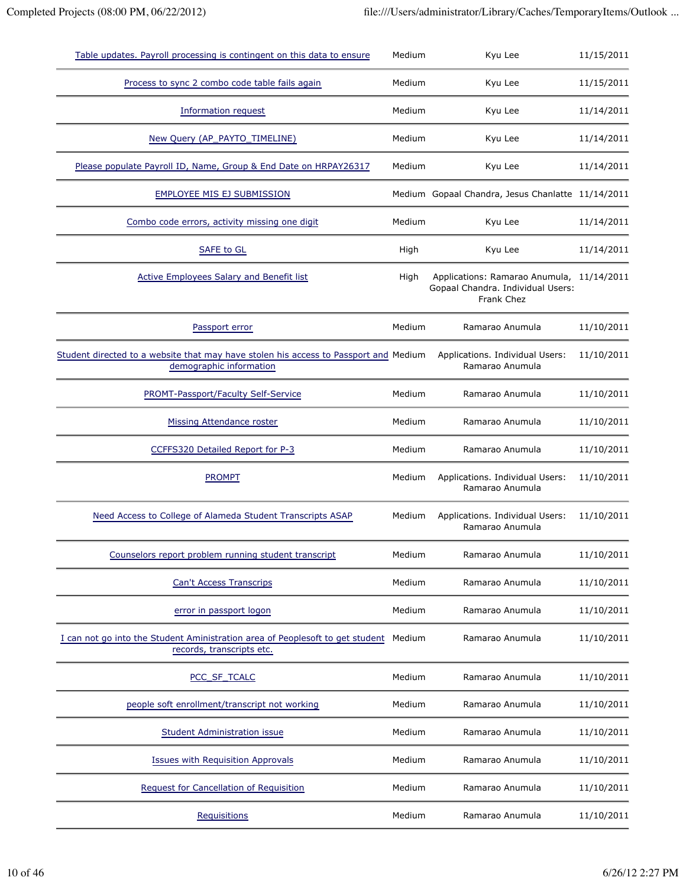| Table updates. Payroll processing is contingent on this data to ensure                                          | Medium | Kyu Lee                                                                                      | 11/15/2011 |
|-----------------------------------------------------------------------------------------------------------------|--------|----------------------------------------------------------------------------------------------|------------|
| Process to sync 2 combo code table fails again                                                                  | Medium | Kyu Lee                                                                                      | 11/15/2011 |
| <b>Information request</b>                                                                                      | Medium | Kyu Lee                                                                                      | 11/14/2011 |
| New Query (AP_PAYTO_TIMELINE)                                                                                   | Medium | Kyu Lee                                                                                      | 11/14/2011 |
| Please populate Payroll ID, Name, Group & End Date on HRPAY26317                                                | Medium | Kyu Lee                                                                                      | 11/14/2011 |
| <b>EMPLOYEE MIS EJ SUBMISSION</b>                                                                               |        | Medium Gopaal Chandra, Jesus Chanlatte 11/14/2011                                            |            |
| Combo code errors, activity missing one digit                                                                   | Medium | Kyu Lee                                                                                      | 11/14/2011 |
| SAFE to GL                                                                                                      | High   | Kyu Lee                                                                                      | 11/14/2011 |
| <b>Active Employees Salary and Benefit list</b>                                                                 | High   | Applications: Ramarao Anumula, 11/14/2011<br>Gopaal Chandra. Individual Users:<br>Frank Chez |            |
| Passport error                                                                                                  | Medium | Ramarao Anumula                                                                              | 11/10/2011 |
| Student directed to a website that may have stolen his access to Passport and Medium<br>demographic information |        | Applications. Individual Users:<br>Ramarao Anumula                                           | 11/10/2011 |
| PROMT-Passport/Faculty Self-Service                                                                             | Medium | Ramarao Anumula                                                                              | 11/10/2011 |
| Missing Attendance roster                                                                                       | Medium | Ramarao Anumula                                                                              | 11/10/2011 |
| CCFFS320 Detailed Report for P-3                                                                                | Medium | Ramarao Anumula                                                                              | 11/10/2011 |
| <b>PROMPT</b>                                                                                                   | Medium | Applications. Individual Users:<br>Ramarao Anumula                                           | 11/10/2011 |
| Need Access to College of Alameda Student Transcripts ASAP                                                      | Medium | Applications. Individual Users:<br>Ramarao Anumula                                           | 11/10/2011 |
| Counselors report problem running student transcript                                                            | Medium | Ramarao Anumula                                                                              | 11/10/2011 |
| <b>Can't Access Transcrips</b>                                                                                  | Medium | Ramarao Anumula                                                                              | 11/10/2011 |
| error in passport logon                                                                                         | Medium | Ramarao Anumula                                                                              | 11/10/2011 |
| I can not go into the Student Aministration area of Peoplesoft to get student<br>records, transcripts etc.      | Medium | Ramarao Anumula                                                                              | 11/10/2011 |
| PCC_SF_TCALC                                                                                                    | Medium | Ramarao Anumula                                                                              | 11/10/2011 |
| people soft enrollment/transcript not working                                                                   | Medium | Ramarao Anumula                                                                              | 11/10/2011 |
| Student Administration issue                                                                                    | Medium | Ramarao Anumula                                                                              | 11/10/2011 |
| <b>Issues with Requisition Approvals</b>                                                                        | Medium | Ramarao Anumula                                                                              | 11/10/2011 |
| Request for Cancellation of Requisition                                                                         | Medium | Ramarao Anumula                                                                              | 11/10/2011 |
| Requisitions                                                                                                    | Medium | Ramarao Anumula                                                                              | 11/10/2011 |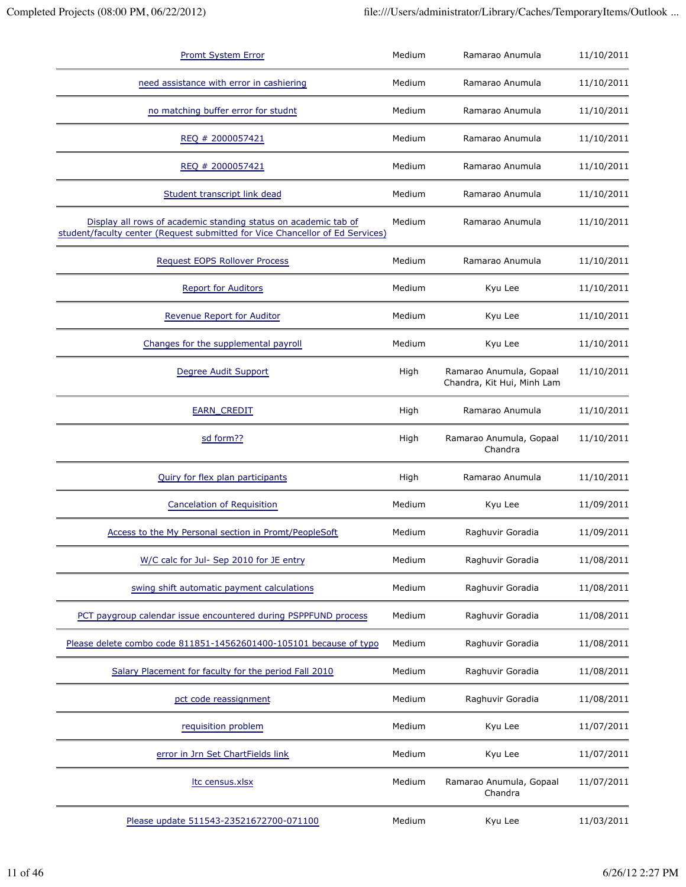| <b>Promt System Error</b>                                                                                                                        | Medium | Ramarao Anumula                                       | 11/10/2011 |
|--------------------------------------------------------------------------------------------------------------------------------------------------|--------|-------------------------------------------------------|------------|
| need assistance with error in cashiering                                                                                                         | Medium | Ramarao Anumula                                       | 11/10/2011 |
| no matching buffer error for studnt                                                                                                              | Medium | Ramarao Anumula                                       | 11/10/2011 |
| REQ # 2000057421                                                                                                                                 | Medium | Ramarao Anumula                                       | 11/10/2011 |
| REQ # 2000057421                                                                                                                                 | Medium | Ramarao Anumula                                       | 11/10/2011 |
| Student transcript link dead                                                                                                                     | Medium | Ramarao Anumula                                       | 11/10/2011 |
| Display all rows of academic standing status on academic tab of<br>student/faculty center (Request submitted for Vice Chancellor of Ed Services) | Medium | Ramarao Anumula                                       | 11/10/2011 |
| Request EOPS Rollover Process                                                                                                                    | Medium | Ramarao Anumula                                       | 11/10/2011 |
| <b>Report for Auditors</b>                                                                                                                       | Medium | Kyu Lee                                               | 11/10/2011 |
| Revenue Report for Auditor                                                                                                                       | Medium | Kyu Lee                                               | 11/10/2011 |
| Changes for the supplemental payroll                                                                                                             | Medium | Kyu Lee                                               | 11/10/2011 |
| Degree Audit Support                                                                                                                             | High   | Ramarao Anumula, Gopaal<br>Chandra, Kit Hui, Minh Lam | 11/10/2011 |
| <b>EARN CREDIT</b>                                                                                                                               | High   | Ramarao Anumula                                       | 11/10/2011 |
| sd form??                                                                                                                                        | High   | Ramarao Anumula, Gopaal<br>Chandra                    | 11/10/2011 |
| Quiry for flex plan participants                                                                                                                 | High   | Ramarao Anumula                                       | 11/10/2011 |
| <b>Cancelation of Requisition</b>                                                                                                                | Medium | Kyu Lee                                               | 11/09/2011 |
| Access to the My Personal section in Promt/PeopleSoft                                                                                            | Medium | Raghuvir Goradia                                      | 11/09/2011 |
| W/C calc for Jul- Sep 2010 for JE entry                                                                                                          | Medium | Raghuvir Goradia                                      | 11/08/2011 |
| swing shift automatic payment calculations                                                                                                       | Medium | Raghuvir Goradia                                      | 11/08/2011 |
| PCT paygroup calendar issue encountered during PSPPFUND process                                                                                  | Medium | Raghuvir Goradia                                      | 11/08/2011 |
| Please delete combo code 811851-14562601400-105101 because of typo                                                                               | Medium | Raghuvir Goradia                                      | 11/08/2011 |
| Salary Placement for faculty for the period Fall 2010                                                                                            | Medium | Raghuvir Goradia                                      | 11/08/2011 |
| pct code reassignment                                                                                                                            | Medium | Raghuvir Goradia                                      | 11/08/2011 |
| requisition problem                                                                                                                              | Medium | Kyu Lee                                               | 11/07/2011 |
| error in Jrn Set ChartFields link                                                                                                                | Medium | Kyu Lee                                               | 11/07/2011 |
| Itc census.xlsx                                                                                                                                  | Medium | Ramarao Anumula, Gopaal<br>Chandra                    | 11/07/2011 |
| Please update 511543-23521672700-071100                                                                                                          | Medium | Kyu Lee                                               | 11/03/2011 |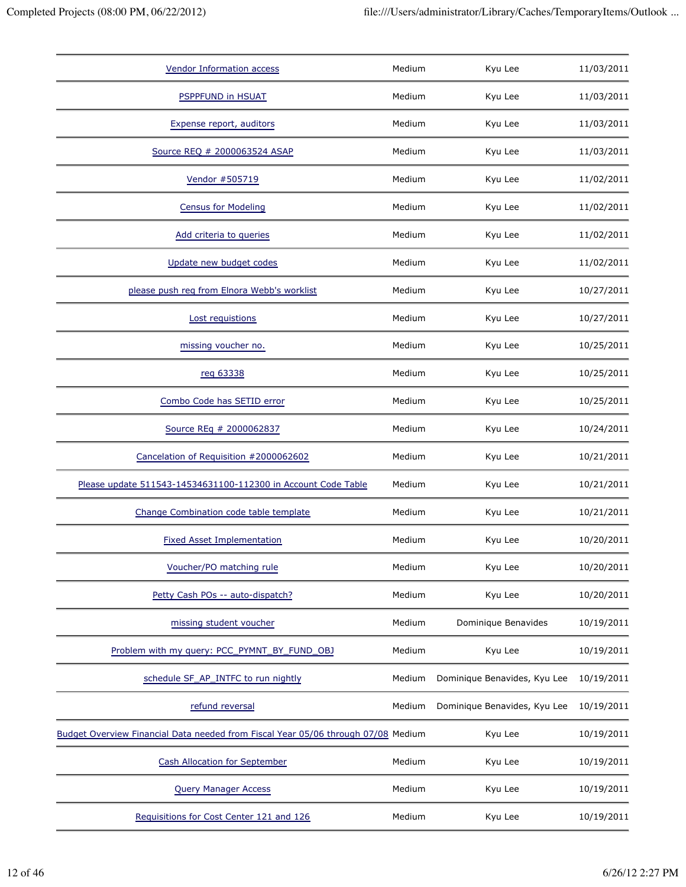| <b>Vendor Information access</b>                                                  | Medium | Kyu Lee                      | 11/03/2011 |
|-----------------------------------------------------------------------------------|--------|------------------------------|------------|
| <b>PSPPFUND in HSUAT</b>                                                          | Medium | Kyu Lee                      | 11/03/2011 |
| Expense report, auditors                                                          | Medium | Kyu Lee                      | 11/03/2011 |
| Source REQ # 2000063524 ASAP                                                      | Medium | Kyu Lee                      | 11/03/2011 |
| Vendor #505719                                                                    | Medium | Kyu Lee                      | 11/02/2011 |
| <b>Census for Modeling</b>                                                        | Medium | Kyu Lee                      | 11/02/2011 |
| Add criteria to queries                                                           | Medium | Kyu Lee                      | 11/02/2011 |
| Update new budget codes                                                           | Medium | Kyu Lee                      | 11/02/2011 |
| please push reg from Elnora Webb's worklist                                       | Medium | Kyu Lee                      | 10/27/2011 |
| Lost requistions                                                                  | Medium | Kyu Lee                      | 10/27/2011 |
| missing voucher no.                                                               | Medium | Kyu Lee                      | 10/25/2011 |
| reg 63338                                                                         | Medium | Kyu Lee                      | 10/25/2011 |
| Combo Code has SETID error                                                        | Medium | Kyu Lee                      | 10/25/2011 |
| Source REq # 2000062837                                                           | Medium | Kyu Lee                      | 10/24/2011 |
| Cancelation of Requisition #2000062602                                            | Medium | Kyu Lee                      | 10/21/2011 |
| Please update 511543-14534631100-112300 in Account Code Table                     | Medium | Kyu Lee                      | 10/21/2011 |
| Change Combination code table template                                            | Medium | Kyu Lee                      | 10/21/2011 |
| <b>Fixed Asset Implementation</b>                                                 | Medium | Kyu Lee                      | 10/20/2011 |
| Voucher/PO matching rule                                                          | Medium | Kyu Lee                      | 10/20/2011 |
| Petty Cash POs -- auto-dispatch?                                                  | Medium | Kyu Lee                      | 10/20/2011 |
| missing student voucher                                                           | Medium | Dominique Benavides          | 10/19/2011 |
| Problem with my query: PCC_PYMNT_BY_FUND_OBJ                                      | Medium | Kyu Lee                      | 10/19/2011 |
| schedule SF_AP_INTFC to run nightly                                               | Medium | Dominique Benavides, Kyu Lee | 10/19/2011 |
| refund reversal                                                                   | Medium | Dominique Benavides, Kyu Lee | 10/19/2011 |
| Budget Overview Financial Data needed from Fiscal Year 05/06 through 07/08 Medium |        | Kyu Lee                      | 10/19/2011 |
| <b>Cash Allocation for September</b>                                              | Medium | Kyu Lee                      | 10/19/2011 |
| <b>Query Manager Access</b>                                                       | Medium | Kyu Lee                      | 10/19/2011 |
| Requisitions for Cost Center 121 and 126                                          | Medium | Kyu Lee                      | 10/19/2011 |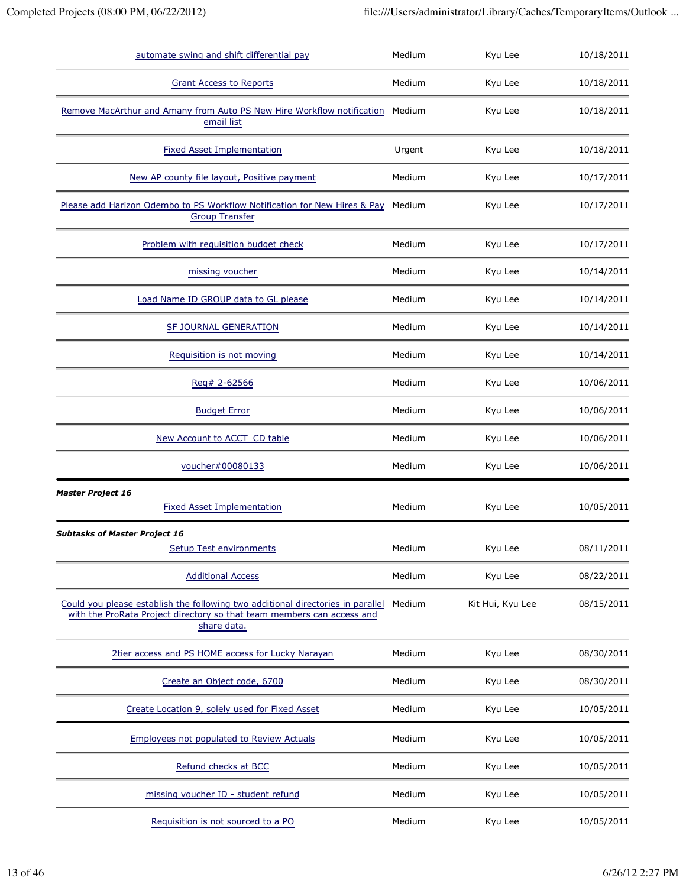| automate swing and shift differential pay                                                                                                                                | Medium | Kyu Lee          | 10/18/2011 |
|--------------------------------------------------------------------------------------------------------------------------------------------------------------------------|--------|------------------|------------|
| <b>Grant Access to Reports</b>                                                                                                                                           | Medium | Kyu Lee          | 10/18/2011 |
| Remove MacArthur and Amany from Auto PS New Hire Workflow notification<br>email list                                                                                     | Medium | Kyu Lee          | 10/18/2011 |
| <b>Fixed Asset Implementation</b>                                                                                                                                        | Urgent | Kyu Lee          | 10/18/2011 |
| New AP county file layout, Positive payment                                                                                                                              | Medium | Kyu Lee          | 10/17/2011 |
| Please add Harizon Odembo to PS Workflow Notification for New Hires & Pay<br><b>Group Transfer</b>                                                                       | Medium | Kyu Lee          | 10/17/2011 |
| Problem with requisition budget check                                                                                                                                    | Medium | Kyu Lee          | 10/17/2011 |
| missing voucher                                                                                                                                                          | Medium | Kyu Lee          | 10/14/2011 |
| Load Name ID GROUP data to GL please                                                                                                                                     | Medium | Kyu Lee          | 10/14/2011 |
| SF JOURNAL GENERATION                                                                                                                                                    | Medium | Kyu Lee          | 10/14/2011 |
| Requisition is not moving                                                                                                                                                | Medium | Kyu Lee          | 10/14/2011 |
| Req# 2-62566                                                                                                                                                             | Medium | Kyu Lee          | 10/06/2011 |
| <b>Budget Error</b>                                                                                                                                                      | Medium | Kyu Lee          | 10/06/2011 |
| New Account to ACCT_CD table                                                                                                                                             | Medium | Kyu Lee          | 10/06/2011 |
| voucher#00080133                                                                                                                                                         | Medium | Kyu Lee          | 10/06/2011 |
| <b>Master Project 16</b><br><b>Fixed Asset Implementation</b>                                                                                                            | Medium | Kyu Lee          | 10/05/2011 |
| <b>Subtasks of Master Project 16</b><br><b>Setup Test environments</b>                                                                                                   | Medium | Kyu Lee          | 08/11/2011 |
| <b>Additional Access</b>                                                                                                                                                 | Medium | Kyu Lee          | 08/22/2011 |
| Could you please establish the following two additional directories in parallel<br>with the ProRata Project directory so that team members can access and<br>share data. | Medium | Kit Hui, Kyu Lee | 08/15/2011 |
| 2tier access and PS HOME access for Lucky Narayan                                                                                                                        | Medium | Kyu Lee          | 08/30/2011 |
| Create an Object code, 6700                                                                                                                                              | Medium | Kyu Lee          | 08/30/2011 |
| Create Location 9, solely used for Fixed Asset                                                                                                                           | Medium | Kyu Lee          | 10/05/2011 |
| <b>Employees not populated to Review Actuals</b>                                                                                                                         | Medium | Kyu Lee          | 10/05/2011 |
| Refund checks at BCC                                                                                                                                                     | Medium | Kyu Lee          | 10/05/2011 |
| missing voucher ID - student refund                                                                                                                                      | Medium | Kyu Lee          | 10/05/2011 |
| Requisition is not sourced to a PO                                                                                                                                       | Medium | Kyu Lee          | 10/05/2011 |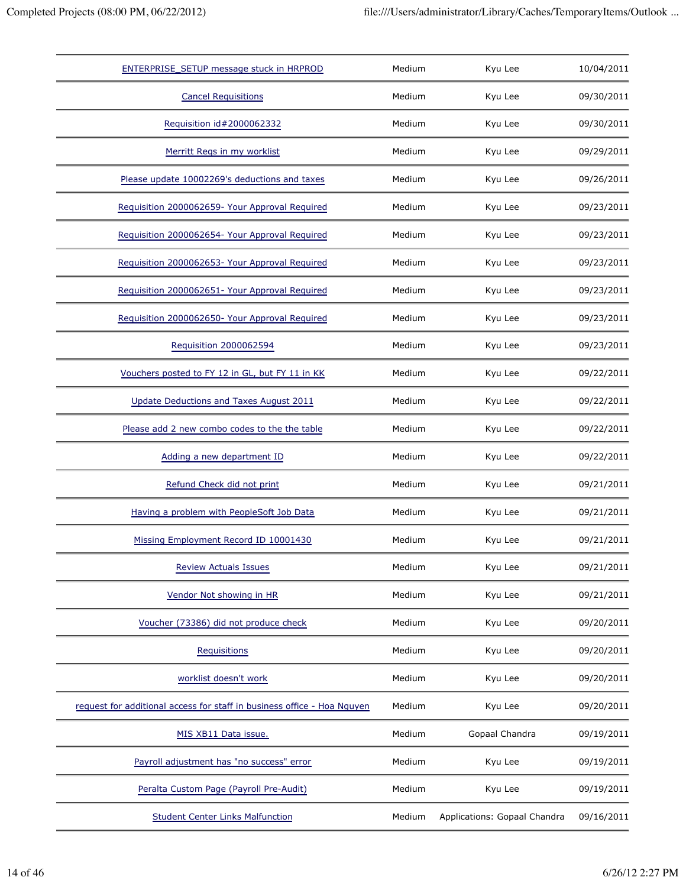| ENTERPRISE_SETUP message stuck in HRPROD                                | Medium | Kyu Lee                      | 10/04/2011 |
|-------------------------------------------------------------------------|--------|------------------------------|------------|
| <b>Cancel Requisitions</b>                                              | Medium | Kyu Lee                      | 09/30/2011 |
| Requisition id#2000062332                                               | Medium | Kyu Lee                      | 09/30/2011 |
| Merritt Regs in my worklist                                             | Medium | Kyu Lee                      | 09/29/2011 |
| Please update 10002269's deductions and taxes                           | Medium | Kyu Lee                      | 09/26/2011 |
| Requisition 2000062659- Your Approval Required                          | Medium | Kyu Lee                      | 09/23/2011 |
| Requisition 2000062654- Your Approval Required                          | Medium | Kyu Lee                      | 09/23/2011 |
| Requisition 2000062653- Your Approval Required                          | Medium | Kyu Lee                      | 09/23/2011 |
| Requisition 2000062651- Your Approval Required                          | Medium | Kyu Lee                      | 09/23/2011 |
| Requisition 2000062650- Your Approval Required                          | Medium | Kyu Lee                      | 09/23/2011 |
| Requisition 2000062594                                                  | Medium | Kyu Lee                      | 09/23/2011 |
| Vouchers posted to FY 12 in GL, but FY 11 in KK                         | Medium | Kyu Lee                      | 09/22/2011 |
| Update Deductions and Taxes August 2011                                 | Medium | Kyu Lee                      | 09/22/2011 |
| Please add 2 new combo codes to the the table                           | Medium | Kyu Lee                      | 09/22/2011 |
| Adding a new department ID                                              | Medium | Kyu Lee                      | 09/22/2011 |
| Refund Check did not print                                              | Medium | Kyu Lee                      | 09/21/2011 |
| Having a problem with PeopleSoft Job Data                               | Medium | Kyu Lee                      | 09/21/2011 |
| Missing Employment Record ID 10001430                                   | Medium | Kyu Lee                      | 09/21/2011 |
| <b>Review Actuals Issues</b>                                            | Medium | Kyu Lee                      | 09/21/2011 |
| Vendor Not showing in HR                                                | Medium | Kyu Lee                      | 09/21/2011 |
| Voucher (73386) did not produce check                                   | Medium | Kyu Lee                      | 09/20/2011 |
| <b>Requisitions</b>                                                     | Medium | Kyu Lee                      | 09/20/2011 |
| worklist doesn't work                                                   | Medium | Kyu Lee                      | 09/20/2011 |
| request for additional access for staff in business office - Hoa Nguyen | Medium | Kyu Lee                      | 09/20/2011 |
| MIS XB11 Data issue.                                                    | Medium | Gopaal Chandra               | 09/19/2011 |
| Payroll adjustment has "no success" error                               | Medium | Kyu Lee                      | 09/19/2011 |
| Peralta Custom Page (Payroll Pre-Audit)                                 | Medium | Kyu Lee                      | 09/19/2011 |
| <b>Student Center Links Malfunction</b>                                 | Medium | Applications: Gopaal Chandra | 09/16/2011 |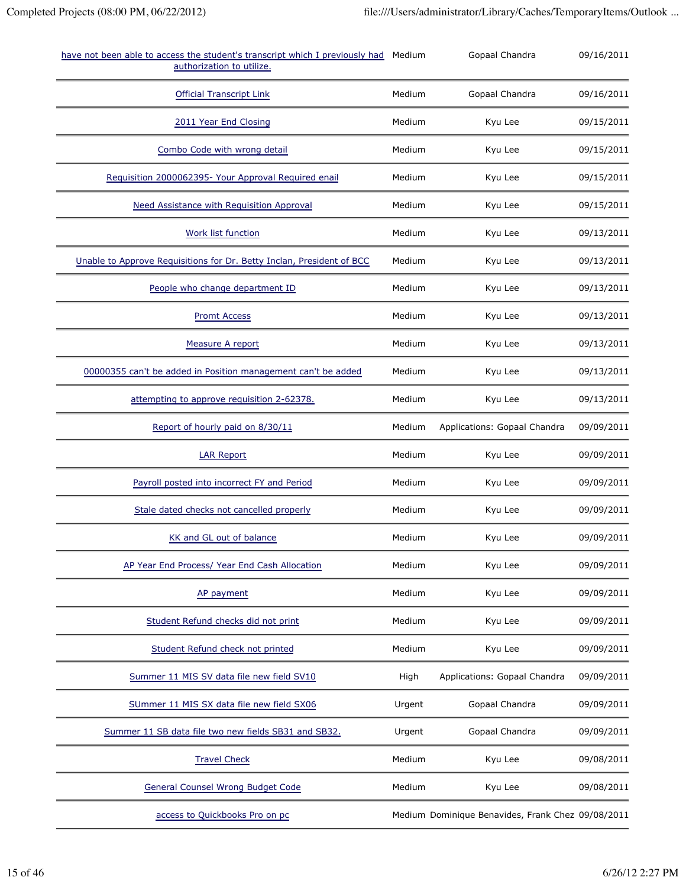| have not been able to access the student's transcript which I previously had<br>authorization to utilize. | Medium | Gopaal Chandra                                    | 09/16/2011 |
|-----------------------------------------------------------------------------------------------------------|--------|---------------------------------------------------|------------|
| <b>Official Transcript Link</b>                                                                           | Medium | Gopaal Chandra                                    | 09/16/2011 |
| 2011 Year End Closing                                                                                     | Medium | Kyu Lee                                           | 09/15/2011 |
| Combo Code with wrong detail                                                                              | Medium | Kyu Lee                                           | 09/15/2011 |
| Requisition 2000062395- Your Approval Required enail                                                      | Medium | Kyu Lee                                           | 09/15/2011 |
| <b>Need Assistance with Requisition Approval</b>                                                          | Medium | Kyu Lee                                           | 09/15/2011 |
| Work list function                                                                                        | Medium | Kyu Lee                                           | 09/13/2011 |
| Unable to Approve Requisitions for Dr. Betty Inclan, President of BCC                                     | Medium | Kyu Lee                                           | 09/13/2011 |
| People who change department ID                                                                           | Medium | Kyu Lee                                           | 09/13/2011 |
| <b>Promt Access</b>                                                                                       | Medium | Kyu Lee                                           | 09/13/2011 |
| Measure A report                                                                                          | Medium | Kyu Lee                                           | 09/13/2011 |
| 00000355 can't be added in Position management can't be added                                             | Medium | Kyu Lee                                           | 09/13/2011 |
| attempting to approve requisition 2-62378.                                                                | Medium | Kyu Lee                                           | 09/13/2011 |
| Report of hourly paid on 8/30/11                                                                          | Medium | Applications: Gopaal Chandra                      | 09/09/2011 |
| <b>LAR Report</b>                                                                                         | Medium | Kyu Lee                                           | 09/09/2011 |
| Payroll posted into incorrect FY and Period                                                               | Medium | Kyu Lee                                           | 09/09/2011 |
| Stale dated checks not cancelled properly                                                                 | Medium | Kyu Lee                                           | 09/09/2011 |
| KK and GL out of balance                                                                                  | Medium | Kyu Lee                                           | 09/09/2011 |
| AP Year End Process/ Year End Cash Allocation                                                             | Medium | Kyu Lee                                           | 09/09/2011 |
| AP payment                                                                                                | Medium | Kyu Lee                                           | 09/09/2011 |
| Student Refund checks did not print                                                                       | Medium | Kyu Lee                                           | 09/09/2011 |
| Student Refund check not printed                                                                          | Medium | Kyu Lee                                           | 09/09/2011 |
| Summer 11 MIS SV data file new field SV10                                                                 | High   | Applications: Gopaal Chandra                      | 09/09/2011 |
| SUmmer 11 MIS SX data file new field SX06                                                                 | Urgent | Gopaal Chandra                                    | 09/09/2011 |
| Summer 11 SB data file two new fields SB31 and SB32.                                                      | Urgent | Gopaal Chandra                                    | 09/09/2011 |
| <b>Travel Check</b>                                                                                       | Medium | Kyu Lee                                           | 09/08/2011 |
| <b>General Counsel Wrong Budget Code</b>                                                                  | Medium | Kyu Lee                                           | 09/08/2011 |
| access to Quickbooks Pro on pc                                                                            |        | Medium Dominique Benavides, Frank Chez 09/08/2011 |            |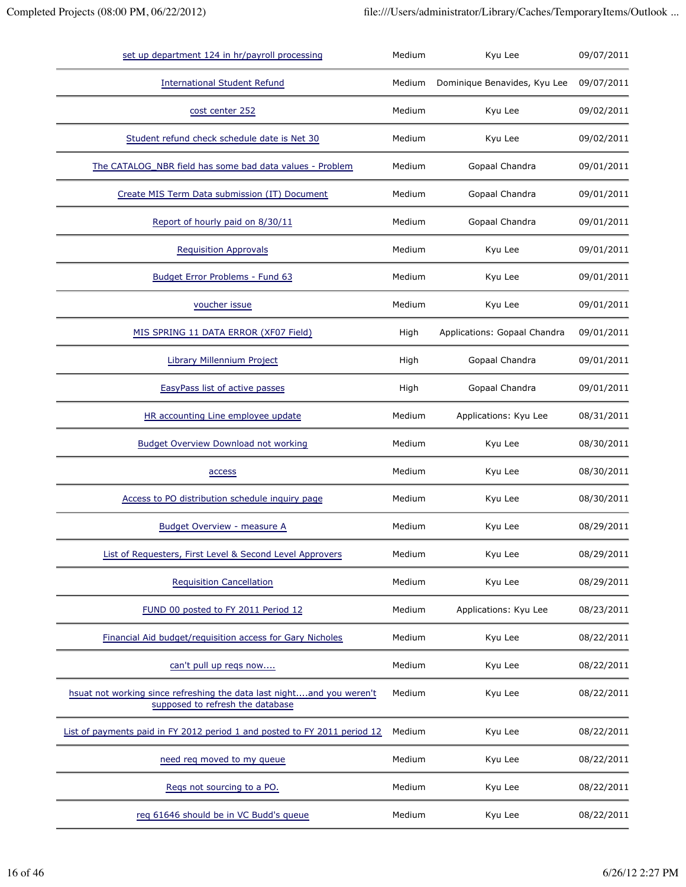| set up department 124 in hr/payroll processing                                                            | Medium | Kyu Lee                      | 09/07/2011 |
|-----------------------------------------------------------------------------------------------------------|--------|------------------------------|------------|
| <b>International Student Refund</b>                                                                       | Medium | Dominique Benavides, Kyu Lee | 09/07/2011 |
| cost center 252                                                                                           | Medium | Kyu Lee                      | 09/02/2011 |
| Student refund check schedule date is Net 30                                                              | Medium | Kyu Lee                      | 09/02/2011 |
| The CATALOG_NBR field has some bad data values - Problem                                                  | Medium | Gopaal Chandra               | 09/01/2011 |
| Create MIS Term Data submission (IT) Document                                                             | Medium | Gopaal Chandra               | 09/01/2011 |
| Report of hourly paid on 8/30/11                                                                          | Medium | Gopaal Chandra               | 09/01/2011 |
| <b>Requisition Approvals</b>                                                                              | Medium | Kyu Lee                      | 09/01/2011 |
| Budget Error Problems - Fund 63                                                                           | Medium | Kyu Lee                      | 09/01/2011 |
| voucher issue                                                                                             | Medium | Kyu Lee                      | 09/01/2011 |
| MIS SPRING 11 DATA ERROR (XF07 Field)                                                                     | High   | Applications: Gopaal Chandra | 09/01/2011 |
| Library Millennium Project                                                                                | High   | Gopaal Chandra               | 09/01/2011 |
| EasyPass list of active passes                                                                            | High   | Gopaal Chandra               | 09/01/2011 |
| HR accounting Line employee update                                                                        | Medium | Applications: Kyu Lee        | 08/31/2011 |
| <b>Budget Overview Download not working</b>                                                               | Medium | Kyu Lee                      | 08/30/2011 |
| access                                                                                                    | Medium | Kyu Lee                      | 08/30/2011 |
| Access to PO distribution schedule inquiry page                                                           | Medium | Kyu Lee                      | 08/30/2011 |
| <b>Budget Overview - measure A</b>                                                                        | Medium | Kyu Lee                      | 08/29/2011 |
| List of Requesters, First Level & Second Level Approvers                                                  | Medium | Kyu Lee                      | 08/29/2011 |
| <b>Requisition Cancellation</b>                                                                           | Medium | Kyu Lee                      | 08/29/2011 |
| FUND 00 posted to FY 2011 Period 12                                                                       | Medium | Applications: Kyu Lee        | 08/23/2011 |
| Financial Aid budget/requisition access for Gary Nicholes                                                 | Medium | Kyu Lee                      | 08/22/2011 |
| can't pull up reqs now                                                                                    | Medium | Kyu Lee                      | 08/22/2011 |
| hsuat not working since refreshing the data last nightand you weren't<br>supposed to refresh the database | Medium | Kyu Lee                      | 08/22/2011 |
| List of payments paid in FY 2012 period 1 and posted to FY 2011 period 12                                 | Medium | Kyu Lee                      | 08/22/2011 |
| need req moved to my queue                                                                                | Medium | Kyu Lee                      | 08/22/2011 |
| Regs not sourcing to a PO.                                                                                | Medium | Kyu Lee                      | 08/22/2011 |
| req 61646 should be in VC Budd's queue                                                                    | Medium | Kyu Lee                      | 08/22/2011 |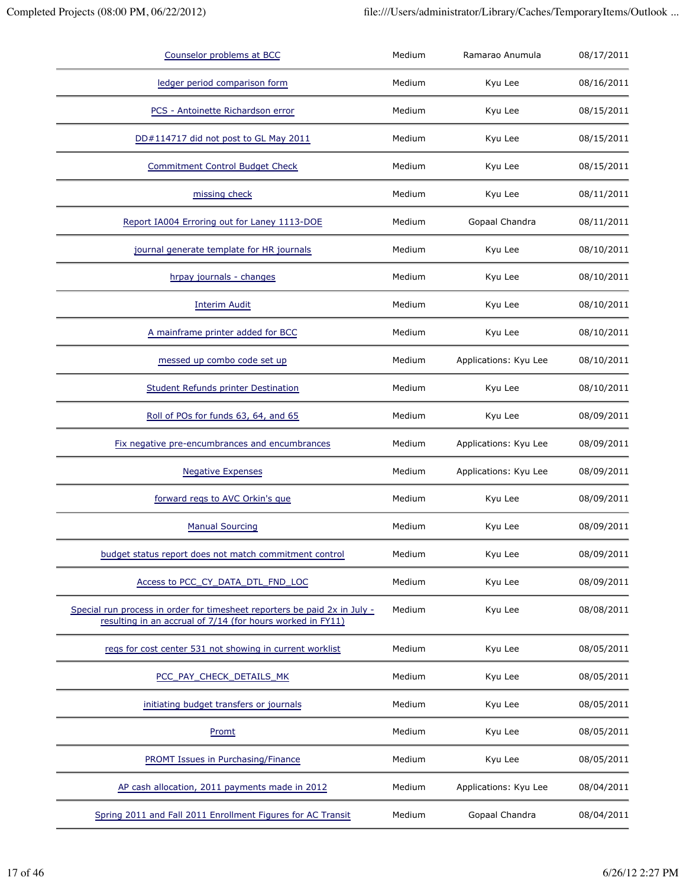| Counselor problems at BCC                                                                                                               | Medium | Ramarao Anumula       | 08/17/2011 |
|-----------------------------------------------------------------------------------------------------------------------------------------|--------|-----------------------|------------|
| ledger period comparison form                                                                                                           | Medium | Kyu Lee               | 08/16/2011 |
| PCS - Antoinette Richardson error                                                                                                       | Medium | Kyu Lee               | 08/15/2011 |
| DD#114717 did not post to GL May 2011                                                                                                   | Medium | Kyu Lee               | 08/15/2011 |
| <b>Commitment Control Budget Check</b>                                                                                                  | Medium | Kyu Lee               | 08/15/2011 |
| missing check                                                                                                                           | Medium | Kyu Lee               | 08/11/2011 |
| Report IA004 Erroring out for Laney 1113-DOE                                                                                            | Medium | Gopaal Chandra        | 08/11/2011 |
| journal generate template for HR journals                                                                                               | Medium | Kyu Lee               | 08/10/2011 |
| hrpay journals - changes                                                                                                                | Medium | Kyu Lee               | 08/10/2011 |
| <b>Interim Audit</b>                                                                                                                    | Medium | Kyu Lee               | 08/10/2011 |
| A mainframe printer added for BCC                                                                                                       | Medium | Kyu Lee               | 08/10/2011 |
| messed up combo code set up                                                                                                             | Medium | Applications: Kyu Lee | 08/10/2011 |
| <b>Student Refunds printer Destination</b>                                                                                              | Medium | Kyu Lee               | 08/10/2011 |
| Roll of POs for funds 63, 64, and 65                                                                                                    | Medium | Kyu Lee               | 08/09/2011 |
| Fix negative pre-encumbrances and encumbrances                                                                                          | Medium | Applications: Kyu Lee | 08/09/2011 |
| <b>Negative Expenses</b>                                                                                                                | Medium | Applications: Kyu Lee | 08/09/2011 |
| forward regs to AVC Orkin's que                                                                                                         | Medium | Kyu Lee               | 08/09/2011 |
| <b>Manual Sourcing</b>                                                                                                                  | Medium | Kyu Lee               | 08/09/2011 |
| budget status report does not match commitment control                                                                                  | Medium | Kyu Lee               | 08/09/2011 |
| Access to PCC_CY_DATA_DTL_FND_LOC                                                                                                       | Medium | Kyu Lee               | 08/09/2011 |
| Special run process in order for timesheet reporters be paid 2x in July -<br>resulting in an accrual of 7/14 (for hours worked in FY11) | Medium | Kyu Lee               | 08/08/2011 |
| regs for cost center 531 not showing in current worklist                                                                                | Medium | Kyu Lee               | 08/05/2011 |
| PCC PAY CHECK DETAILS MK                                                                                                                | Medium | Kyu Lee               | 08/05/2011 |
| initiating budget transfers or journals                                                                                                 | Medium | Kyu Lee               | 08/05/2011 |
| Promt                                                                                                                                   | Medium | Kyu Lee               | 08/05/2011 |
| PROMT Issues in Purchasing/Finance                                                                                                      | Medium | Kyu Lee               | 08/05/2011 |
| AP cash allocation, 2011 payments made in 2012                                                                                          | Medium | Applications: Kyu Lee | 08/04/2011 |
| Spring 2011 and Fall 2011 Enrollment Figures for AC Transit                                                                             | Medium | Gopaal Chandra        | 08/04/2011 |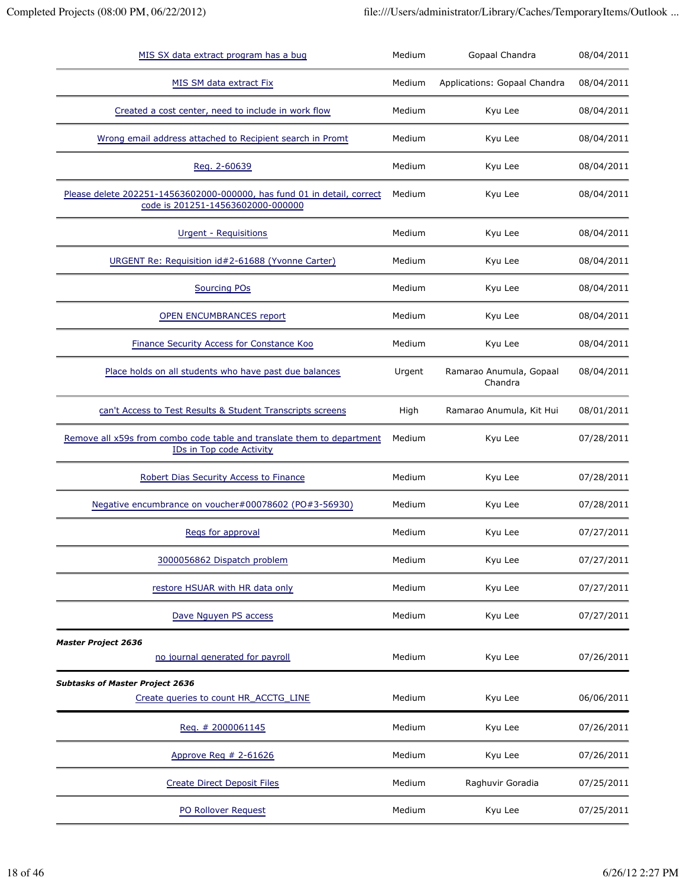| MIS SX data extract program has a bug                                                                        | Medium | Gopaal Chandra                     | 08/04/2011 |
|--------------------------------------------------------------------------------------------------------------|--------|------------------------------------|------------|
| MIS SM data extract Fix                                                                                      | Medium | Applications: Gopaal Chandra       | 08/04/2011 |
| Created a cost center, need to include in work flow                                                          | Medium | Kyu Lee                            | 08/04/2011 |
| Wrong email address attached to Recipient search in Promt                                                    | Medium | Kyu Lee                            | 08/04/2011 |
| Reg. 2-60639                                                                                                 | Medium | Kyu Lee                            | 08/04/2011 |
| Please delete 202251-14563602000-000000, has fund 01 in detail, correct<br>code is 201251-14563602000-000000 | Medium | Kyu Lee                            | 08/04/2011 |
| <u><b>Urgent - Requisitions</b></u>                                                                          | Medium | Kyu Lee                            | 08/04/2011 |
| URGENT Re: Requisition id#2-61688 (Yvonne Carter)                                                            | Medium | Kyu Lee                            | 08/04/2011 |
| <b>Sourcing POs</b>                                                                                          | Medium | Kyu Lee                            | 08/04/2011 |
| <b>OPEN ENCUMBRANCES report</b>                                                                              | Medium | Kyu Lee                            | 08/04/2011 |
| <b>Finance Security Access for Constance Koo</b>                                                             | Medium | Kyu Lee                            | 08/04/2011 |
| Place holds on all students who have past due balances                                                       | Urgent | Ramarao Anumula, Gopaal<br>Chandra | 08/04/2011 |
| can't Access to Test Results & Student Transcripts screens                                                   | High   | Ramarao Anumula, Kit Hui           | 08/01/2011 |
| Remove all x59s from combo code table and translate them to department<br>IDs in Top code Activity           | Medium | Kyu Lee                            | 07/28/2011 |
| Robert Dias Security Access to Finance                                                                       | Medium | Kyu Lee                            | 07/28/2011 |
| Negative encumbrance on voucher#00078602 (PO#3-56930)                                                        | Medium | Kyu Lee                            | 07/28/2011 |
| Regs for approval                                                                                            | Medium | Kyu Lee                            | 07/27/2011 |
| 3000056862 Dispatch problem                                                                                  | Medium | Kyu Lee                            | 07/27/2011 |
| restore HSUAR with HR data only                                                                              | Medium | Kyu Lee                            | 07/27/2011 |
| Dave Nguyen PS access                                                                                        | Medium | Kyu Lee                            | 07/27/2011 |
| <b>Master Project 2636</b><br>no journal generated for payroll                                               | Medium | Kyu Lee                            | 07/26/2011 |
| <b>Subtasks of Master Project 2636</b>                                                                       |        |                                    |            |
| Create queries to count HR_ACCTG_LINE                                                                        | Medium | Kyu Lee                            | 06/06/2011 |
| Reg. # 2000061145                                                                                            | Medium | Kyu Lee                            | 07/26/2011 |
| Approve Req $# 2-61626$                                                                                      | Medium | Kyu Lee                            | 07/26/2011 |
| <b>Create Direct Deposit Files</b>                                                                           | Medium | Raghuvir Goradia                   | 07/25/2011 |
| PO Rollover Request                                                                                          | Medium | Kyu Lee                            | 07/25/2011 |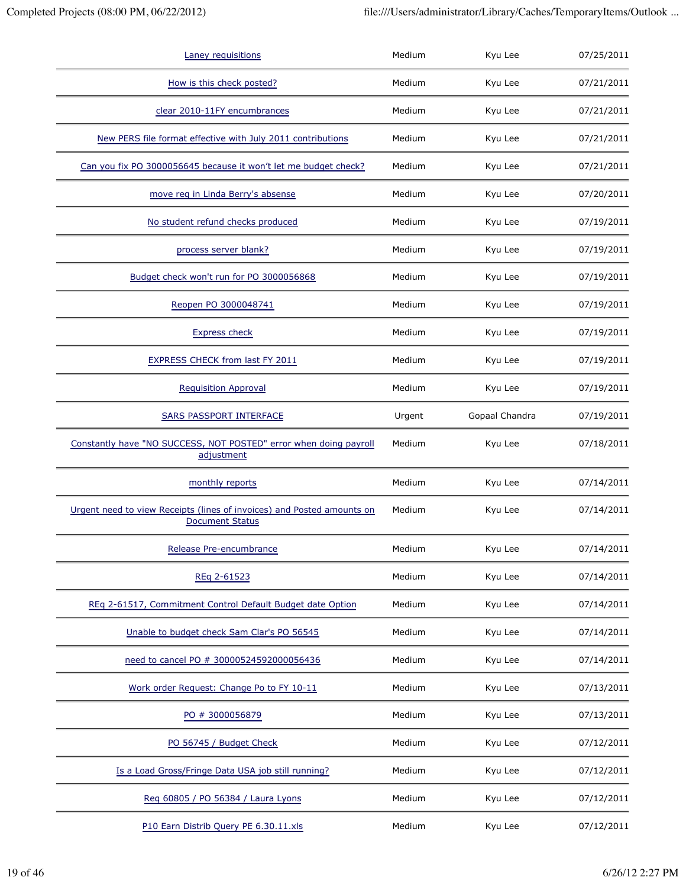| Laney requisitions                                                                               | Medium | Kyu Lee        | 07/25/2011 |
|--------------------------------------------------------------------------------------------------|--------|----------------|------------|
| How is this check posted?                                                                        | Medium | Kyu Lee        | 07/21/2011 |
| clear 2010-11FY encumbrances                                                                     | Medium | Kyu Lee        | 07/21/2011 |
| New PERS file format effective with July 2011 contributions                                      | Medium | Kyu Lee        | 07/21/2011 |
| Can you fix PO 3000056645 because it won't let me budget check?                                  | Medium | Kyu Lee        | 07/21/2011 |
| move req in Linda Berry's absense                                                                | Medium | Kyu Lee        | 07/20/2011 |
| No student refund checks produced                                                                | Medium | Kyu Lee        | 07/19/2011 |
| process server blank?                                                                            | Medium | Kyu Lee        | 07/19/2011 |
| Budget check won't run for PO 3000056868                                                         | Medium | Kyu Lee        | 07/19/2011 |
| Reopen PO 3000048741                                                                             | Medium | Kyu Lee        | 07/19/2011 |
| <b>Express check</b>                                                                             | Medium | Kyu Lee        | 07/19/2011 |
| EXPRESS CHECK from last FY 2011                                                                  | Medium | Kyu Lee        | 07/19/2011 |
| <b>Requisition Approval</b>                                                                      | Medium | Kyu Lee        | 07/19/2011 |
| SARS PASSPORT INTERFACE                                                                          | Urgent | Gopaal Chandra | 07/19/2011 |
| Constantly have "NO SUCCESS, NOT POSTED" error when doing payroll<br>adjustment                  | Medium | Kyu Lee        | 07/18/2011 |
| monthly reports                                                                                  | Medium | Kyu Lee        | 07/14/2011 |
| Urgent need to view Receipts (lines of invoices) and Posted amounts on<br><b>Document Status</b> | Medium | Kyu Lee        | 07/14/2011 |
| Release Pre-encumbrance                                                                          | Medium | Kyu Lee        | 07/14/2011 |
| REq 2-61523                                                                                      | Medium | Kyu Lee        | 07/14/2011 |
| REq 2-61517, Commitment Control Default Budget date Option                                       | Medium | Kyu Lee        | 07/14/2011 |
| Unable to budget check Sam Clar's PO 56545                                                       | Medium | Kyu Lee        | 07/14/2011 |
| need to cancel PO # 30000524592000056436                                                         | Medium | Kyu Lee        | 07/14/2011 |
| Work order Request: Change Po to FY 10-11                                                        | Medium | Kyu Lee        | 07/13/2011 |
| PO # 3000056879                                                                                  | Medium | Kyu Lee        | 07/13/2011 |
| PO 56745 / Budget Check                                                                          | Medium | Kyu Lee        | 07/12/2011 |
| Is a Load Gross/Fringe Data USA job still running?                                               | Medium | Kyu Lee        | 07/12/2011 |
| Reg 60805 / PO 56384 / Laura Lyons                                                               | Medium | Kyu Lee        | 07/12/2011 |
| P10 Earn Distrib Query PE 6.30.11.xls                                                            | Medium | Kyu Lee        | 07/12/2011 |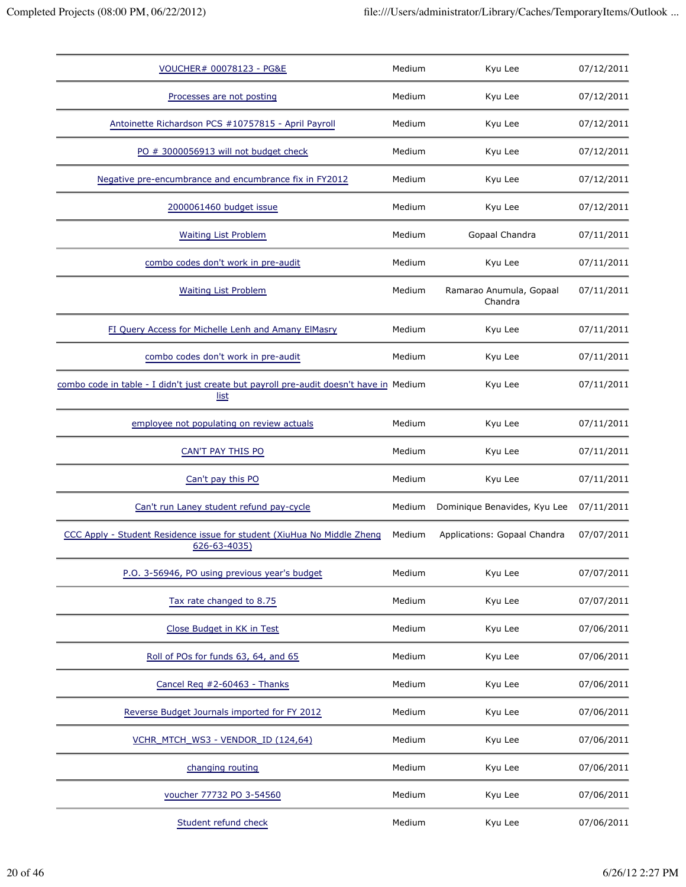| VOUCHER# 00078123 - PG&E                                                                        | Medium | Kyu Lee                            | 07/12/2011 |
|-------------------------------------------------------------------------------------------------|--------|------------------------------------|------------|
| Processes are not posting                                                                       | Medium | Kyu Lee                            | 07/12/2011 |
| Antoinette Richardson PCS #10757815 - April Payroll                                             | Medium | Kyu Lee                            | 07/12/2011 |
| PO # 3000056913 will not budget check                                                           | Medium | Kyu Lee                            | 07/12/2011 |
| Negative pre-encumbrance and encumbrance fix in FY2012                                          | Medium | Kyu Lee                            | 07/12/2011 |
| 2000061460 budget issue                                                                         | Medium | Kyu Lee                            | 07/12/2011 |
| <b>Waiting List Problem</b>                                                                     | Medium | Gopaal Chandra                     | 07/11/2011 |
| combo codes don't work in pre-audit                                                             | Medium | Kyu Lee                            | 07/11/2011 |
| <b>Waiting List Problem</b>                                                                     | Medium | Ramarao Anumula, Gopaal<br>Chandra | 07/11/2011 |
| FI Query Access for Michelle Lenh and Amany ElMasry                                             | Medium | Kyu Lee                            | 07/11/2011 |
| combo codes don't work in pre-audit                                                             | Medium | Kyu Lee                            | 07/11/2011 |
| combo code in table - I didn't just create but payroll pre-audit doesn't have in Medium<br>list |        | Kyu Lee                            | 07/11/2011 |
| employee not populating on review actuals                                                       | Medium | Kyu Lee                            | 07/11/2011 |
| CAN'T PAY THIS PO                                                                               | Medium | Kyu Lee                            | 07/11/2011 |
| Can't pay this PO                                                                               | Medium | Kyu Lee                            | 07/11/2011 |
| Can't run Laney student refund pay-cycle                                                        | Medium | Dominique Benavides, Kyu Lee       | 07/11/2011 |
| CCC Apply - Student Residence issue for student (XiuHua No Middle Zheng<br>626-63-4035)         | Medium | Applications: Gopaal Chandra       | 07/07/2011 |
| P.O. 3-56946, PO using previous year's budget                                                   | Medium | Kyu Lee                            | 07/07/2011 |
| Tax rate changed to 8.75                                                                        | Medium | Kyu Lee                            | 07/07/2011 |
| Close Budget in KK in Test                                                                      | Medium | Kyu Lee                            | 07/06/2011 |
| Roll of POs for funds 63, 64, and 65                                                            | Medium | Kyu Lee                            | 07/06/2011 |
| Cancel Req #2-60463 - Thanks                                                                    | Medium | Kyu Lee                            | 07/06/2011 |
| Reverse Budget Journals imported for FY 2012                                                    | Medium | Kyu Lee                            | 07/06/2011 |
| VCHR MTCH WS3 - VENDOR ID (124,64)                                                              | Medium | Kyu Lee                            | 07/06/2011 |
| changing routing                                                                                | Medium | Kyu Lee                            | 07/06/2011 |
| voucher 77732 PO 3-54560                                                                        | Medium | Kyu Lee                            | 07/06/2011 |
| Student refund check                                                                            | Medium | Kyu Lee                            | 07/06/2011 |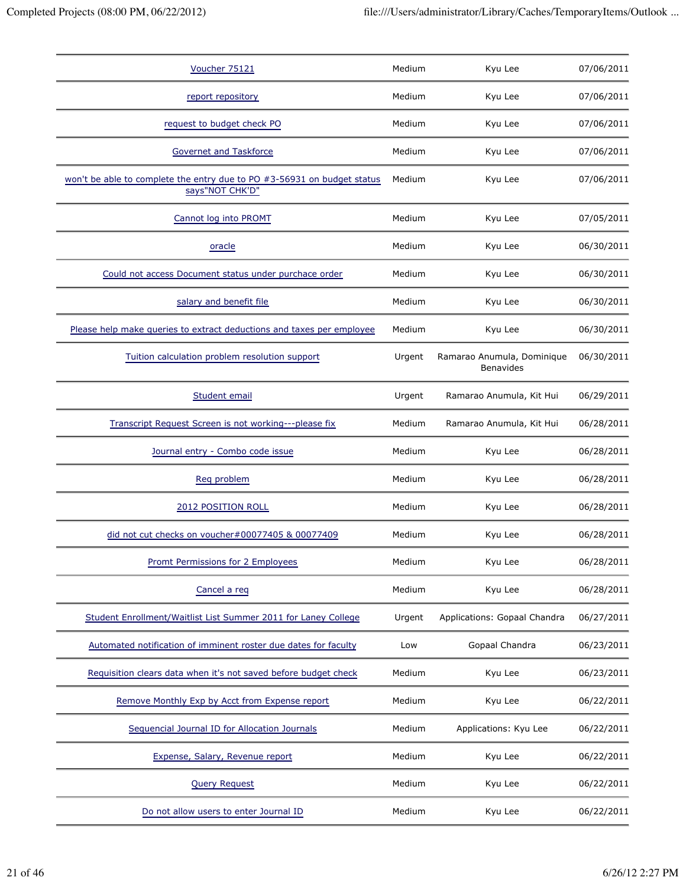| Voucher 75121                                                                              | Medium | Kyu Lee                                        | 07/06/2011 |
|--------------------------------------------------------------------------------------------|--------|------------------------------------------------|------------|
| report repository                                                                          | Medium | Kyu Lee                                        | 07/06/2011 |
| request to budget check PO                                                                 | Medium | Kyu Lee                                        | 07/06/2011 |
| <b>Governet and Taskforce</b>                                                              | Medium | Kyu Lee                                        | 07/06/2011 |
| won't be able to complete the entry due to PO #3-56931 on budget status<br>says"NOT CHK'D" | Medium | Kyu Lee                                        | 07/06/2011 |
| Cannot log into PROMT                                                                      | Medium | Kyu Lee                                        | 07/05/2011 |
| oracle                                                                                     | Medium | Kyu Lee                                        | 06/30/2011 |
| Could not access Document status under purchace order                                      | Medium | Kyu Lee                                        | 06/30/2011 |
| salary and benefit file                                                                    | Medium | Kyu Lee                                        | 06/30/2011 |
| Please help make queries to extract deductions and taxes per employee                      | Medium | Kyu Lee                                        | 06/30/2011 |
| Tuition calculation problem resolution support                                             | Urgent | Ramarao Anumula, Dominique<br><b>Benavides</b> | 06/30/2011 |
| Student email                                                                              | Urgent | Ramarao Anumula, Kit Hui                       | 06/29/2011 |
| Transcript Request Screen is not working---please fix                                      | Medium | Ramarao Anumula, Kit Hui                       | 06/28/2011 |
| Journal entry - Combo code issue                                                           | Medium | Kyu Lee                                        | 06/28/2011 |
| Req problem                                                                                | Medium | Kyu Lee                                        | 06/28/2011 |
| 2012 POSITION ROLL                                                                         | Medium | Kyu Lee                                        | 06/28/2011 |
| did not cut checks on voucher#00077405 & 00077409                                          | Medium | Kyu Lee                                        | 06/28/2011 |
| Promt Permissions for 2 Employees                                                          | Medium | Kyu Lee                                        | 06/28/2011 |
| Cancel a req                                                                               | Medium | Kyu Lee                                        | 06/28/2011 |
| Student Enrollment/Waitlist List Summer 2011 for Laney College                             | Urgent | Applications: Gopaal Chandra                   | 06/27/2011 |
| Automated notification of imminent roster due dates for faculty                            | Low    | Gopaal Chandra                                 | 06/23/2011 |
| Requisition clears data when it's not saved before budget check                            | Medium | Kyu Lee                                        | 06/23/2011 |
| Remove Monthly Exp by Acct from Expense report                                             | Medium | Kyu Lee                                        | 06/22/2011 |
| Sequencial Journal ID for Allocation Journals                                              | Medium | Applications: Kyu Lee                          | 06/22/2011 |
| Expense, Salary, Revenue report                                                            | Medium | Kyu Lee                                        | 06/22/2011 |
| <b>Query Request</b>                                                                       | Medium | Kyu Lee                                        | 06/22/2011 |
| Do not allow users to enter Journal ID                                                     | Medium | Kyu Lee                                        | 06/22/2011 |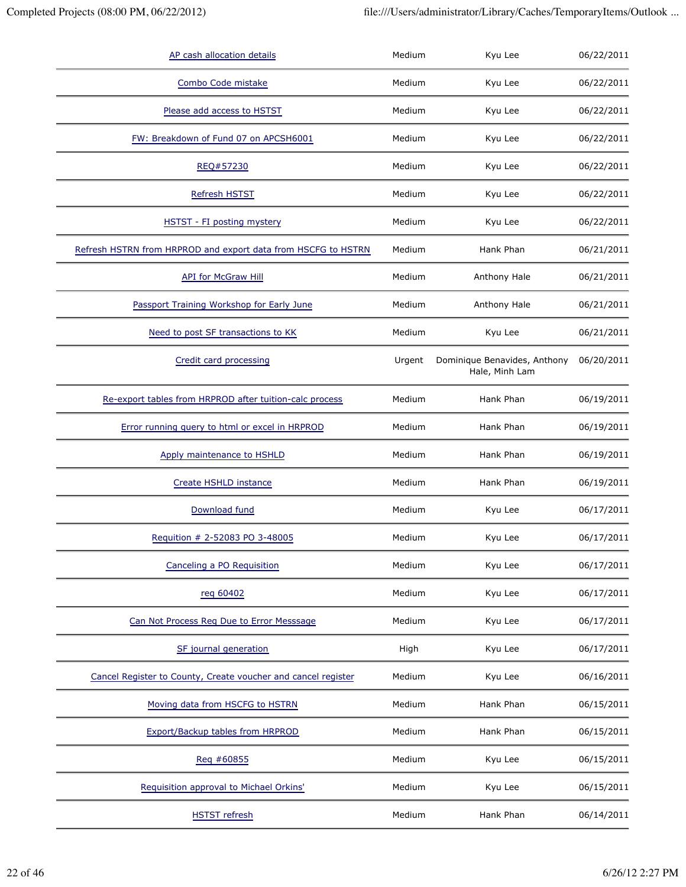| AP cash allocation details                                    | Medium | Kyu Lee                                        | 06/22/2011 |
|---------------------------------------------------------------|--------|------------------------------------------------|------------|
| Combo Code mistake                                            | Medium | Kyu Lee                                        | 06/22/2011 |
| Please add access to HSTST                                    | Medium | Kyu Lee                                        | 06/22/2011 |
| FW: Breakdown of Fund 07 on APCSH6001                         | Medium | Kyu Lee                                        | 06/22/2011 |
| REQ#57230                                                     | Medium | Kyu Lee                                        | 06/22/2011 |
| <b>Refresh HSTST</b>                                          | Medium | Kyu Lee                                        | 06/22/2011 |
| HSTST - FI posting mystery                                    | Medium | Kyu Lee                                        | 06/22/2011 |
| Refresh HSTRN from HRPROD and export data from HSCFG to HSTRN | Medium | Hank Phan                                      | 06/21/2011 |
| <b>API for McGraw Hill</b>                                    | Medium | Anthony Hale                                   | 06/21/2011 |
| Passport Training Workshop for Early June                     | Medium | Anthony Hale                                   | 06/21/2011 |
| Need to post SF transactions to KK                            | Medium | Kyu Lee                                        | 06/21/2011 |
| Credit card processing                                        | Urgent | Dominique Benavides, Anthony<br>Hale, Minh Lam | 06/20/2011 |
| Re-export tables from HRPROD after tuition-calc process       | Medium | Hank Phan                                      | 06/19/2011 |
| Error running query to html or excel in HRPROD                | Medium | Hank Phan                                      | 06/19/2011 |
| Apply maintenance to HSHLD                                    | Medium | Hank Phan                                      | 06/19/2011 |
| Create HSHLD instance                                         | Medium | Hank Phan                                      | 06/19/2011 |
| Download fund                                                 | Medium | Kyu Lee                                        | 06/17/2011 |
| Requition # 2-52083 PO 3-48005                                | Medium | Kyu Lee                                        | 06/17/2011 |
| Canceling a PO Requisition                                    | Medium | Kyu Lee                                        | 06/17/2011 |
| reg 60402                                                     | Medium | Kyu Lee                                        | 06/17/2011 |
| Can Not Process Reg Due to Error Messsage                     | Medium | Kyu Lee                                        | 06/17/2011 |
| SF journal generation                                         | High   | Kyu Lee                                        | 06/17/2011 |
| Cancel Register to County, Create voucher and cancel register | Medium | Kyu Lee                                        | 06/16/2011 |
| Moving data from HSCFG to HSTRN                               | Medium | Hank Phan                                      | 06/15/2011 |
| Export/Backup tables from HRPROD                              | Medium | Hank Phan                                      | 06/15/2011 |
| Reg #60855                                                    | Medium | Kyu Lee                                        | 06/15/2011 |
| Requisition approval to Michael Orkins'                       | Medium | Kyu Lee                                        | 06/15/2011 |
| <b>HSTST</b> refresh                                          | Medium | Hank Phan                                      | 06/14/2011 |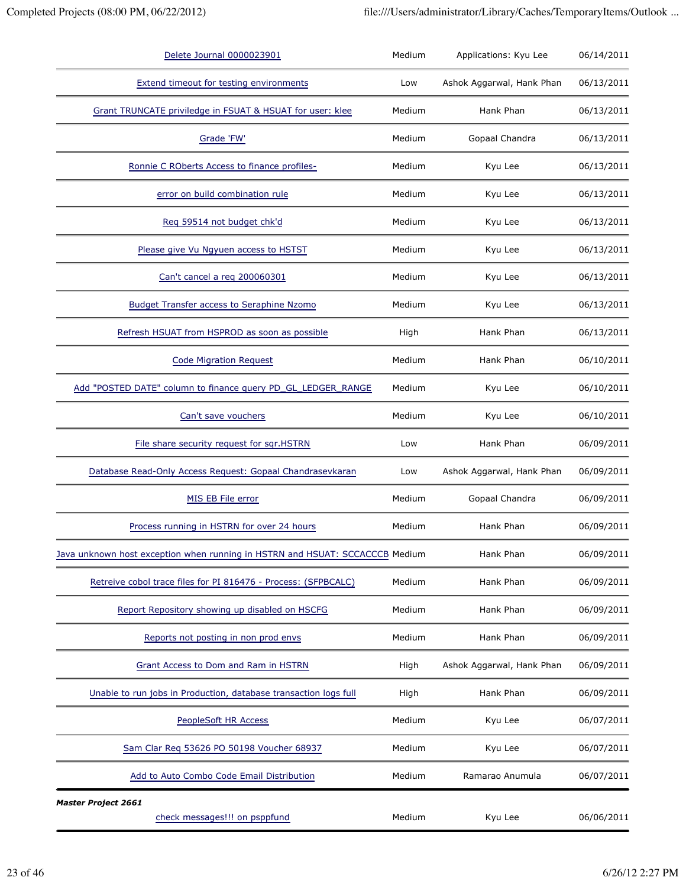| Delete Journal 0000023901                                                    | Medium | Applications: Kyu Lee     | 06/14/2011 |
|------------------------------------------------------------------------------|--------|---------------------------|------------|
| <b>Extend timeout for testing environments</b>                               | Low    | Ashok Aggarwal, Hank Phan | 06/13/2011 |
| Grant TRUNCATE priviledge in FSUAT & HSUAT for user: klee                    | Medium | Hank Phan                 | 06/13/2011 |
| Grade 'FW'                                                                   | Medium | Gopaal Chandra            | 06/13/2011 |
| Ronnie C ROberts Access to finance profiles-                                 | Medium | Kyu Lee                   | 06/13/2011 |
| error on build combination rule                                              | Medium | Kyu Lee                   | 06/13/2011 |
| Req 59514 not budget chk'd                                                   | Medium | Kyu Lee                   | 06/13/2011 |
| Please give Vu Ngyuen access to HSTST                                        | Medium | Kyu Lee                   | 06/13/2011 |
| Can't cancel a reg 200060301                                                 | Medium | Kyu Lee                   | 06/13/2011 |
| <b>Budget Transfer access to Seraphine Nzomo</b>                             | Medium | Kyu Lee                   | 06/13/2011 |
| Refresh HSUAT from HSPROD as soon as possible                                | High   | Hank Phan                 | 06/13/2011 |
| <b>Code Migration Request</b>                                                | Medium | Hank Phan                 | 06/10/2011 |
| Add "POSTED DATE" column to finance query PD_GL_LEDGER_RANGE                 | Medium | Kyu Lee                   | 06/10/2011 |
| Can't save vouchers                                                          | Medium | Kyu Lee                   | 06/10/2011 |
| File share security request for sqr.HSTRN                                    | Low    | Hank Phan                 | 06/09/2011 |
| Database Read-Only Access Request: Gopaal Chandrasevkaran                    | Low    | Ashok Aggarwal, Hank Phan | 06/09/2011 |
| MIS EB File error                                                            | Medium | Gopaal Chandra            | 06/09/2011 |
| Process running in HSTRN for over 24 hours                                   | Medium | Hank Phan                 | 06/09/2011 |
| Java unknown host exception when running in HSTRN and HSUAT: SCCACCCB Medium |        | Hank Phan                 | 06/09/2011 |
| Retreive cobol trace files for PI 816476 - Process: (SFPBCALC)               | Medium | Hank Phan                 | 06/09/2011 |
| Report Repository showing up disabled on HSCFG                               | Medium | Hank Phan                 | 06/09/2011 |
| Reports not posting in non prod envs                                         | Medium | Hank Phan                 | 06/09/2011 |
| Grant Access to Dom and Ram in HSTRN                                         | High   | Ashok Aggarwal, Hank Phan | 06/09/2011 |
| Unable to run jobs in Production, database transaction logs full             | High   | Hank Phan                 | 06/09/2011 |
| PeopleSoft HR Access                                                         | Medium | Kyu Lee                   | 06/07/2011 |
| Sam Clar Req 53626 PO 50198 Voucher 68937                                    | Medium | Kyu Lee                   | 06/07/2011 |
| Add to Auto Combo Code Email Distribution                                    | Medium | Ramarao Anumula           | 06/07/2011 |
| <b>Master Project 2661</b><br>check messages!!! on psppfund                  | Medium | Kyu Lee                   | 06/06/2011 |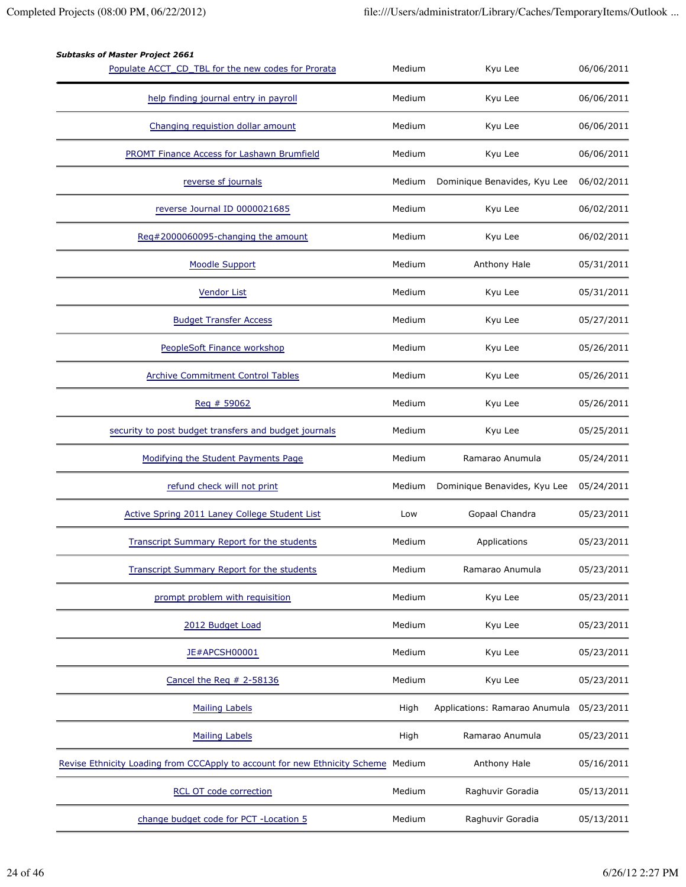| <b>Subtasks of Master Project 2661</b>                                     |        |                               |            |
|----------------------------------------------------------------------------|--------|-------------------------------|------------|
| Populate ACCT_CD_TBL for the new codes for Prorata                         | Medium | Kyu Lee                       | 06/06/2011 |
| help finding journal entry in payroll                                      | Medium | Kyu Lee                       | 06/06/2011 |
| Changing requistion dollar amount                                          | Medium | Kyu Lee                       | 06/06/2011 |
| PROMT Finance Access for Lashawn Brumfield                                 | Medium | Kyu Lee                       | 06/06/2011 |
| reverse sf journals                                                        | Medium | Dominique Benavides, Kyu Lee  | 06/02/2011 |
| reverse Journal ID 0000021685                                              | Medium | Kyu Lee                       | 06/02/2011 |
| Req#2000060095-changing the amount                                         | Medium | Kyu Lee                       | 06/02/2011 |
| <b>Moodle Support</b>                                                      | Medium | Anthony Hale                  | 05/31/2011 |
| <b>Vendor List</b>                                                         | Medium | Kyu Lee                       | 05/31/2011 |
| <b>Budget Transfer Access</b>                                              | Medium | Kyu Lee                       | 05/27/2011 |
| PeopleSoft Finance workshop                                                | Medium | Kyu Lee                       | 05/26/2011 |
| <b>Archive Commitment Control Tables</b>                                   | Medium | Kyu Lee                       | 05/26/2011 |
| Req # 59062                                                                | Medium | Kyu Lee                       | 05/26/2011 |
| security to post budget transfers and budget journals                      | Medium | Kyu Lee                       | 05/25/2011 |
| Modifying the Student Payments Page                                        | Medium | Ramarao Anumula               | 05/24/2011 |
| refund check will not print                                                | Medium | Dominique Benavides, Kyu Lee  | 05/24/2011 |
| Active Spring 2011 Laney College Student List                              | Low    | Gopaal Chandra                | 05/23/2011 |
| <b>Transcript Summary Report for the students</b>                          | Medium | Applications                  | 05/23/2011 |
| <b>Transcript Summary Report for the students</b>                          | Medium | Ramarao Anumula               | 05/23/2011 |
| prompt problem with requisition                                            | Medium | Kyu Lee                       | 05/23/2011 |
| 2012 Budget Load                                                           | Medium | Kyu Lee                       | 05/23/2011 |
| JE#APCSH00001                                                              | Medium | Kyu Lee                       | 05/23/2011 |
| Cancel the Req # 2-58136                                                   | Medium | Kyu Lee                       | 05/23/2011 |
| <b>Mailing Labels</b>                                                      | High   | Applications: Ramarao Anumula | 05/23/2011 |
| <b>Mailing Labels</b>                                                      | High   | Ramarao Anumula               | 05/23/2011 |
| Revise Ethnicity Loading from CCCApply to account for new Ethnicity Scheme | Medium | Anthony Hale                  | 05/16/2011 |
| <b>RCL OT code correction</b>                                              | Medium | Raghuvir Goradia              | 05/13/2011 |
|                                                                            |        |                               |            |

change budget code for PCT -Location 5 Medium Raghuvir Goradia 05/13/2011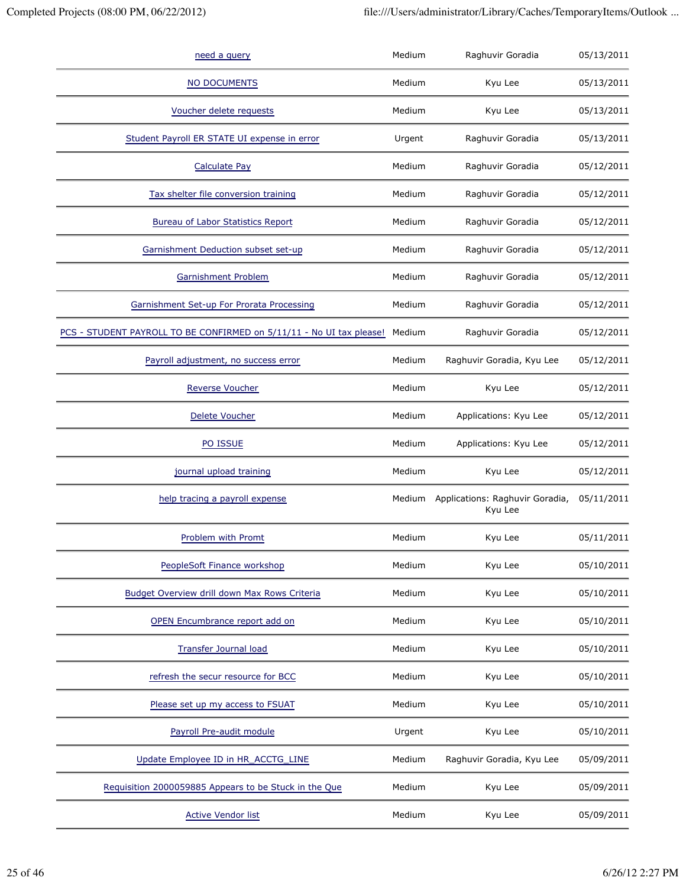| need a query                                                         | Medium | Raghuvir Goradia                           | 05/13/2011 |
|----------------------------------------------------------------------|--------|--------------------------------------------|------------|
| NO DOCUMENTS                                                         | Medium | Kyu Lee                                    | 05/13/2011 |
| Voucher delete requests                                              | Medium | Kyu Lee                                    | 05/13/2011 |
| Student Payroll ER STATE UI expense in error                         | Urgent | Raghuvir Goradia                           | 05/13/2011 |
| <b>Calculate Pay</b>                                                 | Medium | Raghuvir Goradia                           | 05/12/2011 |
| Tax shelter file conversion training                                 | Medium | Raghuvir Goradia                           | 05/12/2011 |
| <b>Bureau of Labor Statistics Report</b>                             | Medium | Raghuvir Goradia                           | 05/12/2011 |
| Garnishment Deduction subset set-up                                  | Medium | Raghuvir Goradia                           | 05/12/2011 |
| Garnishment Problem                                                  | Medium | Raghuvir Goradia                           | 05/12/2011 |
| Garnishment Set-up For Prorata Processing                            | Medium | Raghuvir Goradia                           | 05/12/2011 |
| PCS - STUDENT PAYROLL TO BE CONFIRMED on 5/11/11 - No UI tax please! | Medium | Raghuvir Goradia                           | 05/12/2011 |
| Payroll adjustment, no success error                                 | Medium | Raghuvir Goradia, Kyu Lee                  | 05/12/2011 |
| <b>Reverse Voucher</b>                                               | Medium | Kyu Lee                                    | 05/12/2011 |
| Delete Voucher                                                       | Medium | Applications: Kyu Lee                      | 05/12/2011 |
| PO ISSUE                                                             | Medium | Applications: Kyu Lee                      | 05/12/2011 |
| journal upload training                                              | Medium | Kyu Lee                                    | 05/12/2011 |
| help tracing a payroll expense                                       | Medium | Applications: Raghuvir Goradia,<br>Kyu Lee | 05/11/2011 |
| Problem with Promt                                                   | Medium | Kyu Lee                                    | 05/11/2011 |
| PeopleSoft Finance workshop                                          | Medium | Kyu Lee                                    | 05/10/2011 |
| Budget Overview drill down Max Rows Criteria                         | Medium | Kyu Lee                                    | 05/10/2011 |
| OPEN Encumbrance report add on                                       | Medium | Kyu Lee                                    | 05/10/2011 |
| <b>Transfer Journal load</b>                                         | Medium | Kyu Lee                                    | 05/10/2011 |
| refresh the secur resource for BCC                                   | Medium | Kyu Lee                                    | 05/10/2011 |
| Please set up my access to FSUAT                                     | Medium | Kyu Lee                                    | 05/10/2011 |
| Payroll Pre-audit module                                             | Urgent | Kyu Lee                                    | 05/10/2011 |
| Update Employee ID in HR_ACCTG_LINE                                  | Medium | Raghuvir Goradia, Kyu Lee                  | 05/09/2011 |
|                                                                      |        |                                            |            |
| Requisition 2000059885 Appears to be Stuck in the Que                | Medium | Kyu Lee                                    | 05/09/2011 |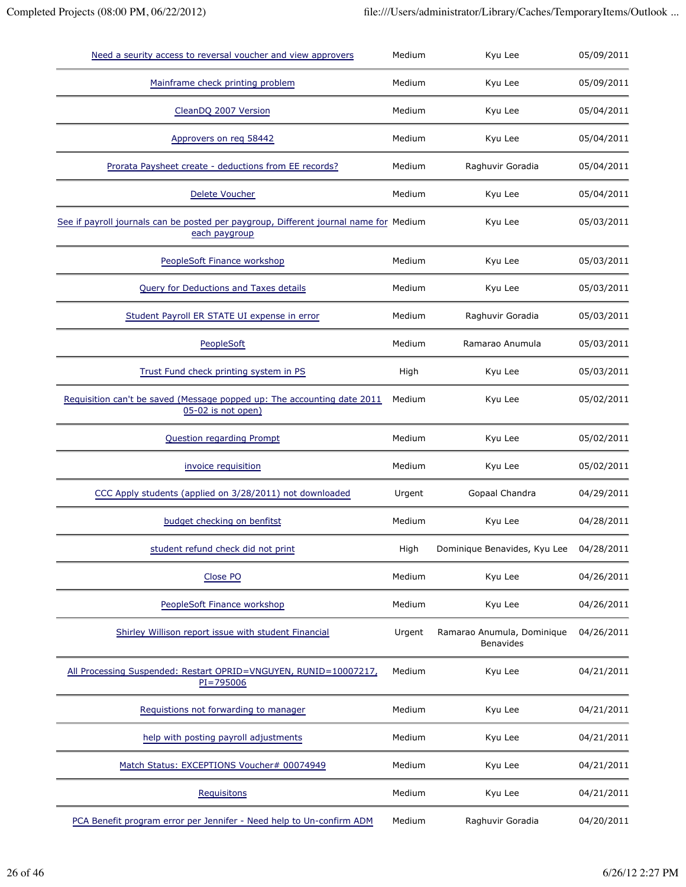| Need a seurity access to reversal voucher and view approvers                                           | Medium | Kyu Lee                                        | 05/09/2011 |
|--------------------------------------------------------------------------------------------------------|--------|------------------------------------------------|------------|
| Mainframe check printing problem                                                                       | Medium | Kyu Lee                                        | 05/09/2011 |
| CleanDQ 2007 Version                                                                                   | Medium | Kyu Lee                                        | 05/04/2011 |
| Approvers on req 58442                                                                                 | Medium | Kyu Lee                                        | 05/04/2011 |
| Prorata Paysheet create - deductions from EE records?                                                  | Medium | Raghuvir Goradia                               | 05/04/2011 |
| Delete Voucher                                                                                         | Medium | Kyu Lee                                        | 05/04/2011 |
| See if payroll journals can be posted per paygroup, Different journal name for Medium<br>each paygroup |        | Kyu Lee                                        | 05/03/2011 |
| PeopleSoft Finance workshop                                                                            | Medium | Kyu Lee                                        | 05/03/2011 |
| <b>Query for Deductions and Taxes details</b>                                                          | Medium | Kyu Lee                                        | 05/03/2011 |
| Student Payroll ER STATE UI expense in error                                                           | Medium | Raghuvir Goradia                               | 05/03/2011 |
| PeopleSoft                                                                                             | Medium | Ramarao Anumula                                | 05/03/2011 |
| Trust Fund check printing system in PS                                                                 | High   | Kyu Lee                                        | 05/03/2011 |
| Requisition can't be saved (Message popped up: The accounting date 2011<br>05-02 is not open)          | Medium | Kyu Lee                                        | 05/02/2011 |
| <b>Question regarding Prompt</b>                                                                       | Medium | Kyu Lee                                        | 05/02/2011 |
| invoice requisition                                                                                    | Medium | Kyu Lee                                        | 05/02/2011 |
| CCC Apply students (applied on 3/28/2011) not downloaded                                               | Urgent | Gopaal Chandra                                 | 04/29/2011 |
| budget checking on benfitst                                                                            | Medium | Kyu Lee                                        | 04/28/2011 |
| student refund check did not print                                                                     | High   | Dominique Benavides, Kyu Lee                   | 04/28/2011 |
| Close PO                                                                                               | Medium | Kyu Lee                                        | 04/26/2011 |
| PeopleSoft Finance workshop                                                                            | Medium | Kyu Lee                                        | 04/26/2011 |
| Shirley Willison report issue with student Financial                                                   | Urgent | Ramarao Anumula, Dominique<br><b>Benavides</b> | 04/26/2011 |
| All Processing Suspended: Restart OPRID=VNGUYEN, RUNID=10007217,<br>$PI = 795006$                      | Medium | Kyu Lee                                        | 04/21/2011 |
| Requistions not forwarding to manager                                                                  | Medium | Kyu Lee                                        | 04/21/2011 |
| help with posting payroll adjustments                                                                  | Medium | Kyu Lee                                        | 04/21/2011 |
| Match Status: EXCEPTIONS Voucher# 00074949                                                             | Medium | Kyu Lee                                        | 04/21/2011 |
| Requisitons                                                                                            | Medium | Kyu Lee                                        | 04/21/2011 |
| PCA Benefit program error per Jennifer - Need help to Un-confirm ADM                                   | Medium | Raghuvir Goradia                               | 04/20/2011 |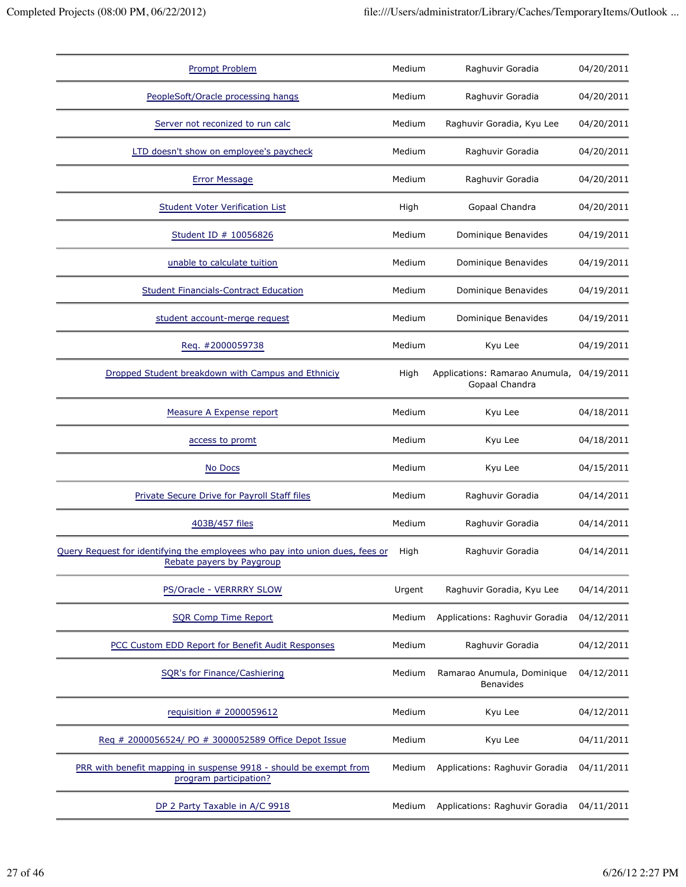| <b>Prompt Problem</b>                                                                                     | Medium | Raghuvir Goradia                                 | 04/20/2011 |
|-----------------------------------------------------------------------------------------------------------|--------|--------------------------------------------------|------------|
| PeopleSoft/Oracle processing hangs                                                                        | Medium | Raghuvir Goradia                                 | 04/20/2011 |
| Server not reconized to run calc                                                                          | Medium | Raghuvir Goradia, Kyu Lee                        | 04/20/2011 |
| LTD doesn't show on employee's paycheck                                                                   | Medium | Raghuvir Goradia                                 | 04/20/2011 |
| <b>Error Message</b>                                                                                      | Medium | Raghuvir Goradia                                 | 04/20/2011 |
| <b>Student Voter Verification List</b>                                                                    | High   | Gopaal Chandra                                   | 04/20/2011 |
| Student ID # 10056826                                                                                     | Medium | Dominique Benavides                              | 04/19/2011 |
| unable to calculate tuition                                                                               | Medium | Dominique Benavides                              | 04/19/2011 |
| <b>Student Financials-Contract Education</b>                                                              | Medium | Dominique Benavides                              | 04/19/2011 |
| student account-merge request                                                                             | Medium | Dominique Benavides                              | 04/19/2011 |
| Req. #2000059738                                                                                          | Medium | Kyu Lee                                          | 04/19/2011 |
| Dropped Student breakdown with Campus and Ethniciy                                                        | High   | Applications: Ramarao Anumula,<br>Gopaal Chandra | 04/19/2011 |
| Measure A Expense report                                                                                  | Medium | Kyu Lee                                          | 04/18/2011 |
| access to promt                                                                                           | Medium | Kyu Lee                                          | 04/18/2011 |
| No Docs                                                                                                   | Medium | Kyu Lee                                          | 04/15/2011 |
| Private Secure Drive for Payroll Staff files                                                              | Medium | Raghuvir Goradia                                 | 04/14/2011 |
| 403B/457 files                                                                                            | Medium | Raghuvir Goradia                                 | 04/14/2011 |
| Query Request for identifying the employees who pay into union dues, fees or<br>Rebate payers by Paygroup | High   | Raghuvir Goradia                                 | 04/14/2011 |
| PS/Oracle - VERRRRY SLOW                                                                                  | Urgent | Raghuvir Goradia, Kyu Lee                        | 04/14/2011 |
| <b>SQR Comp Time Report</b>                                                                               | Medium | Applications: Raghuvir Goradia                   | 04/12/2011 |
| PCC Custom EDD Report for Benefit Audit Responses                                                         | Medium | Raghuvir Goradia                                 | 04/12/2011 |
| SQR's for Finance/Cashiering                                                                              | Medium | Ramarao Anumula, Dominique<br>Benavides          | 04/12/2011 |
| requisition # 2000059612                                                                                  | Medium | Kyu Lee                                          | 04/12/2011 |
| Reg # 2000056524/ PO # 3000052589 Office Depot Issue                                                      | Medium | Kyu Lee                                          | 04/11/2011 |
| PRR with benefit mapping in suspense 9918 - should be exempt from<br>program participation?               | Medium | Applications: Raghuvir Goradia                   | 04/11/2011 |
| DP 2 Party Taxable in A/C 9918                                                                            | Medium | Applications: Raghuvir Goradia                   | 04/11/2011 |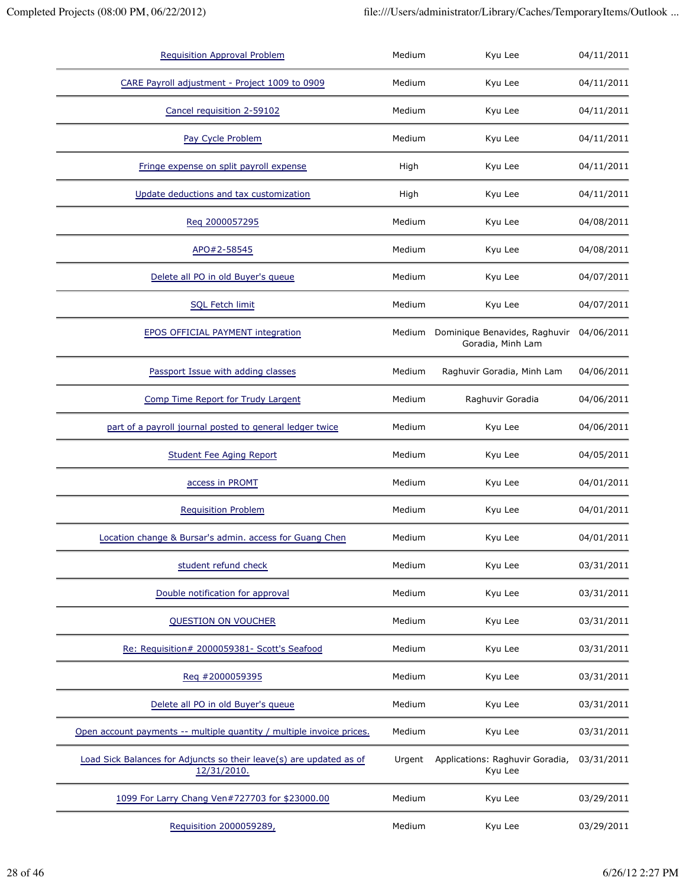| <b>Requisition Approval Problem</b>                                                | Medium | Kyu Lee                                            | 04/11/2011 |
|------------------------------------------------------------------------------------|--------|----------------------------------------------------|------------|
| CARE Payroll adjustment - Project 1009 to 0909                                     | Medium | Kyu Lee                                            | 04/11/2011 |
| Cancel requisition 2-59102                                                         | Medium | Kyu Lee                                            | 04/11/2011 |
| Pay Cycle Problem                                                                  | Medium | Kyu Lee                                            | 04/11/2011 |
| Fringe expense on split payroll expense                                            | High   | Kyu Lee                                            | 04/11/2011 |
| Update deductions and tax customization                                            | High   | Kyu Lee                                            | 04/11/2011 |
| Reg 2000057295                                                                     | Medium | Kyu Lee                                            | 04/08/2011 |
| APO#2-58545                                                                        | Medium | Kyu Lee                                            | 04/08/2011 |
| Delete all PO in old Buyer's queue                                                 | Medium | Kyu Lee                                            | 04/07/2011 |
| <b>SQL Fetch limit</b>                                                             | Medium | Kyu Lee                                            | 04/07/2011 |
| EPOS OFFICIAL PAYMENT integration                                                  | Medium | Dominique Benavides, Raghuvir<br>Goradia, Minh Lam | 04/06/2011 |
| Passport Issue with adding classes                                                 | Medium | Raghuvir Goradia, Minh Lam                         | 04/06/2011 |
| Comp Time Report for Trudy Largent                                                 | Medium | Raghuvir Goradia                                   | 04/06/2011 |
| part of a payroll journal posted to general ledger twice                           | Medium | Kyu Lee                                            | 04/06/2011 |
| <b>Student Fee Aging Report</b>                                                    | Medium | Kyu Lee                                            | 04/05/2011 |
| access in PROMT                                                                    | Medium | Kyu Lee                                            | 04/01/2011 |
| <b>Requisition Problem</b>                                                         | Medium | Kyu Lee                                            | 04/01/2011 |
| Location change & Bursar's admin. access for Guang Chen                            | Medium | Kyu Lee                                            | 04/01/2011 |
| student refund check                                                               | Medium | Kyu Lee                                            | 03/31/2011 |
| Double notification for approval                                                   | Medium | Kyu Lee                                            | 03/31/2011 |
| QUESTION ON VOUCHER                                                                | Medium | Kyu Lee                                            | 03/31/2011 |
| Re: Requisition# 2000059381- Scott's Seafood                                       | Medium | Kyu Lee                                            | 03/31/2011 |
| Req #2000059395                                                                    | Medium | Kyu Lee                                            | 03/31/2011 |
| Delete all PO in old Buyer's queue                                                 | Medium | Kyu Lee                                            | 03/31/2011 |
| Open account payments -- multiple quantity / multiple invoice prices.              | Medium | Kyu Lee                                            | 03/31/2011 |
| Load Sick Balances for Adjuncts so their leave(s) are updated as of<br>12/31/2010. | Urgent | Applications: Raghuvir Goradia,<br>Kyu Lee         | 03/31/2011 |
| 1099 For Larry Chang Ven#727703 for \$23000.00                                     | Medium | Kyu Lee                                            | 03/29/2011 |
| Requisition 2000059289,                                                            | Medium | Kyu Lee                                            | 03/29/2011 |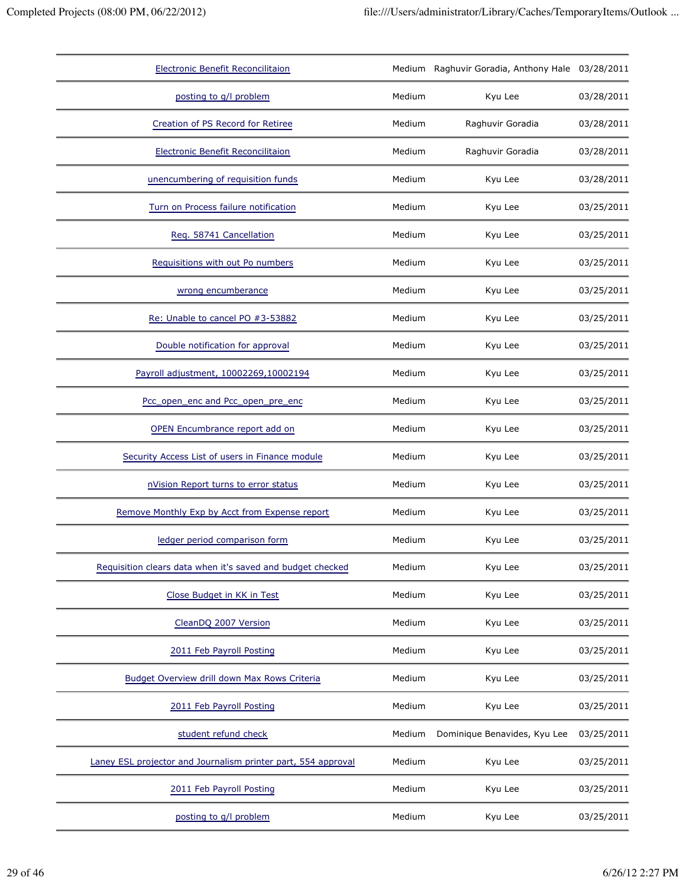| <b>Electronic Benefit Reconcilitaion</b>                      |        | Medium Raghuvir Goradia, Anthony Hale 03/28/2011 |            |
|---------------------------------------------------------------|--------|--------------------------------------------------|------------|
| posting to g/l problem                                        | Medium | Kyu Lee                                          | 03/28/2011 |
| Creation of PS Record for Retiree                             | Medium | Raghuvir Goradia                                 | 03/28/2011 |
| Electronic Benefit Reconcilitaion                             | Medium | Raghuvir Goradia                                 | 03/28/2011 |
| unencumbering of requisition funds                            | Medium | Kyu Lee                                          | 03/28/2011 |
| Turn on Process failure notification                          | Medium | Kyu Lee                                          | 03/25/2011 |
| Req. 58741 Cancellation                                       | Medium | Kyu Lee                                          | 03/25/2011 |
| Requisitions with out Po numbers                              | Medium | Kyu Lee                                          | 03/25/2011 |
| wrong encumberance                                            | Medium | Kyu Lee                                          | 03/25/2011 |
| Re: Unable to cancel PO #3-53882                              | Medium | Kyu Lee                                          | 03/25/2011 |
| Double notification for approval                              | Medium | Kyu Lee                                          | 03/25/2011 |
| Payroll adjustment, 10002269,10002194                         | Medium | Kyu Lee                                          | 03/25/2011 |
| Pcc_open_enc and Pcc_open_pre_enc                             | Medium | Kyu Lee                                          | 03/25/2011 |
| OPEN Encumbrance report add on                                | Medium | Kyu Lee                                          | 03/25/2011 |
| Security Access List of users in Finance module               | Medium | Kyu Lee                                          | 03/25/2011 |
| nVision Report turns to error status                          | Medium | Kyu Lee                                          | 03/25/2011 |
| Remove Monthly Exp by Acct from Expense report                | Medium | Kyu Lee                                          | 03/25/2011 |
| ledger period comparison form                                 | Medium | Kyu Lee                                          | 03/25/2011 |
| Requisition clears data when it's saved and budget checked    | Medium | Kyu Lee                                          | 03/25/2011 |
| Close Budget in KK in Test                                    | Medium | Kyu Lee                                          | 03/25/2011 |
| CleanDQ 2007 Version                                          | Medium | Kyu Lee                                          | 03/25/2011 |
| 2011 Feb Payroll Posting                                      | Medium | Kyu Lee                                          | 03/25/2011 |
| Budget Overview drill down Max Rows Criteria                  | Medium | Kyu Lee                                          | 03/25/2011 |
| 2011 Feb Payroll Posting                                      | Medium | Kyu Lee                                          | 03/25/2011 |
| student refund check                                          | Medium | Dominique Benavides, Kyu Lee                     | 03/25/2011 |
| Laney ESL projector and Journalism printer part, 554 approval | Medium | Kyu Lee                                          | 03/25/2011 |
| 2011 Feb Payroll Posting                                      | Medium | Kyu Lee                                          | 03/25/2011 |
| posting to g/l problem                                        | Medium | Kyu Lee                                          | 03/25/2011 |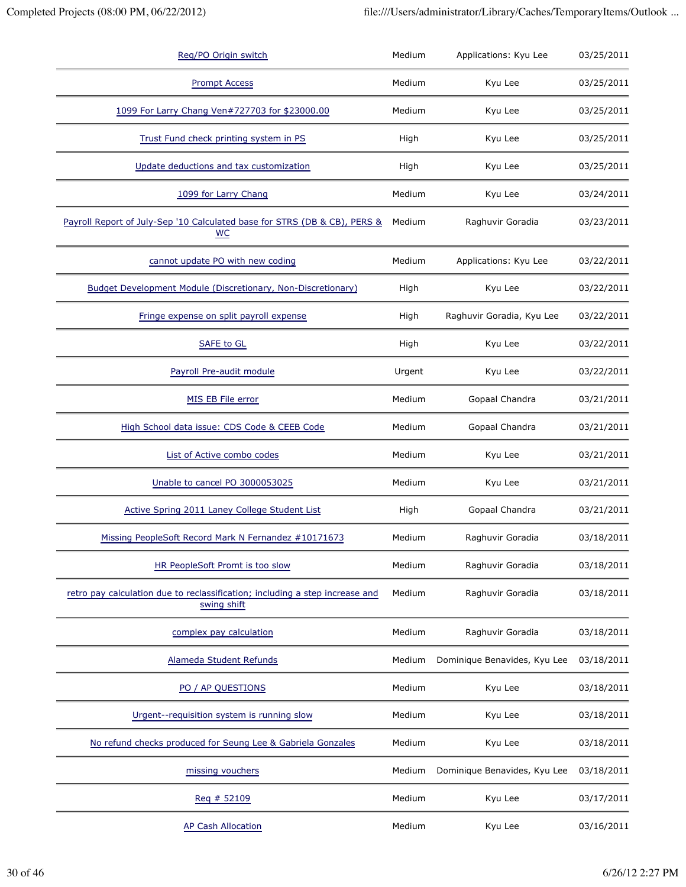| Reg/PO Origin switch                                                                        | Medium | Applications: Kyu Lee        | 03/25/2011 |
|---------------------------------------------------------------------------------------------|--------|------------------------------|------------|
| <b>Prompt Access</b>                                                                        | Medium | Kyu Lee                      | 03/25/2011 |
| 1099 For Larry Chang Ven#727703 for \$23000.00                                              | Medium | Kyu Lee                      | 03/25/2011 |
| Trust Fund check printing system in PS                                                      | High   | Kyu Lee                      | 03/25/2011 |
| Update deductions and tax customization                                                     | High   | Kyu Lee                      | 03/25/2011 |
| 1099 for Larry Chang                                                                        | Medium | Kyu Lee                      | 03/24/2011 |
| Payroll Report of July-Sep '10 Calculated base for STRS (DB & CB), PERS &<br>WC             | Medium | Raghuvir Goradia             | 03/23/2011 |
| cannot update PO with new coding                                                            | Medium | Applications: Kyu Lee        | 03/22/2011 |
| <b>Budget Development Module (Discretionary, Non-Discretionary)</b>                         | High   | Kyu Lee                      | 03/22/2011 |
| Fringe expense on split payroll expense                                                     | High   | Raghuvir Goradia, Kyu Lee    | 03/22/2011 |
| <b>SAFE to GL</b>                                                                           | High   | Kyu Lee                      | 03/22/2011 |
| Payroll Pre-audit module                                                                    | Urgent | Kyu Lee                      | 03/22/2011 |
| MIS EB File error                                                                           | Medium | Gopaal Chandra               | 03/21/2011 |
| High School data issue: CDS Code & CEEB Code                                                | Medium | Gopaal Chandra               | 03/21/2011 |
| List of Active combo codes                                                                  | Medium | Kyu Lee                      | 03/21/2011 |
| Unable to cancel PO 3000053025                                                              | Medium | Kyu Lee                      | 03/21/2011 |
| Active Spring 2011 Laney College Student List                                               | High   | Gopaal Chandra               | 03/21/2011 |
| Missing PeopleSoft Record Mark N Fernandez #10171673                                        | Medium | Raghuvir Goradia             | 03/18/2011 |
| HR PeopleSoft Promt is too slow                                                             | Medium | Raghuvir Goradia             | 03/18/2011 |
| retro pay calculation due to reclassification; including a step increase and<br>swing shift | Medium | Raghuvir Goradia             | 03/18/2011 |
| complex pay calculation                                                                     | Medium | Raghuvir Goradia             | 03/18/2011 |
| Alameda Student Refunds                                                                     | Medium | Dominique Benavides, Kyu Lee | 03/18/2011 |
| PO / AP QUESTIONS                                                                           | Medium | Kyu Lee                      | 03/18/2011 |
| Urgent--requisition system is running slow                                                  | Medium | Kyu Lee                      | 03/18/2011 |
| No refund checks produced for Seung Lee & Gabriela Gonzales                                 | Medium | Kyu Lee                      | 03/18/2011 |
| missing vouchers                                                                            | Medium | Dominique Benavides, Kyu Lee | 03/18/2011 |
| Req # 52109                                                                                 | Medium | Kyu Lee                      | 03/17/2011 |
| <b>AP Cash Allocation</b>                                                                   | Medium | Kyu Lee                      | 03/16/2011 |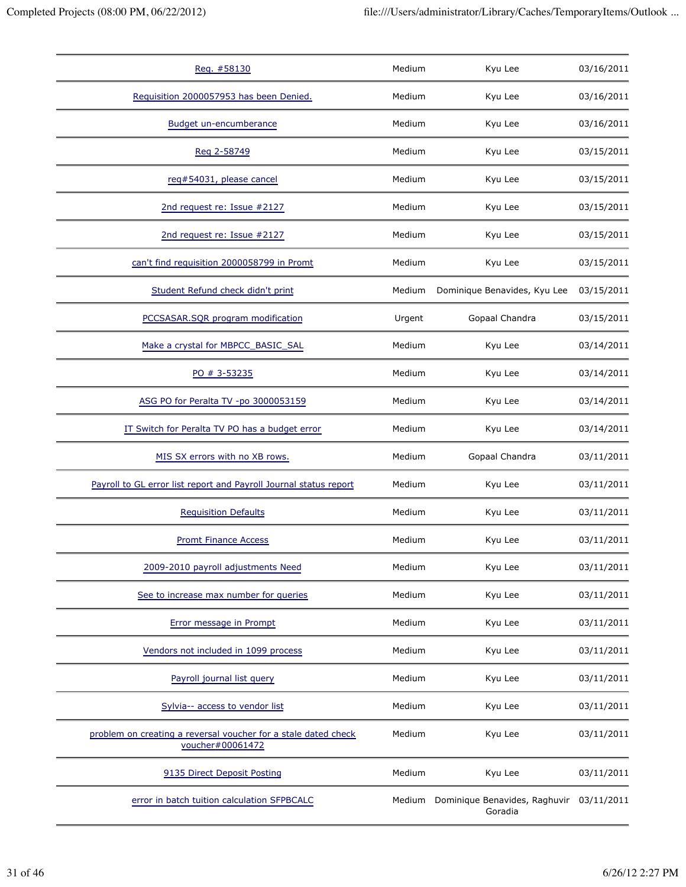| Reg. #58130                                                                        | Medium | Kyu Lee                                         | 03/16/2011 |
|------------------------------------------------------------------------------------|--------|-------------------------------------------------|------------|
| Requisition 2000057953 has been Denied.                                            | Medium | Kyu Lee                                         | 03/16/2011 |
| <b>Budget un-encumberance</b>                                                      | Medium | Kyu Lee                                         | 03/16/2011 |
| Reg 2-58749                                                                        | Medium | Kyu Lee                                         | 03/15/2011 |
| reg#54031, please cancel                                                           | Medium | Kyu Lee                                         | 03/15/2011 |
| 2nd request re: Issue #2127                                                        | Medium | Kyu Lee                                         | 03/15/2011 |
| 2nd request re: Issue #2127                                                        | Medium | Kyu Lee                                         | 03/15/2011 |
| can't find requisition 2000058799 in Promt                                         | Medium | Kyu Lee                                         | 03/15/2011 |
| Student Refund check didn't print                                                  | Medium | Dominique Benavides, Kyu Lee                    | 03/15/2011 |
| PCCSASAR.SQR program modification                                                  | Urgent | Gopaal Chandra                                  | 03/15/2011 |
| Make a crystal for MBPCC_BASIC_SAL                                                 | Medium | Kyu Lee                                         | 03/14/2011 |
| PO # 3-53235                                                                       | Medium | Kyu Lee                                         | 03/14/2011 |
| ASG PO for Peralta TV -po 3000053159                                               | Medium | Kyu Lee                                         | 03/14/2011 |
| IT Switch for Peralta TV PO has a budget error                                     | Medium | Kyu Lee                                         | 03/14/2011 |
| MIS SX errors with no XB rows.                                                     | Medium | Gopaal Chandra                                  | 03/11/2011 |
| Payroll to GL error list report and Payroll Journal status report                  | Medium | Kyu Lee                                         | 03/11/2011 |
| <b>Requisition Defaults</b>                                                        | Medium | Kyu Lee                                         | 03/11/2011 |
| <b>Promt Finance Access</b>                                                        | Medium | Kyu Lee                                         | 03/11/2011 |
| 2009-2010 payroll adjustments Need                                                 | Medium | Kyu Lee                                         | 03/11/2011 |
| See to increase max number for queries                                             | Medium | Kyu Lee                                         | 03/11/2011 |
| Error message in Prompt                                                            | Medium | Kyu Lee                                         | 03/11/2011 |
| Vendors not included in 1099 process                                               | Medium | Kyu Lee                                         | 03/11/2011 |
| Payroll journal list query                                                         | Medium | Kyu Lee                                         | 03/11/2011 |
| Sylvia-- access to vendor list                                                     | Medium | Kyu Lee                                         | 03/11/2011 |
| problem on creating a reversal voucher for a stale dated check<br>voucher#00061472 | Medium | Kyu Lee                                         | 03/11/2011 |
| 9135 Direct Deposit Posting                                                        | Medium | Kyu Lee                                         | 03/11/2011 |
| error in batch tuition calculation SFPBCALC                                        |        | Medium Dominique Benavides, Raghuvir<br>Goradia | 03/11/2011 |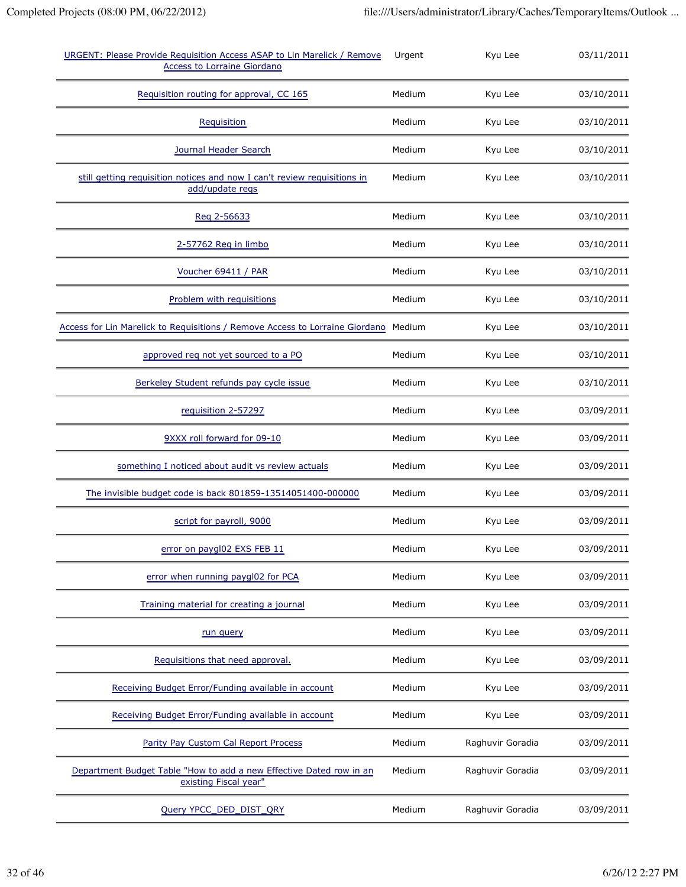| URGENT: Please Provide Requisition Access ASAP to Lin Marelick / Remove<br><b>Access to Lorraine Giordano</b> | Urgent | Kyu Lee          | 03/11/2011 |
|---------------------------------------------------------------------------------------------------------------|--------|------------------|------------|
| Requisition routing for approval, CC 165                                                                      | Medium | Kyu Lee          | 03/10/2011 |
| Requisition                                                                                                   | Medium | Kyu Lee          | 03/10/2011 |
| Journal Header Search                                                                                         | Medium | Kyu Lee          | 03/10/2011 |
| still getting requisition notices and now I can't review requisitions in<br>add/update regs                   | Medium | Kyu Lee          | 03/10/2011 |
| Reg 2-56633                                                                                                   | Medium | Kyu Lee          | 03/10/2011 |
| 2-57762 Req in limbo                                                                                          | Medium | Kyu Lee          | 03/10/2011 |
| Voucher 69411 / PAR                                                                                           | Medium | Kyu Lee          | 03/10/2011 |
| Problem with requisitions                                                                                     | Medium | Kyu Lee          | 03/10/2011 |
| Access for Lin Marelick to Requisitions / Remove Access to Lorraine Giordano Medium                           |        | Kyu Lee          | 03/10/2011 |
| approved req not yet sourced to a PO                                                                          | Medium | Kyu Lee          | 03/10/2011 |
| Berkeley Student refunds pay cycle issue                                                                      | Medium | Kyu Lee          | 03/10/2011 |
| requisition 2-57297                                                                                           | Medium | Kyu Lee          | 03/09/2011 |
| 9XXX roll forward for 09-10                                                                                   | Medium | Kyu Lee          | 03/09/2011 |
| something I noticed about audit vs review actuals                                                             | Medium | Kyu Lee          | 03/09/2011 |
| The invisible budget code is back 801859-13514051400-000000                                                   | Medium | Kyu Lee          | 03/09/2011 |
| script for payroll, 9000                                                                                      | Medium | Kyu Lee          | 03/09/2011 |
| error on paygl02 EXS FEB 11                                                                                   | Medium | Kyu Lee          | 03/09/2011 |
| error when running paygl02 for PCA                                                                            | Medium | Kyu Lee          | 03/09/2011 |
| Training material for creating a journal                                                                      | Medium | Kyu Lee          | 03/09/2011 |
| run query                                                                                                     | Medium | Kyu Lee          | 03/09/2011 |
| Requisitions that need approval.                                                                              | Medium | Kyu Lee          | 03/09/2011 |
| Receiving Budget Error/Funding available in account                                                           | Medium | Kyu Lee          | 03/09/2011 |
| Receiving Budget Error/Funding available in account                                                           | Medium | Kyu Lee          | 03/09/2011 |
| Parity Pay Custom Cal Report Process                                                                          | Medium | Raghuvir Goradia | 03/09/2011 |
| Department Budget Table "How to add a new Effective Dated row in an<br>existing Fiscal year"                  | Medium | Raghuvir Goradia | 03/09/2011 |
| Query YPCC_DED_DIST_QRY                                                                                       | Medium | Raghuvir Goradia | 03/09/2011 |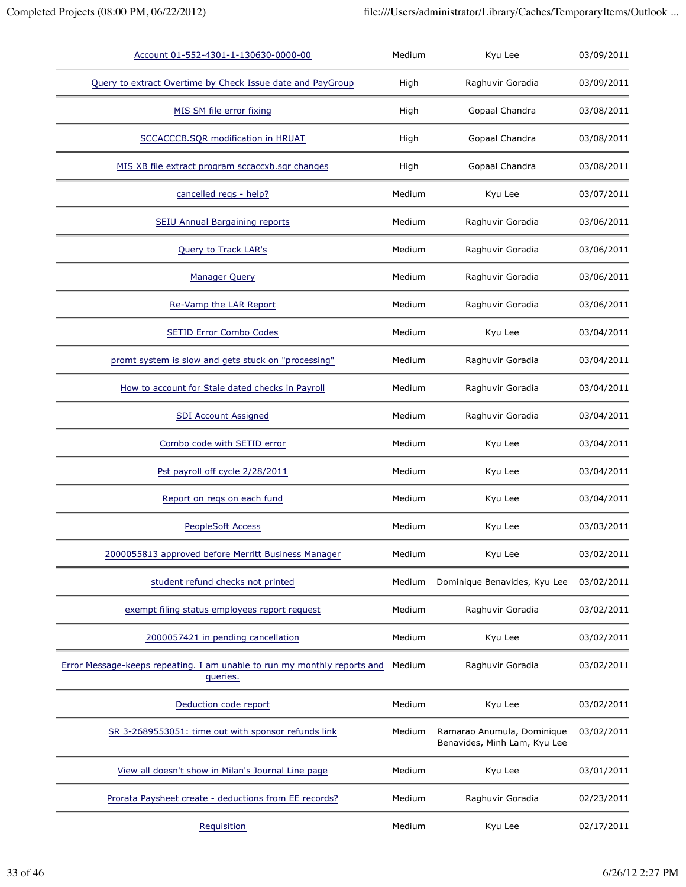| Account 01-552-4301-1-130630-0000-00                                                 | Medium | Kyu Lee                                                    | 03/09/2011 |
|--------------------------------------------------------------------------------------|--------|------------------------------------------------------------|------------|
| Query to extract Overtime by Check Issue date and PayGroup                           | High   | Raghuvir Goradia                                           | 03/09/2011 |
| MIS SM file error fixing                                                             | High   | Gopaal Chandra                                             | 03/08/2011 |
| SCCACCCB.SQR modification in HRUAT                                                   | High   | Gopaal Chandra                                             | 03/08/2011 |
| MIS XB file extract program sccaccxb.sqr changes                                     | High   | Gopaal Chandra                                             | 03/08/2011 |
| cancelled regs - help?                                                               | Medium | Kyu Lee                                                    | 03/07/2011 |
| <b>SEIU Annual Bargaining reports</b>                                                | Medium | Raghuvir Goradia                                           | 03/06/2011 |
| Query to Track LAR's                                                                 | Medium | Raghuvir Goradia                                           | 03/06/2011 |
| <b>Manager Query</b>                                                                 | Medium | Raghuvir Goradia                                           | 03/06/2011 |
| Re-Vamp the LAR Report                                                               | Medium | Raghuvir Goradia                                           | 03/06/2011 |
| <b>SETID Error Combo Codes</b>                                                       | Medium | Kyu Lee                                                    | 03/04/2011 |
| promt system is slow and gets stuck on "processing"                                  | Medium | Raghuvir Goradia                                           | 03/04/2011 |
| How to account for Stale dated checks in Payroll                                     | Medium | Raghuvir Goradia                                           | 03/04/2011 |
| <b>SDI Account Assigned</b>                                                          | Medium | Raghuvir Goradia                                           | 03/04/2011 |
| Combo code with SETID error                                                          | Medium | Kyu Lee                                                    | 03/04/2011 |
| Pst payroll off cycle 2/28/2011                                                      | Medium | Kyu Lee                                                    | 03/04/2011 |
| Report on regs on each fund                                                          | Medium | Kyu Lee                                                    | 03/04/2011 |
| <b>PeopleSoft Access</b>                                                             | Medium | Kyu Lee                                                    | 03/03/2011 |
| 2000055813 approved before Merritt Business Manager                                  | Medium | Kyu Lee                                                    | 03/02/2011 |
| student refund checks not printed                                                    | Medium | Dominique Benavides, Kyu Lee                               | 03/02/2011 |
| exempt filing status employees report request                                        | Medium | Raghuvir Goradia                                           | 03/02/2011 |
| 2000057421 in pending cancellation                                                   | Medium | Kyu Lee                                                    | 03/02/2011 |
| Error Message-keeps repeating. I am unable to run my monthly reports and<br>queries. | Medium | Raghuvir Goradia                                           | 03/02/2011 |
| Deduction code report                                                                | Medium | Kyu Lee                                                    | 03/02/2011 |
| SR 3-2689553051: time out with sponsor refunds link                                  | Medium | Ramarao Anumula, Dominique<br>Benavides, Minh Lam, Kyu Lee | 03/02/2011 |
| View all doesn't show in Milan's Journal Line page                                   | Medium | Kyu Lee                                                    | 03/01/2011 |
| Prorata Paysheet create - deductions from EE records?                                | Medium | Raghuvir Goradia                                           | 02/23/2011 |
| Requisition                                                                          | Medium | Kyu Lee                                                    | 02/17/2011 |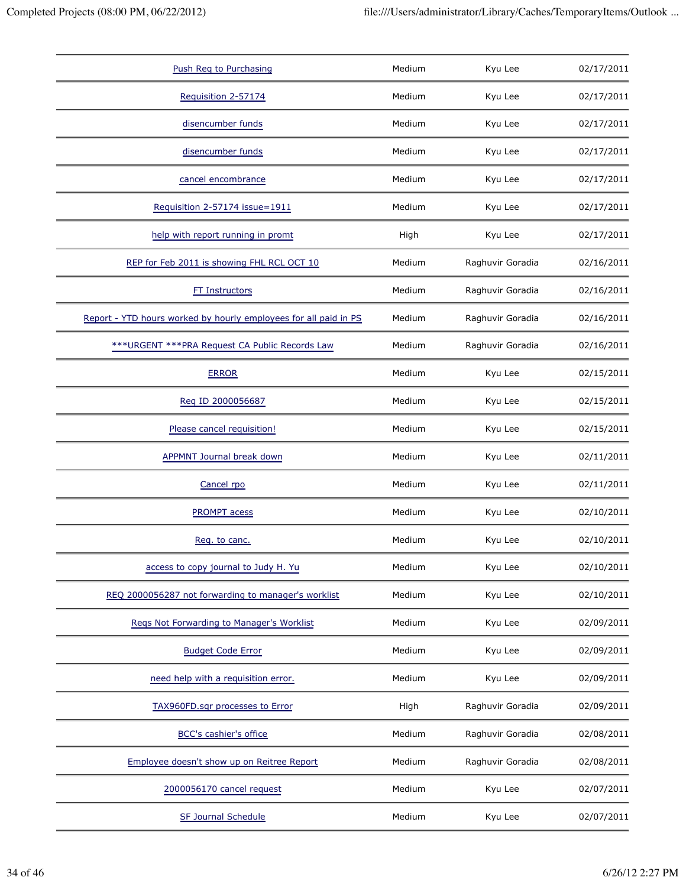| Push Reg to Purchasing                                           | Medium | Kyu Lee          | 02/17/2011 |
|------------------------------------------------------------------|--------|------------------|------------|
| Requisition 2-57174                                              | Medium | Kyu Lee          | 02/17/2011 |
| disencumber funds                                                | Medium | Kyu Lee          | 02/17/2011 |
| disencumber funds                                                | Medium | Kyu Lee          | 02/17/2011 |
| cancel encombrance                                               | Medium | Kyu Lee          | 02/17/2011 |
| Requisition 2-57174 issue=1911                                   | Medium | Kyu Lee          | 02/17/2011 |
| help with report running in promt                                | High   | Kyu Lee          | 02/17/2011 |
| REP for Feb 2011 is showing FHL RCL OCT 10                       | Medium | Raghuvir Goradia | 02/16/2011 |
| <b>FT Instructors</b>                                            | Medium | Raghuvir Goradia | 02/16/2011 |
| Report - YTD hours worked by hourly employees for all paid in PS | Medium | Raghuvir Goradia | 02/16/2011 |
| *** URGENT *** PRA Request CA Public Records Law                 | Medium | Raghuvir Goradia | 02/16/2011 |
| <b>ERROR</b>                                                     | Medium | Kyu Lee          | 02/15/2011 |
| Reg ID 2000056687                                                | Medium | Kyu Lee          | 02/15/2011 |
| Please cancel requisition!                                       | Medium | Kyu Lee          | 02/15/2011 |
| <b>APPMNT Journal break down</b>                                 | Medium | Kyu Lee          | 02/11/2011 |
| Cancel rpo                                                       | Medium | Kyu Lee          | 02/11/2011 |
| <b>PROMPT</b> acess                                              | Medium | Kyu Lee          | 02/10/2011 |
| Req. to canc.                                                    | Medium | Kyu Lee          | 02/10/2011 |
| access to copy journal to Judy H. Yu                             | Medium | Kyu Lee          | 02/10/2011 |
| REQ 2000056287 not forwarding to manager's worklist              | Medium | Kyu Lee          | 02/10/2011 |
| Regs Not Forwarding to Manager's Worklist                        | Medium | Kyu Lee          | 02/09/2011 |
| <b>Budget Code Error</b>                                         | Medium | Kyu Lee          | 02/09/2011 |
| need help with a requisition error.                              | Medium | Kyu Lee          | 02/09/2011 |
| TAX960FD.sqr processes to Error                                  | High   | Raghuvir Goradia | 02/09/2011 |
| <b>BCC's cashier's office</b>                                    | Medium | Raghuvir Goradia | 02/08/2011 |
| Employee doesn't show up on Reitree Report                       | Medium | Raghuvir Goradia | 02/08/2011 |
| 2000056170 cancel request                                        | Medium | Kyu Lee          | 02/07/2011 |
| <b>SF Journal Schedule</b>                                       | Medium | Kyu Lee          | 02/07/2011 |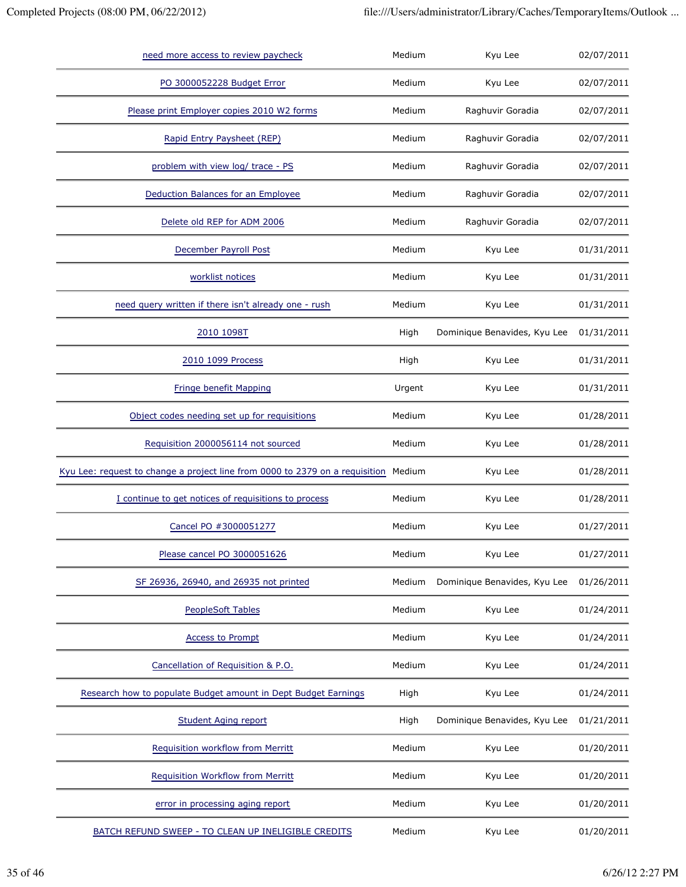| need more access to review paycheck                                          | Medium | Kyu Lee                      | 02/07/2011 |
|------------------------------------------------------------------------------|--------|------------------------------|------------|
| PO 3000052228 Budget Error                                                   | Medium | Kyu Lee                      | 02/07/2011 |
| Please print Employer copies 2010 W2 forms                                   | Medium | Raghuvir Goradia             | 02/07/2011 |
| Rapid Entry Paysheet (REP)                                                   | Medium | Raghuvir Goradia             | 02/07/2011 |
| problem with view log/ trace - PS                                            | Medium | Raghuvir Goradia             | 02/07/2011 |
| Deduction Balances for an Employee                                           | Medium | Raghuvir Goradia             | 02/07/2011 |
| Delete old REP for ADM 2006                                                  | Medium | Raghuvir Goradia             | 02/07/2011 |
| December Payroll Post                                                        | Medium | Kyu Lee                      | 01/31/2011 |
| worklist notices                                                             | Medium | Kyu Lee                      | 01/31/2011 |
| need query written if there isn't already one - rush                         | Medium | Kyu Lee                      | 01/31/2011 |
| 2010 1098T                                                                   | High   | Dominique Benavides, Kyu Lee | 01/31/2011 |
| 2010 1099 Process                                                            | High   | Kyu Lee                      | 01/31/2011 |
| Fringe benefit Mapping                                                       | Urgent | Kyu Lee                      | 01/31/2011 |
| Object codes needing set up for requisitions                                 | Medium | Kyu Lee                      | 01/28/2011 |
| Requisition 2000056114 not sourced                                           | Medium | Kyu Lee                      | 01/28/2011 |
| Kyu Lee: request to change a project line from 0000 to 2379 on a requisition | Medium | Kyu Lee                      | 01/28/2011 |
| I continue to get notices of requisitions to process                         | Medium | Kyu Lee                      | 01/28/2011 |
| Cancel PO #3000051277                                                        | Medium | Kyu Lee                      | 01/27/2011 |
| Please cancel PO 3000051626                                                  | Medium | Kyu Lee                      | 01/27/2011 |
| SF 26936, 26940, and 26935 not printed                                       | Medium | Dominique Benavides, Kyu Lee | 01/26/2011 |
| <b>PeopleSoft Tables</b>                                                     | Medium | Kyu Lee                      | 01/24/2011 |
| Access to Prompt                                                             | Medium | Kyu Lee                      | 01/24/2011 |
| Cancellation of Requisition & P.O.                                           | Medium | Kyu Lee                      | 01/24/2011 |
| Research how to populate Budget amount in Dept Budget Earnings               | High   | Kyu Lee                      | 01/24/2011 |
| <b>Student Aging report</b>                                                  | High   | Dominique Benavides, Kyu Lee | 01/21/2011 |
| Requisition workflow from Merritt                                            | Medium | Kyu Lee                      | 01/20/2011 |
| <b>Requisition Workflow from Merritt</b>                                     | Medium | Kyu Lee                      | 01/20/2011 |
| error in processing aging report                                             | Medium | Kyu Lee                      | 01/20/2011 |
| BATCH REFUND SWEEP - TO CLEAN UP INELIGIBLE CREDITS                          | Medium | Kyu Lee                      | 01/20/2011 |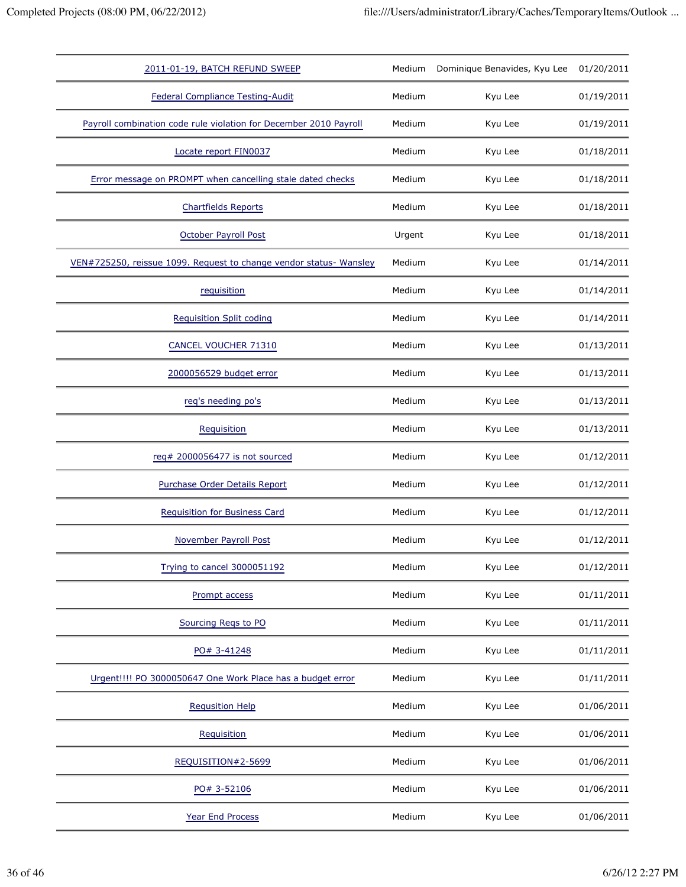| 2011-01-19, BATCH REFUND SWEEP                                     | Medium | Dominique Benavides, Kyu Lee | 01/20/2011 |
|--------------------------------------------------------------------|--------|------------------------------|------------|
| <b>Federal Compliance Testing-Audit</b>                            | Medium | Kyu Lee                      | 01/19/2011 |
| Payroll combination code rule violation for December 2010 Payroll  | Medium | Kyu Lee                      | 01/19/2011 |
| Locate report FIN0037                                              | Medium | Kyu Lee                      | 01/18/2011 |
| Error message on PROMPT when cancelling stale dated checks         | Medium | Kyu Lee                      | 01/18/2011 |
| <b>Chartfields Reports</b>                                         | Medium | Kyu Lee                      | 01/18/2011 |
| October Payroll Post                                               | Urgent | Kyu Lee                      | 01/18/2011 |
| VEN#725250, reissue 1099. Request to change vendor status- Wansley | Medium | Kyu Lee                      | 01/14/2011 |
| requisition                                                        | Medium | Kyu Lee                      | 01/14/2011 |
| <b>Requisition Split coding</b>                                    | Medium | Kyu Lee                      | 01/14/2011 |
| <b>CANCEL VOUCHER 71310</b>                                        | Medium | Kyu Lee                      | 01/13/2011 |
| 2000056529 budget error                                            | Medium | Kyu Lee                      | 01/13/2011 |
| req's needing po's                                                 | Medium | Kyu Lee                      | 01/13/2011 |
| Requisition                                                        | Medium | Kyu Lee                      | 01/13/2011 |
| req# 2000056477 is not sourced                                     | Medium | Kyu Lee                      | 01/12/2011 |
| Purchase Order Details Report                                      | Medium | Kyu Lee                      | 01/12/2011 |
| <b>Requisition for Business Card</b>                               | Medium | Kyu Lee                      | 01/12/2011 |
| November Payroll Post                                              | Medium | Kyu Lee                      | 01/12/2011 |
| Trying to cancel 3000051192                                        | Medium | Kyu Lee                      | 01/12/2011 |
| Prompt access                                                      | Medium | Kyu Lee                      | 01/11/2011 |
| Sourcing Regs to PO                                                | Medium | Kyu Lee                      | 01/11/2011 |
| PO# 3-41248                                                        | Medium | Kyu Lee                      | 01/11/2011 |
| Urgent!!!! PO 3000050647 One Work Place has a budget error         | Medium | Kyu Lee                      | 01/11/2011 |
| <b>Requsition Help</b>                                             | Medium | Kyu Lee                      | 01/06/2011 |
| Requisition                                                        | Medium | Kyu Lee                      | 01/06/2011 |
| REQUISITION#2-5699                                                 | Medium | Kyu Lee                      | 01/06/2011 |
| PO# 3-52106                                                        | Medium | Kyu Lee                      | 01/06/2011 |
| <b>Year End Process</b>                                            | Medium | Kyu Lee                      | 01/06/2011 |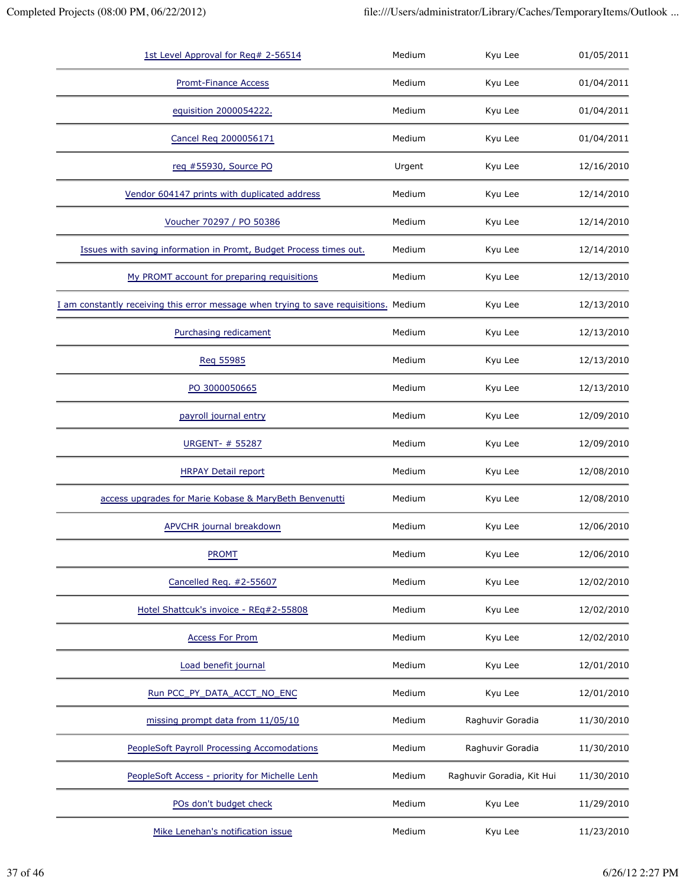| 1st Level Approval for Req# 2-56514                                                   | Medium | Kyu Lee                   | 01/05/2011 |
|---------------------------------------------------------------------------------------|--------|---------------------------|------------|
| <b>Promt-Finance Access</b>                                                           | Medium | Kyu Lee                   | 01/04/2011 |
| equisition 2000054222.                                                                | Medium | Kyu Lee                   | 01/04/2011 |
| Cancel Req 2000056171                                                                 | Medium | Kyu Lee                   | 01/04/2011 |
| reg #55930, Source PO                                                                 | Urgent | Kyu Lee                   | 12/16/2010 |
| Vendor 604147 prints with duplicated address                                          | Medium | Kyu Lee                   | 12/14/2010 |
| Voucher 70297 / PO 50386                                                              | Medium | Kyu Lee                   | 12/14/2010 |
| Issues with saving information in Promt, Budget Process times out.                    | Medium | Kyu Lee                   | 12/14/2010 |
| My PROMT account for preparing requisitions                                           | Medium | Kyu Lee                   | 12/13/2010 |
| I am constantly receiving this error message when trying to save requisitions. Medium |        | Kyu Lee                   | 12/13/2010 |
| Purchasing redicament                                                                 | Medium | Kyu Lee                   | 12/13/2010 |
| Req 55985                                                                             | Medium | Kyu Lee                   | 12/13/2010 |
| PO 3000050665                                                                         | Medium | Kyu Lee                   | 12/13/2010 |
| payroll journal entry                                                                 | Medium | Kyu Lee                   | 12/09/2010 |
| URGENT- # 55287                                                                       | Medium | Kyu Lee                   | 12/09/2010 |
| <b>HRPAY Detail report</b>                                                            | Medium | Kyu Lee                   | 12/08/2010 |
| access upgrades for Marie Kobase & MaryBeth Benvenutti                                | Medium | Kyu Lee                   | 12/08/2010 |
| <b>APVCHR</b> journal breakdown                                                       | Medium | Kyu Lee                   | 12/06/2010 |
| <b>PROMT</b>                                                                          | Medium | Kyu Lee                   | 12/06/2010 |
| Cancelled Req. #2-55607                                                               | Medium | Kyu Lee                   | 12/02/2010 |
| Hotel Shattcuk's invoice - REq#2-55808                                                | Medium | Kyu Lee                   | 12/02/2010 |
| <b>Access For Prom</b>                                                                | Medium | Kyu Lee                   | 12/02/2010 |
| Load benefit journal                                                                  | Medium | Kyu Lee                   | 12/01/2010 |
| Run PCC PY DATA ACCT NO ENC                                                           | Medium | Kyu Lee                   | 12/01/2010 |
| missing prompt data from 11/05/10                                                     | Medium | Raghuvir Goradia          | 11/30/2010 |
| <b>PeopleSoft Payroll Processing Accomodations</b>                                    | Medium | Raghuvir Goradia          | 11/30/2010 |
| PeopleSoft Access - priority for Michelle Lenh                                        | Medium | Raghuvir Goradia, Kit Hui | 11/30/2010 |
| POs don't budget check                                                                | Medium | Kyu Lee                   | 11/29/2010 |
| Mike Lenehan's notification issue                                                     | Medium | Kyu Lee                   | 11/23/2010 |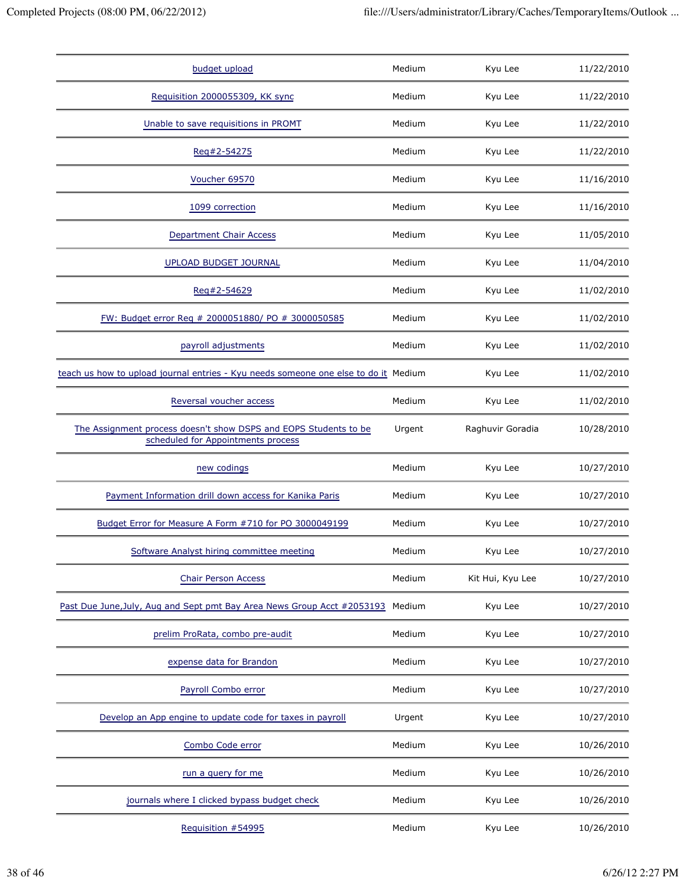| budget upload                                                                                          | Medium | Kyu Lee          | 11/22/2010 |
|--------------------------------------------------------------------------------------------------------|--------|------------------|------------|
| Requisition 2000055309, KK sync                                                                        | Medium | Kyu Lee          | 11/22/2010 |
| Unable to save requisitions in PROMT                                                                   | Medium | Kyu Lee          | 11/22/2010 |
| Reg#2-54275                                                                                            | Medium | Kyu Lee          | 11/22/2010 |
| Voucher 69570                                                                                          | Medium | Kyu Lee          | 11/16/2010 |
| 1099 correction                                                                                        | Medium | Kyu Lee          | 11/16/2010 |
| Department Chair Access                                                                                | Medium | Kyu Lee          | 11/05/2010 |
| <b>UPLOAD BUDGET JOURNAL</b>                                                                           | Medium | Kyu Lee          | 11/04/2010 |
| Reg#2-54629                                                                                            | Medium | Kyu Lee          | 11/02/2010 |
| FW: Budget error Req # 2000051880/ PO # 3000050585                                                     | Medium | Kyu Lee          | 11/02/2010 |
| payroll adjustments                                                                                    | Medium | Kyu Lee          | 11/02/2010 |
| teach us how to upload journal entries - Kyu needs someone one else to do it Medium                    |        | Kyu Lee          | 11/02/2010 |
| Reversal voucher access                                                                                | Medium | Kyu Lee          | 11/02/2010 |
| The Assignment process doesn't show DSPS and EOPS Students to be<br>scheduled for Appointments process | Urgent | Raghuvir Goradia | 10/28/2010 |
| new codings                                                                                            | Medium | Kyu Lee          | 10/27/2010 |
| Payment Information drill down access for Kanika Paris                                                 | Medium | Kyu Lee          | 10/27/2010 |
| Budget Error for Measure A Form #710 for PO 3000049199                                                 | Medium | Kyu Lee          | 10/27/2010 |
| Software Analyst hiring committee meeting                                                              | Medium | Kyu Lee          | 10/27/2010 |
| <b>Chair Person Access</b>                                                                             | Medium | Kit Hui, Kyu Lee | 10/27/2010 |
| Past Due June, July, Aug and Sept pmt Bay Area News Group Acct #2053193                                | Medium | Kyu Lee          | 10/27/2010 |
| prelim ProRata, combo pre-audit                                                                        | Medium | Kyu Lee          | 10/27/2010 |
| expense data for Brandon                                                                               | Medium | Kyu Lee          | 10/27/2010 |
| Payroll Combo error                                                                                    | Medium | Kyu Lee          | 10/27/2010 |
| Develop an App engine to update code for taxes in payroll                                              | Urgent | Kyu Lee          | 10/27/2010 |
| Combo Code error                                                                                       | Medium | Kyu Lee          | 10/26/2010 |
| run a query for me                                                                                     | Medium | Kyu Lee          | 10/26/2010 |
| journals where I clicked bypass budget check                                                           | Medium | Kyu Lee          | 10/26/2010 |
| Requisition #54995                                                                                     | Medium | Kyu Lee          | 10/26/2010 |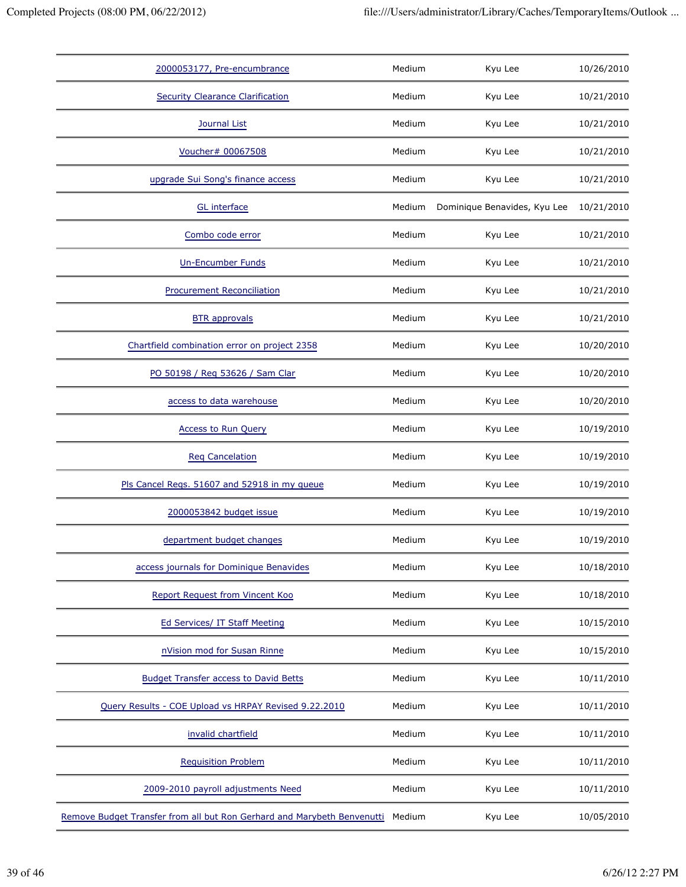| 2000053177, Pre-encumbrance                                             | Medium | Kyu Lee                      | 10/26/2010 |
|-------------------------------------------------------------------------|--------|------------------------------|------------|
| <b>Security Clearance Clarification</b>                                 | Medium | Kyu Lee                      | 10/21/2010 |
| Journal List                                                            | Medium | Kyu Lee                      | 10/21/2010 |
| Voucher# 00067508                                                       | Medium | Kyu Lee                      | 10/21/2010 |
| upgrade Sui Song's finance access                                       | Medium | Kyu Lee                      | 10/21/2010 |
| GL interface                                                            | Medium | Dominique Benavides, Kyu Lee | 10/21/2010 |
| Combo code error                                                        | Medium | Kyu Lee                      | 10/21/2010 |
| <b>Un-Encumber Funds</b>                                                | Medium | Kyu Lee                      | 10/21/2010 |
| <b>Procurement Reconciliation</b>                                       | Medium | Kyu Lee                      | 10/21/2010 |
| <b>BTR</b> approvals                                                    | Medium | Kyu Lee                      | 10/21/2010 |
| Chartfield combination error on project 2358                            | Medium | Kyu Lee                      | 10/20/2010 |
| PO 50198 / Reg 53626 / Sam Clar                                         | Medium | Kyu Lee                      | 10/20/2010 |
| access to data warehouse                                                | Medium | Kyu Lee                      | 10/20/2010 |
| <b>Access to Run Query</b>                                              | Medium | Kyu Lee                      | 10/19/2010 |
| <b>Req Cancelation</b>                                                  | Medium | Kyu Lee                      | 10/19/2010 |
| Pls Cancel Regs. 51607 and 52918 in my queue                            | Medium | Kyu Lee                      | 10/19/2010 |
| 2000053842 budget issue                                                 | Medium | Kyu Lee                      | 10/19/2010 |
| department budget changes                                               | Medium | Kyu Lee                      | 10/19/2010 |
| access journals for Dominique Benavides                                 | Medium | Kyu Lee                      | 10/18/2010 |
| Report Request from Vincent Koo                                         | Medium | Kyu Lee                      | 10/18/2010 |
| <b>Ed Services/ IT Staff Meeting</b>                                    | Medium | Kyu Lee                      | 10/15/2010 |
| nVision mod for Susan Rinne                                             | Medium | Kyu Lee                      | 10/15/2010 |
| <b>Budget Transfer access to David Betts</b>                            | Medium | Kyu Lee                      | 10/11/2010 |
| Query Results - COE Upload vs HRPAY Revised 9.22.2010                   | Medium | Kyu Lee                      | 10/11/2010 |
| invalid chartfield                                                      | Medium | Kyu Lee                      | 10/11/2010 |
| <b>Requisition Problem</b>                                              | Medium | Kyu Lee                      | 10/11/2010 |
| 2009-2010 payroll adjustments Need                                      | Medium | Kyu Lee                      | 10/11/2010 |
| Remove Budget Transfer from all but Ron Gerhard and Marybeth Benvenutti | Medium | Kyu Lee                      | 10/05/2010 |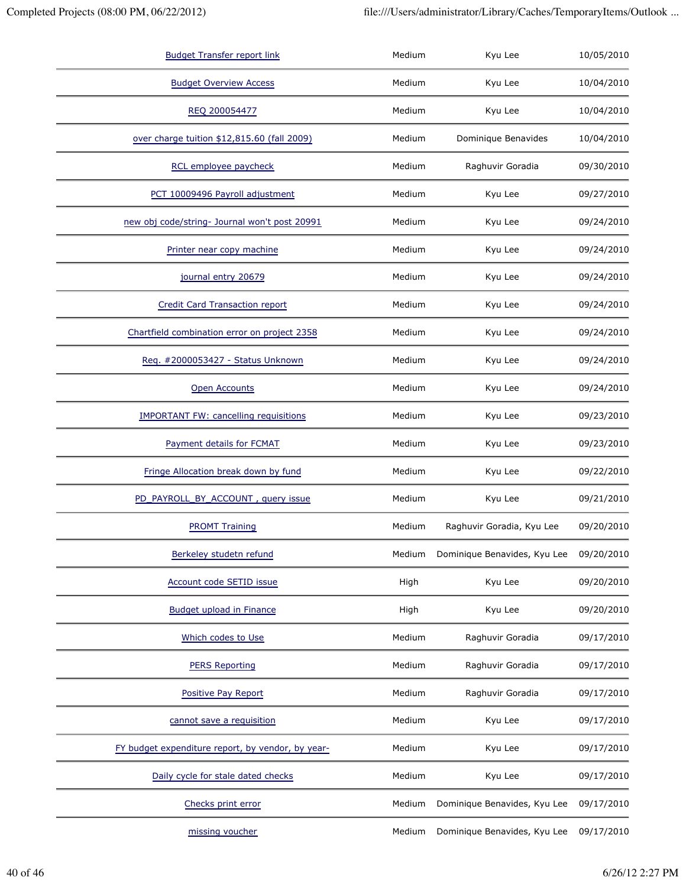| <b>Budget Transfer report link</b>                | Medium | Kyu Lee                      | 10/05/2010 |
|---------------------------------------------------|--------|------------------------------|------------|
| <b>Budget Overview Access</b>                     | Medium | Kyu Lee                      | 10/04/2010 |
| REQ 200054477                                     | Medium | Kyu Lee                      | 10/04/2010 |
| over charge tuition \$12,815.60 (fall 2009)       | Medium | Dominique Benavides          | 10/04/2010 |
| RCL employee paycheck                             | Medium | Raghuvir Goradia             | 09/30/2010 |
| PCT 10009496 Payroll adjustment                   | Medium | Kyu Lee                      | 09/27/2010 |
| new obj code/string- Journal won't post 20991     | Medium | Kyu Lee                      | 09/24/2010 |
| Printer near copy machine                         | Medium | Kyu Lee                      | 09/24/2010 |
| journal entry 20679                               | Medium | Kyu Lee                      | 09/24/2010 |
| <b>Credit Card Transaction report</b>             | Medium | Kyu Lee                      | 09/24/2010 |
| Chartfield combination error on project 2358      | Medium | Kyu Lee                      | 09/24/2010 |
| Req. #2000053427 - Status Unknown                 | Medium | Kyu Lee                      | 09/24/2010 |
| <b>Open Accounts</b>                              | Medium | Kyu Lee                      | 09/24/2010 |
| <b>IMPORTANT FW: cancelling requisitions</b>      | Medium | Kyu Lee                      | 09/23/2010 |
| Payment details for FCMAT                         | Medium | Kyu Lee                      | 09/23/2010 |
| Fringe Allocation break down by fund              | Medium | Kyu Lee                      | 09/22/2010 |
| PD_PAYROLL_BY_ACCOUNT, query issue                | Medium | Kyu Lee                      | 09/21/2010 |
| <b>PROMT Training</b>                             | Medium | Raghuvir Goradia, Kyu Lee    | 09/20/2010 |
| Berkeley studetn refund                           | Medium | Dominique Benavides, Kyu Lee | 09/20/2010 |
| Account code SETID issue                          | High   | Kyu Lee                      | 09/20/2010 |
| <b>Budget upload in Finance</b>                   | High   | Kyu Lee                      | 09/20/2010 |
| Which codes to Use                                | Medium | Raghuvir Goradia             | 09/17/2010 |
| <b>PERS Reporting</b>                             | Medium | Raghuvir Goradia             | 09/17/2010 |
| Positive Pay Report                               | Medium | Raghuvir Goradia             | 09/17/2010 |
| cannot save a requisition                         | Medium | Kyu Lee                      | 09/17/2010 |
| FY budget expenditure report, by vendor, by year- | Medium | Kyu Lee                      | 09/17/2010 |
| Daily cycle for stale dated checks                | Medium | Kyu Lee                      | 09/17/2010 |
| Checks print error                                | Medium | Dominique Benavides, Kyu Lee | 09/17/2010 |
| missing voucher                                   | Medium | Dominique Benavides, Kyu Lee | 09/17/2010 |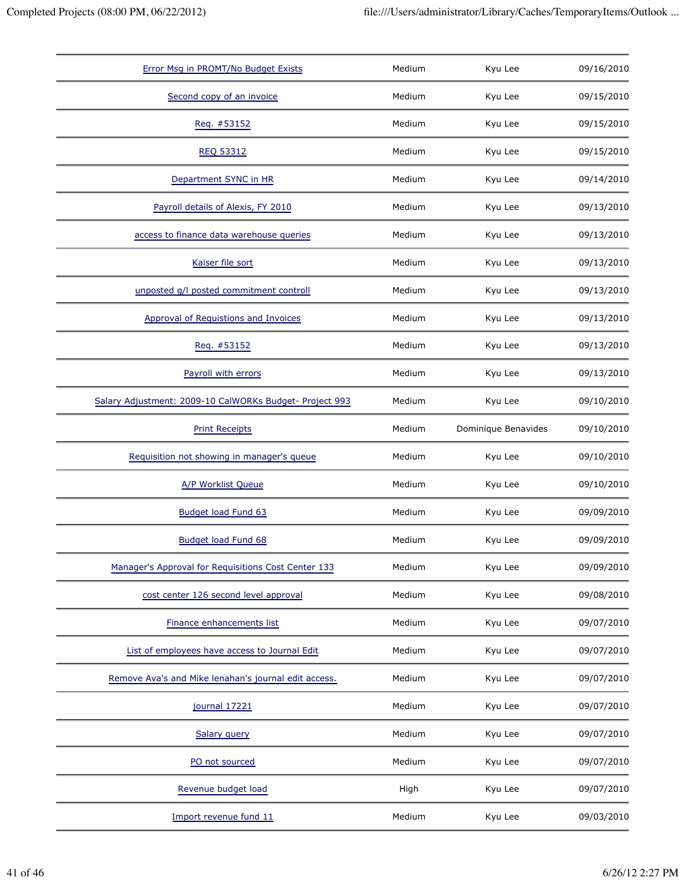| Error Msg in PROMT/No Budget Exists                     | Medium | Kyu Lee             | 09/16/2010 |
|---------------------------------------------------------|--------|---------------------|------------|
| Second copy of an invoice                               | Medium | Kyu Lee             | 09/15/2010 |
| Req. #53152                                             | Medium | Kyu Lee             | 09/15/2010 |
| <b>REQ 53312</b>                                        | Medium | Kyu Lee             | 09/15/2010 |
| Department SYNC in HR                                   | Medium | Kyu Lee             | 09/14/2010 |
| Payroll details of Alexis, FY 2010                      | Medium | Kyu Lee             | 09/13/2010 |
| access to finance data warehouse queries                | Medium | Kyu Lee             | 09/13/2010 |
| Kaiser file sort                                        | Medium | Kyu Lee             | 09/13/2010 |
| unposted q/l posted commitment controll                 | Medium | Kyu Lee             | 09/13/2010 |
| Approval of Requistions and Invoices                    | Medium | Kyu Lee             | 09/13/2010 |
| Req. #53152                                             | Medium | Kyu Lee             | 09/13/2010 |
| Payroll with errors                                     | Medium | Kyu Lee             | 09/13/2010 |
| Salary Adjustment: 2009-10 CalWORKs Budget- Project 993 | Medium | Kyu Lee             | 09/10/2010 |
| <b>Print Receipts</b>                                   | Medium | Dominique Benavides | 09/10/2010 |
| Requisition not showing in manager's queue              | Medium | Kyu Lee             | 09/10/2010 |
| A/P Worklist Queue                                      | Medium | Kyu Lee             | 09/10/2010 |
| Budget load Fund 63                                     | Medium | Kyu Lee             | 09/09/2010 |
| <b>Budget load Fund 68</b>                              | Medium | Kyu Lee             | 09/09/2010 |
| Manager's Approval for Requisitions Cost Center 133     | Medium | Kyu Lee             | 09/09/2010 |
| cost center 126 second level approval                   |        |                     |            |
|                                                         | Medium | Kyu Lee             | 09/08/2010 |
| Finance enhancements list                               | Medium | Kyu Lee             | 09/07/2010 |
| List of employees have access to Journal Edit           | Medium | Kyu Lee             | 09/07/2010 |
| Remove Ava's and Mike lenahan's journal edit access.    | Medium | Kyu Lee             | 09/07/2010 |
| journal 17221                                           | Medium | Kyu Lee             | 09/07/2010 |
| Salary query                                            | Medium | Kyu Lee             | 09/07/2010 |
| PO not sourced                                          | Medium | Kyu Lee             | 09/07/2010 |
| Revenue budget load                                     | High   | Kyu Lee             | 09/07/2010 |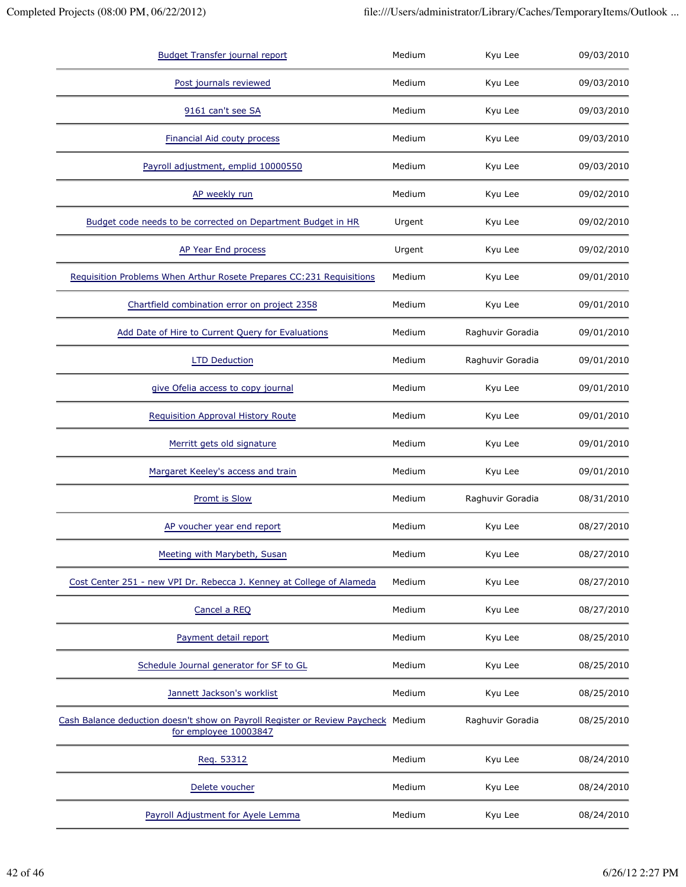| <b>Budget Transfer journal report</b>                                                                      | Medium | Kyu Lee          | 09/03/2010 |
|------------------------------------------------------------------------------------------------------------|--------|------------------|------------|
| Post journals reviewed                                                                                     | Medium | Kyu Lee          | 09/03/2010 |
| 9161 can't see SA                                                                                          | Medium | Kyu Lee          | 09/03/2010 |
| <b>Financial Aid couty process</b>                                                                         | Medium | Kyu Lee          | 09/03/2010 |
| Payroll adjustment, emplid 10000550                                                                        | Medium | Kyu Lee          | 09/03/2010 |
| AP weekly run                                                                                              | Medium | Kyu Lee          | 09/02/2010 |
| Budget code needs to be corrected on Department Budget in HR                                               | Urgent | Kyu Lee          | 09/02/2010 |
| AP Year End process                                                                                        | Urgent | Kyu Lee          | 09/02/2010 |
| Requisition Problems When Arthur Rosete Prepares CC:231 Requisitions                                       | Medium | Kyu Lee          | 09/01/2010 |
| Chartfield combination error on project 2358                                                               | Medium | Kyu Lee          | 09/01/2010 |
| Add Date of Hire to Current Query for Evaluations                                                          | Medium | Raghuvir Goradia | 09/01/2010 |
| <b>LTD Deduction</b>                                                                                       | Medium | Raghuvir Goradia | 09/01/2010 |
| give Ofelia access to copy journal                                                                         | Medium | Kyu Lee          | 09/01/2010 |
| <b>Requisition Approval History Route</b>                                                                  | Medium | Kyu Lee          | 09/01/2010 |
| Merritt gets old signature                                                                                 | Medium | Kyu Lee          | 09/01/2010 |
| Margaret Keeley's access and train                                                                         | Medium | Kyu Lee          | 09/01/2010 |
| <b>Promt is Slow</b>                                                                                       | Medium | Raghuvir Goradia | 08/31/2010 |
| AP voucher year end report                                                                                 | Medium | Kyu Lee          | 08/27/2010 |
| Meeting with Marybeth, Susan                                                                               | Medium | Kyu Lee          | 08/27/2010 |
| Cost Center 251 - new VPI Dr. Rebecca J. Kenney at College of Alameda                                      | Medium | Kyu Lee          | 08/27/2010 |
| Cancel a REQ                                                                                               | Medium | Kyu Lee          | 08/27/2010 |
| Payment detail report                                                                                      | Medium | Kyu Lee          | 08/25/2010 |
| Schedule Journal generator for SF to GL                                                                    | Medium | Kyu Lee          | 08/25/2010 |
| Jannett Jackson's worklist                                                                                 | Medium | Kyu Lee          | 08/25/2010 |
| Cash Balance deduction doesn't show on Payroll Register or Review Paycheck Medium<br>for employee 10003847 |        | Raghuvir Goradia | 08/25/2010 |
| Req. 53312                                                                                                 | Medium | Kyu Lee          | 08/24/2010 |
| Delete voucher                                                                                             | Medium | Kyu Lee          | 08/24/2010 |
| Payroll Adjustment for Ayele Lemma                                                                         | Medium | Kyu Lee          | 08/24/2010 |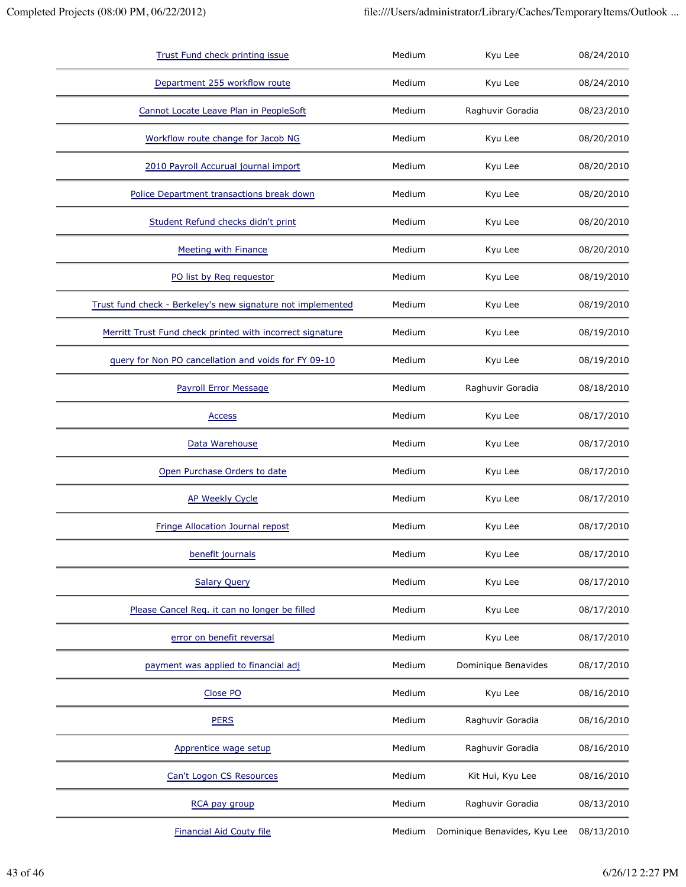| Trust Fund check printing issue                             | Medium | Kyu Lee                      | 08/24/2010 |
|-------------------------------------------------------------|--------|------------------------------|------------|
| Department 255 workflow route                               | Medium | Kyu Lee                      | 08/24/2010 |
| Cannot Locate Leave Plan in PeopleSoft                      | Medium | Raghuvir Goradia             | 08/23/2010 |
| Workflow route change for Jacob NG                          | Medium | Kyu Lee                      | 08/20/2010 |
| 2010 Payroll Accurual journal import                        | Medium | Kyu Lee                      | 08/20/2010 |
| Police Department transactions break down                   | Medium | Kyu Lee                      | 08/20/2010 |
| Student Refund checks didn't print                          | Medium | Kyu Lee                      | 08/20/2010 |
| <b>Meeting with Finance</b>                                 | Medium | Kyu Lee                      | 08/20/2010 |
| PO list by Reg requestor                                    | Medium | Kyu Lee                      | 08/19/2010 |
| Trust fund check - Berkeley's new signature not implemented | Medium | Kyu Lee                      | 08/19/2010 |
| Merritt Trust Fund check printed with incorrect signature   | Medium | Kyu Lee                      | 08/19/2010 |
| query for Non PO cancellation and voids for FY 09-10        | Medium | Kyu Lee                      | 08/19/2010 |
| Payroll Error Message                                       | Medium | Raghuvir Goradia             | 08/18/2010 |
| <b>Access</b>                                               | Medium | Kyu Lee                      | 08/17/2010 |
| Data Warehouse                                              | Medium | Kyu Lee                      | 08/17/2010 |
| Open Purchase Orders to date                                | Medium | Kyu Lee                      | 08/17/2010 |
| <b>AP Weekly Cycle</b>                                      | Medium | Kyu Lee                      | 08/17/2010 |
| Fringe Allocation Journal repost                            | Medium | Kyu Lee                      | 08/17/2010 |
| benefit journals                                            | Medium | Kyu Lee                      | 08/17/2010 |
| <b>Salary Query</b>                                         | Medium | Kyu Lee                      | 08/17/2010 |
| Please Cancel Req. it can no longer be filled               | Medium | Kyu Lee                      | 08/17/2010 |
| error on benefit reversal                                   | Medium | Kyu Lee                      | 08/17/2010 |
| payment was applied to financial adj                        | Medium | Dominique Benavides          | 08/17/2010 |
| Close PO                                                    | Medium | Kyu Lee                      | 08/16/2010 |
| <b>PERS</b>                                                 | Medium | Raghuvir Goradia             | 08/16/2010 |
| Apprentice wage setup                                       | Medium | Raghuvir Goradia             | 08/16/2010 |
| Can't Logon CS Resources                                    | Medium | Kit Hui, Kyu Lee             | 08/16/2010 |
| RCA pay group                                               | Medium | Raghuvir Goradia             | 08/13/2010 |
| <b>Financial Aid Couty file</b>                             | Medium | Dominique Benavides, Kyu Lee | 08/13/2010 |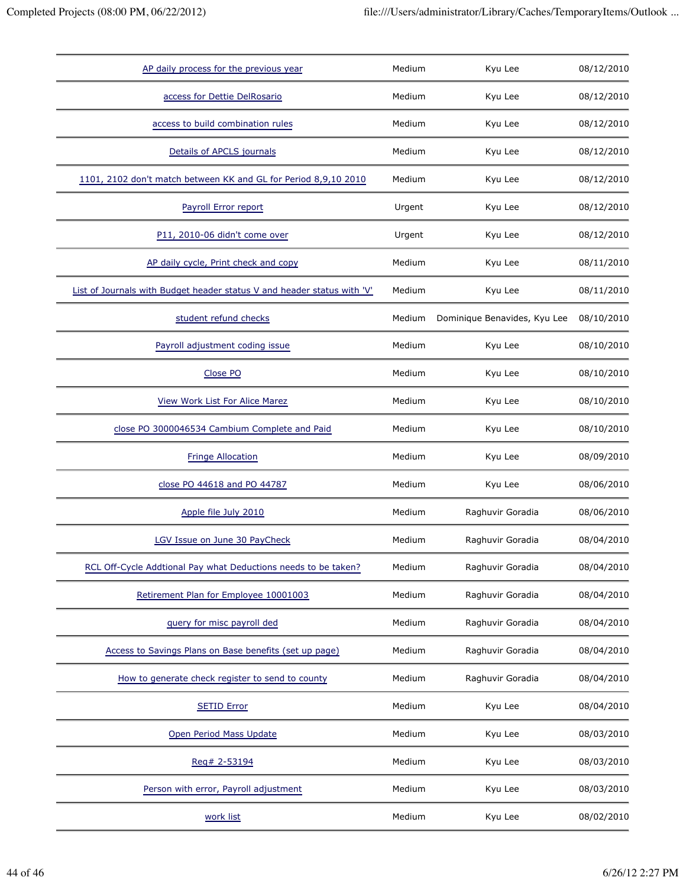| AP daily process for the previous year                                  | Medium | Kyu Lee                      | 08/12/2010 |
|-------------------------------------------------------------------------|--------|------------------------------|------------|
| access for Dettie DelRosario                                            | Medium | Kyu Lee                      | 08/12/2010 |
| access to build combination rules                                       | Medium | Kyu Lee                      | 08/12/2010 |
| Details of APCLS journals                                               | Medium | Kyu Lee                      | 08/12/2010 |
| 1101, 2102 don't match between KK and GL for Period 8,9,10 2010         | Medium | Kyu Lee                      | 08/12/2010 |
| Payroll Error report                                                    | Urgent | Kyu Lee                      | 08/12/2010 |
| P11, 2010-06 didn't come over                                           | Urgent | Kyu Lee                      | 08/12/2010 |
| AP daily cycle, Print check and copy                                    | Medium | Kyu Lee                      | 08/11/2010 |
| List of Journals with Budget header status V and header status with 'V' | Medium | Kyu Lee                      | 08/11/2010 |
| student refund checks                                                   | Medium | Dominique Benavides, Kyu Lee | 08/10/2010 |
| Payroll adjustment coding issue                                         | Medium | Kyu Lee                      | 08/10/2010 |
| Close PO                                                                | Medium | Kyu Lee                      | 08/10/2010 |
| <b>View Work List For Alice Marez</b>                                   | Medium | Kyu Lee                      | 08/10/2010 |
| close PO 3000046534 Cambium Complete and Paid                           | Medium | Kyu Lee                      | 08/10/2010 |
| <b>Fringe Allocation</b>                                                | Medium | Kyu Lee                      | 08/09/2010 |
| close PO 44618 and PO 44787                                             | Medium | Kyu Lee                      | 08/06/2010 |
| Apple file July 2010                                                    | Medium | Raghuvir Goradia             | 08/06/2010 |
| LGV Issue on June 30 PayCheck                                           | Medium | Raghuvir Goradia             | 08/04/2010 |
| RCL Off-Cycle Addtional Pay what Deductions needs to be taken?          | Medium | Raghuvir Goradia             | 08/04/2010 |
| Retirement Plan for Employee 10001003                                   | Medium | Raghuvir Goradia             | 08/04/2010 |
| guery for misc payroll ded                                              | Medium | Raghuvir Goradia             | 08/04/2010 |
| Access to Savings Plans on Base benefits (set up page)                  | Medium | Raghuvir Goradia             | 08/04/2010 |
| How to generate check register to send to county                        | Medium | Raghuvir Goradia             | 08/04/2010 |
| <b>SETID Error</b>                                                      | Medium | Kyu Lee                      | 08/04/2010 |
| Open Period Mass Update                                                 | Medium | Kyu Lee                      | 08/03/2010 |
| Req# 2-53194                                                            | Medium | Kyu Lee                      | 08/03/2010 |
| Person with error, Payroll adjustment                                   | Medium | Kyu Lee                      | 08/03/2010 |
| work list                                                               | Medium | Kyu Lee                      | 08/02/2010 |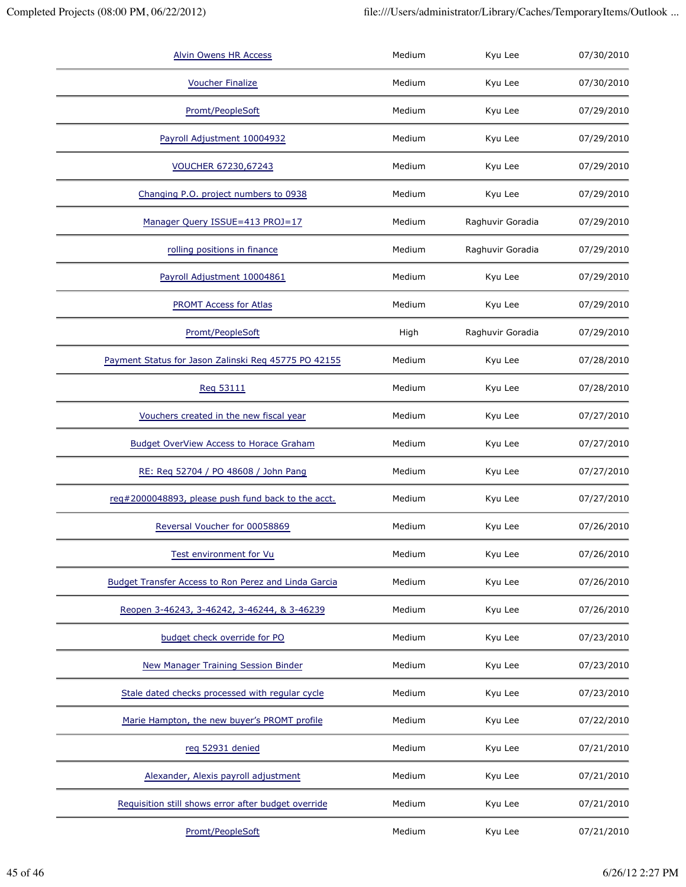| <b>Alvin Owens HR Access</b>                         | Medium | Kyu Lee          | 07/30/2010 |
|------------------------------------------------------|--------|------------------|------------|
| <b>Voucher Finalize</b>                              | Medium | Kyu Lee          | 07/30/2010 |
| Promt/PeopleSoft                                     | Medium | Kyu Lee          | 07/29/2010 |
| Payroll Adjustment 10004932                          | Medium | Kyu Lee          | 07/29/2010 |
| <b>VOUCHER 67230,67243</b>                           | Medium | Kyu Lee          | 07/29/2010 |
| Changing P.O. project numbers to 0938                | Medium | Kyu Lee          | 07/29/2010 |
| Manager Query ISSUE=413 PROJ=17                      | Medium | Raghuvir Goradia | 07/29/2010 |
| rolling positions in finance                         | Medium | Raghuvir Goradia | 07/29/2010 |
| Payroll Adjustment 10004861                          | Medium | Kyu Lee          | 07/29/2010 |
| PROMT Access for Atlas                               | Medium | Kyu Lee          | 07/29/2010 |
| Promt/PeopleSoft                                     | High   | Raghuvir Goradia | 07/29/2010 |
| Payment Status for Jason Zalinski Req 45775 PO 42155 | Medium | Kyu Lee          | 07/28/2010 |
| Reg 53111                                            | Medium | Kyu Lee          | 07/28/2010 |
| Vouchers created in the new fiscal year              | Medium | Kyu Lee          | 07/27/2010 |
| <b>Budget OverView Access to Horace Graham</b>       | Medium | Kyu Lee          | 07/27/2010 |
| RE: Req 52704 / PO 48608 / John Pang                 | Medium | Kyu Lee          | 07/27/2010 |
| req#2000048893, please push fund back to the acct.   | Medium | Kyu Lee          | 07/27/2010 |
| Reversal Voucher for 00058869                        | Medium | Kyu Lee          | 07/26/2010 |
| Test environment for Vu                              | Medium | Kyu Lee          | 07/26/2010 |
| Budget Transfer Access to Ron Perez and Linda Garcia | Medium | Kyu Lee          | 07/26/2010 |
| Reopen 3-46243, 3-46242, 3-46244, & 3-46239          | Medium | Kyu Lee          | 07/26/2010 |
| budget check override for PO                         | Medium | Kyu Lee          | 07/23/2010 |
| New Manager Training Session Binder                  | Medium | Kyu Lee          | 07/23/2010 |
| Stale dated checks processed with regular cycle      | Medium | Kyu Lee          | 07/23/2010 |
| Marie Hampton, the new buyer's PROMT profile         | Medium | Kyu Lee          | 07/22/2010 |
| reg 52931 denied                                     | Medium | Kyu Lee          | 07/21/2010 |
| Alexander, Alexis payroll adjustment                 | Medium | Kyu Lee          | 07/21/2010 |
| Requisition still shows error after budget override  | Medium | Kyu Lee          | 07/21/2010 |
| Promt/PeopleSoft                                     | Medium | Kyu Lee          | 07/21/2010 |